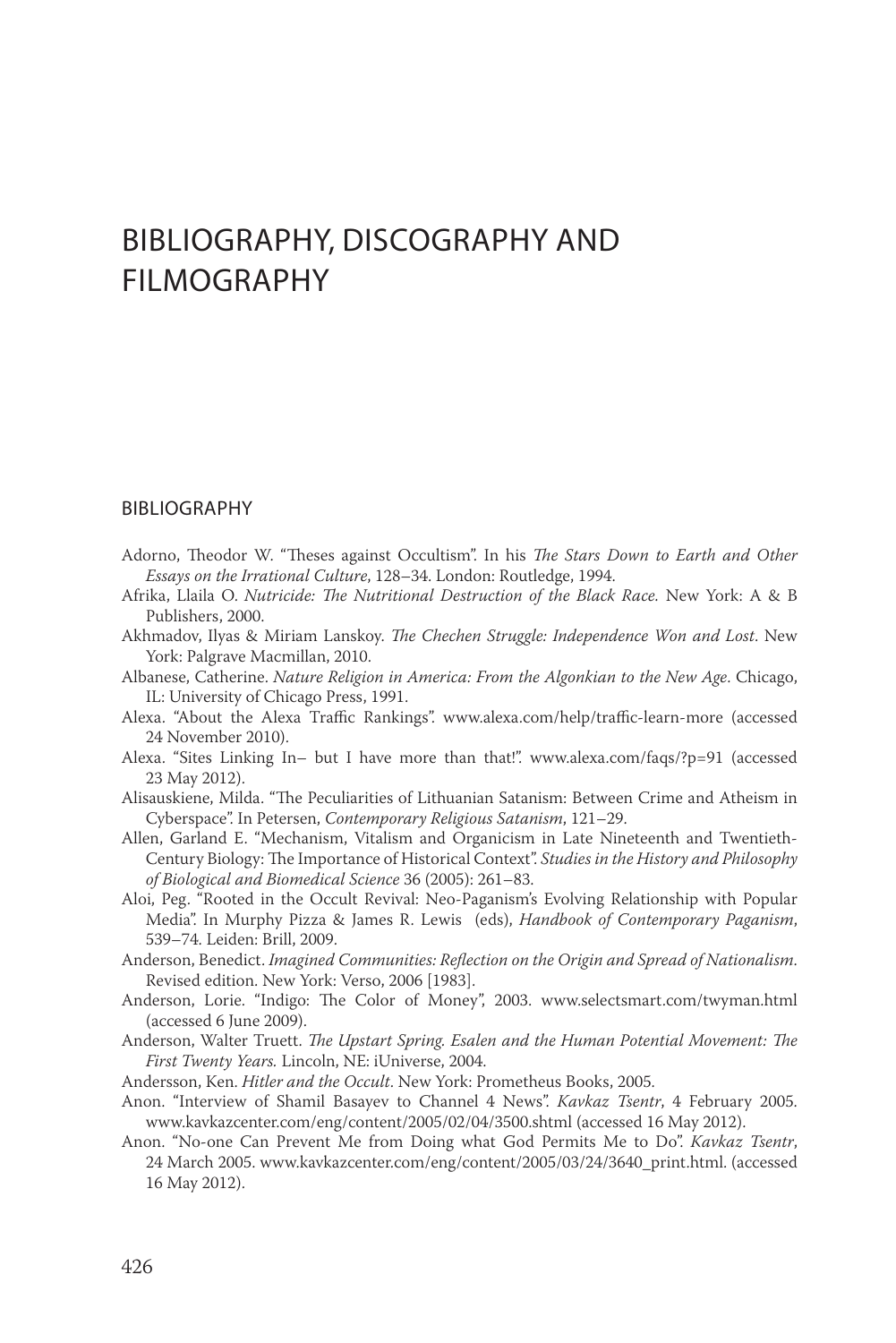## BIBLIOGRAPHY, DISCOGRAPHY AND FILMOGRAPHY

## BIBLIOGRAPHY

- Adorno, Theodor W. "Theses against Occultism". In his *The Stars Down to Earth and Other Essays on the Irrational Culture*, 128–34. London: Routledge, 1994.
- Afrika, Llaila O. *Nutricide: The Nutritional Destruction of the Black Race.* New York: A & B Publishers, 2000.
- Akhmadov, Ilyas & Miriam Lanskoy. *The Chechen Struggle: Independence Won and Lost*. New York: Palgrave Macmillan, 2010.
- Albanese, Catherine. *Nature Religion in America: From the Algonkian to the New Age*. Chicago, IL: University of Chicago Press, 1991.
- Alexa. "About the Alexa Traffic Rankings". www.alexa.com/help/traffic-learn-more (accessed 24 November 2010).
- Alexa. "Sites Linking In– but I have more than that!". www.alexa.com/faqs/?p=91 (accessed 23 May 2012).
- Alisauskiene, Milda. "The Peculiarities of Lithuanian Satanism: Between Crime and Atheism in Cyberspace". In Petersen, *Contemporary Religious Satanism*, 121–29.
- Allen, Garland E. "Mechanism, Vitalism and Organicism in Late Nineteenth and Twentieth-Century Biology: The Importance of Historical Context". *Studies in the History and Philosophy of Biological and Biomedical Science* 36 (2005): 261–83.
- Aloi, Peg. "Rooted in the Occult Revival: Neo-Paganism's Evolving Relationship with Popular Media". In Murphy Pizza & James R. Lewis (eds), *Handbook of Contemporary Paganism*, 539–74. Leiden: Brill, 2009.
- Anderson, Benedict. *Imagined Communities: Reflection on the Origin and Spread of Nationalism*. Revised edition. New York: Verso, 2006 [1983].
- Anderson, Lorie. "Indigo: The Color of Money", 2003. www.selectsmart.com/twyman.html (accessed 6 June 2009).
- Anderson, Walter Truett. *The Upstart Spring. Esalen and the Human Potential Movement: The First Twenty Years.* Lincoln, NE: iUniverse, 2004.
- Andersson, Ken. *Hitler and the Occult*. New York: Prometheus Books, 2005.
- Anon. "Interview of Shamil Basayev to Channel 4 News". *Kavkaz Tsentr*, 4 February 2005. www.kavkazcenter.com/eng/content/2005/02/04/3500.shtml (accessed 16 May 2012).
- Anon. "No-one Can Prevent Me from Doing what God Permits Me to Do". *Kavkaz Tsentr*, 24 March 2005. www.kavkazcenter.com/eng/content/2005/03/24/3640\_print.html. (accessed 16 May 2012).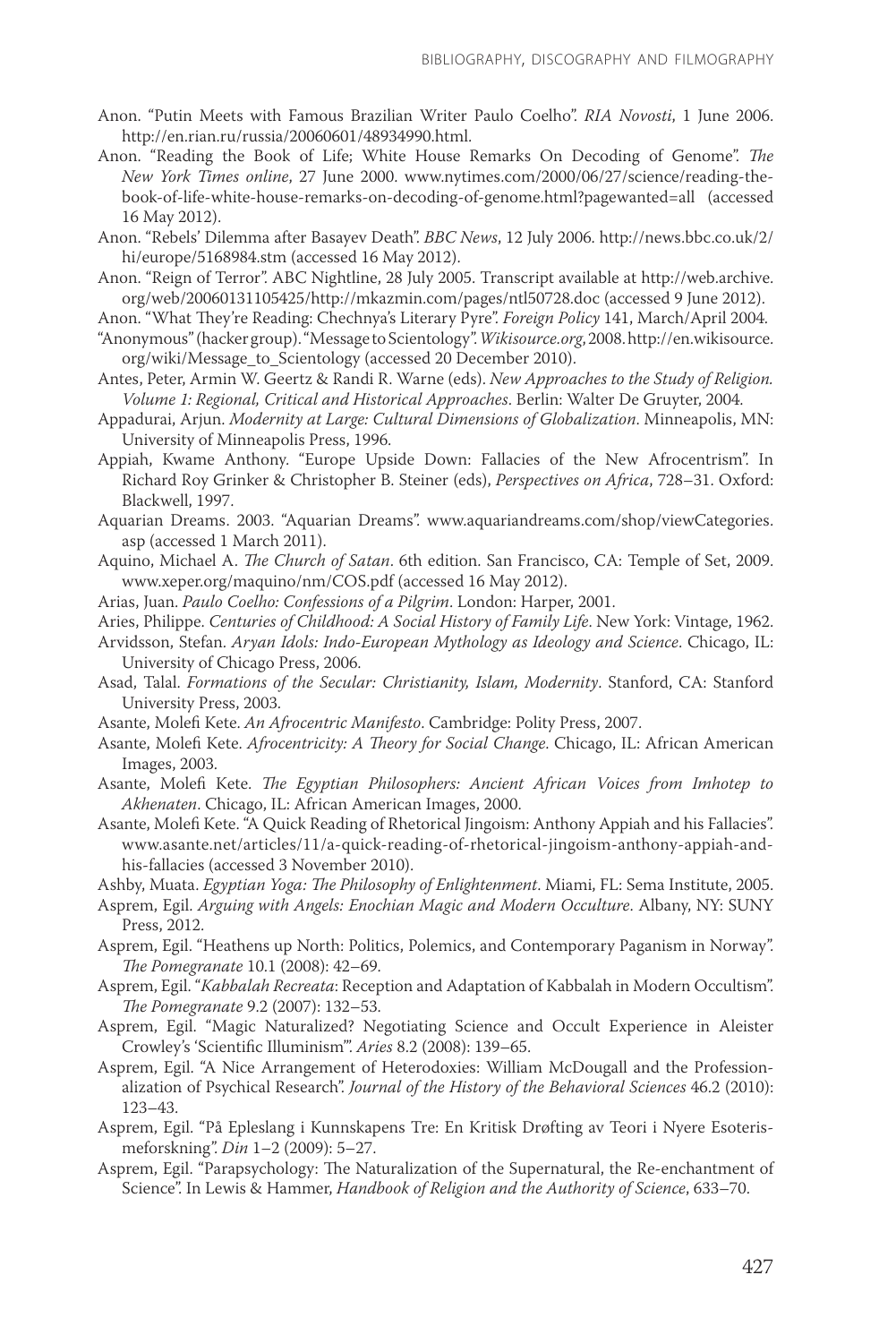- Anon. "Putin Meets with Famous Brazilian Writer Paulo Coelho". *RIA Novosti*, 1 June 2006. http://en.rian.ru/russia/20060601/48934990.html.
- Anon. "Reading the Book of Life; White House Remarks On Decoding of Genome". *The New York Times online*, 27 June 2000. www.nytimes.com/2000/06/27/science/reading-thebook-of-life-white-house-remarks-on-decoding-of-genome.html?pagewanted=all (accessed 16 May 2012).

Anon. "Rebels' Dilemma after Basayev Death". *BBC News*, 12 July 2006. http://news.bbc.co.uk/2/ hi/europe/5168984.stm (accessed 16 May 2012).

Anon. "Reign of Terror". ABC Nightline, 28 July 2005. Transcript available at http://web.archive. org/web/20060131105425/http://mkazmin.com/pages/ntl50728.doc (accessed 9 June 2012).

Anon. "What They're Reading: Chechnya's Literary Pyre". *Foreign Policy* 141, March/April 2004.

- "Anonymous" (hacker group). "Message to Scientology". *Wikisource.org*, 2008. http://en.wikisource. org/wiki/Message\_to\_Scientology (accessed 20 December 2010).
- Antes, Peter, Armin W. Geertz & Randi R. Warne (eds). *New Approaches to the Study of Religion. Volume 1: Regional, Critical and Historical Approaches*. Berlin: Walter De Gruyter, 2004.
- Appadurai, Arjun. *Modernity at Large: Cultural Dimensions of Globalization*. Minneapolis, MN: University of Minneapolis Press, 1996.
- Appiah, Kwame Anthony. "Europe Upside Down: Fallacies of the New Afrocentrism". In Richard Roy Grinker & Christopher B. Steiner (eds), *Perspectives on Africa*, 728–31. Oxford: Blackwell, 1997.
- Aquarian Dreams. 2003. "Aquarian Dreams". www.aquariandreams.com/shop/viewCategories. asp (accessed 1 March 2011).
- Aquino, Michael A. *The Church of Satan*. 6th edition. San Francisco, CA: Temple of Set, 2009. www.xeper.org/maquino/nm/COS.pdf (accessed 16 May 2012).

Arias, Juan. *Paulo Coelho: Confessions of a Pilgrim*. London: Harper, 2001.

Aries, Philippe. *Centuries of Childhood: A Social History of Family Life*. New York: Vintage, 1962.

- Arvidsson, Stefan. *Aryan Idols: Indo-European Mythology as Ideology and Science*. Chicago, IL: University of Chicago Press, 2006.
- Asad, Talal. *Formations of the Secular: Christianity, Islam, Modernity*. Stanford, CA: Stanford University Press, 2003.

Asante, Molefi Kete. *An Afrocentric Manifesto*. Cambridge: Polity Press, 2007.

- Asante, Molefi Kete. *Afrocentricity: A Theory for Social Change*. Chicago, IL: African American Images, 2003.
- Asante, Molefi Kete. *The Egyptian Philosophers: Ancient African Voices from Imhotep to Akhenaten*. Chicago, IL: African American Images, 2000.
- Asante, Molefi Kete. "A Quick Reading of Rhetorical Jingoism: Anthony Appiah and his Fallacies". www.asante.net/articles/11/a-quick-reading-of-rhetorical-jingoism-anthony-appiah-andhis-fallacies (accessed 3 November 2010).
- Ashby, Muata. *Egyptian Yoga: The Philosophy of Enlightenment*. Miami, FL: Sema Institute, 2005.
- Asprem, Egil. *Arguing with Angels: Enochian Magic and Modern Occulture*. Albany, NY: SUNY Press, 2012.
- Asprem, Egil. "Heathens up North: Politics, Polemics, and Contemporary Paganism in Norway". *The Pomegranate* 10.1 (2008): 42–69.
- Asprem, Egil. "*Kabbalah Recreata*: Reception and Adaptation of Kabbalah in Modern Occultism". *The Pomegranate* 9.2 (2007): 132–53.
- Asprem, Egil. "Magic Naturalized? Negotiating Science and Occult Experience in Aleister Crowley's 'Scientific Illuminism'". *Aries* 8.2 (2008): 139–65.
- Asprem, Egil. "A Nice Arrangement of Heterodoxies: William McDougall and the Professionalization of Psychical Research". *Journal of the History of the Behavioral Sciences* 46.2 (2010): 123–43.
- Asprem, Egil. "På Epleslang i Kunnskapens Tre: En Kritisk Drøfting av Teori i Nyere Esoterismeforskning". *Din* 1–2 (2009): 5–27.
- Asprem, Egil. "Parapsychology: The Naturalization of the Supernatural, the Re-enchantment of Science". In Lewis & Hammer, *Handbook of Religion and the Authority of Science*, 633–70.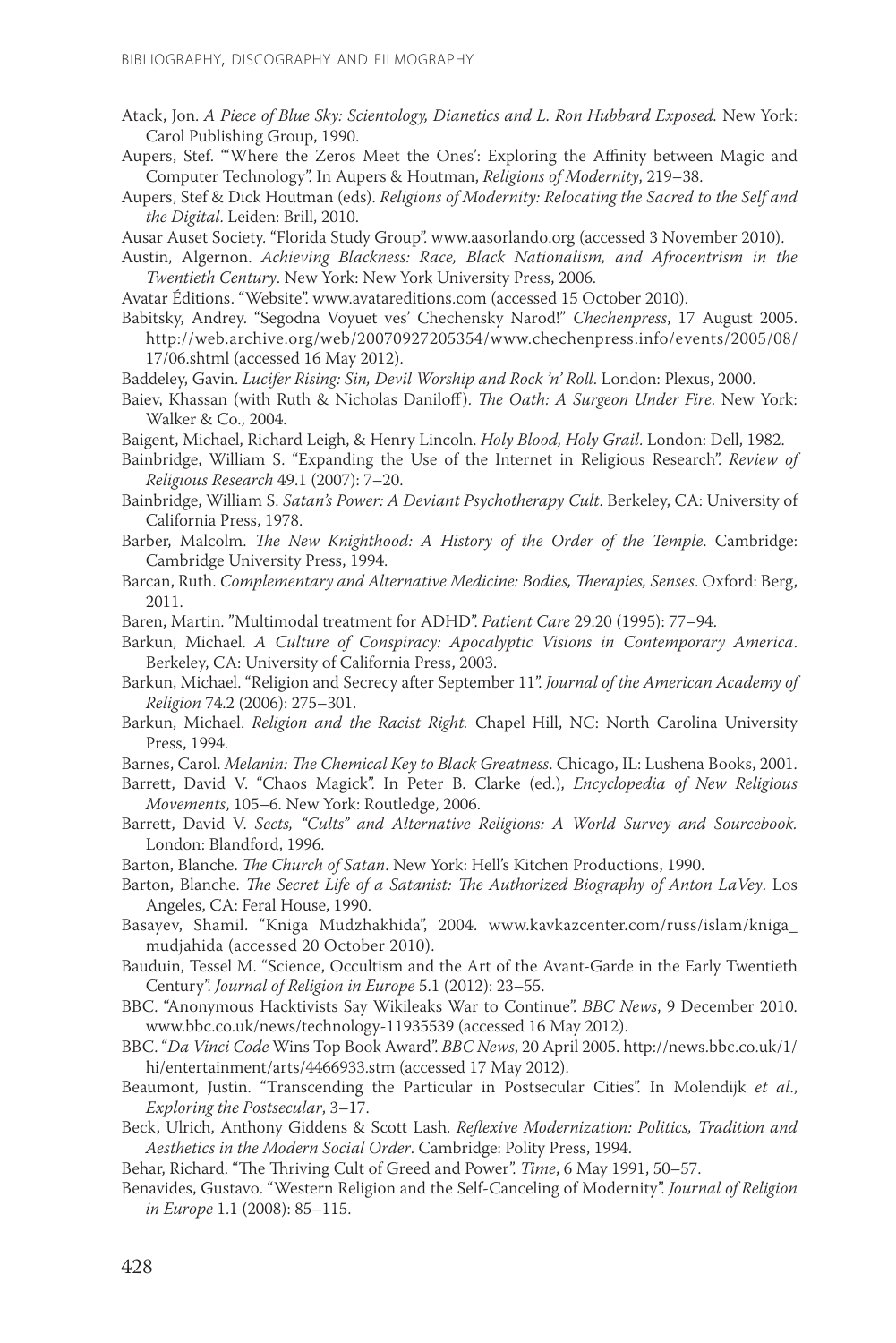- Atack, Jon. *A Piece of Blue Sky: Scientology, Dianetics and L. Ron Hubbard Exposed.* New York: Carol Publishing Group, 1990.
- Aupers, Stef. "'Where the Zeros Meet the Ones': Exploring the Affinity between Magic and Computer Technology". In Aupers & Houtman, *Religions of Modernity*, 219–38.
- Aupers, Stef & Dick Houtman (eds). *Religions of Modernity: Relocating the Sacred to the Self and the Digital*. Leiden: Brill, 2010.
- Ausar Auset Society. "Florida Study Group". www.aasorlando.org (accessed 3 November 2010).
- Austin, Algernon. *Achieving Blackness: Race, Black Nationalism, and Afrocentrism in the Twentieth Century*. New York: New York University Press, 2006.

Avatar Éditions. "Website". www.avatareditions.com (accessed 15 October 2010).

Babitsky, Andrey. "Segodna Voyuet ves' Chechensky Narod!" *Chechenpress*, 17 August 2005. http://web.archive.org/web/20070927205354/www.chechenpress.info/events/2005/08/

17/06.shtml (accessed 16 May 2012).

- Baddeley, Gavin. *Lucifer Rising: Sin, Devil Worship and Rock 'n' Roll*. London: Plexus, 2000.
- Baiev, Khassan (with Ruth & Nicholas Daniloff). *The Oath: A Surgeon Under Fire*. New York: Walker & Co., 2004.
- Baigent, Michael, Richard Leigh, & Henry Lincoln. *Holy Blood, Holy Grail*. London: Dell, 1982.
- Bainbridge, William S. "Expanding the Use of the Internet in Religious Research". *Review of Religious Research* 49.1 (2007): 7–20.
- Bainbridge, William S. *Satan's Power: A Deviant Psychotherapy Cult*. Berkeley, CA: University of California Press, 1978.
- Barber, Malcolm. *The New Knighthood: A History of the Order of the Temple*. Cambridge: Cambridge University Press, 1994.
- Barcan, Ruth. *Complementary and Alternative Medicine: Bodies, Therapies, Senses*. Oxford: Berg, 2011.
- Baren, Martin. "Multimodal treatment for ADHD". *Patient Care* 29.20 (1995): 77–94.
- Barkun, Michael. *A Culture of Conspiracy: Apocalyptic Visions in Contemporary America*. Berkeley, CA: University of California Press, 2003.
- Barkun, Michael. "Religion and Secrecy after September 11". *Journal of the American Academy of Religion* 74.2 (2006): 275–301.
- Barkun, Michael. *Religion and the Racist Right.* Chapel Hill, NC: North Carolina University Press, 1994.
- Barnes, Carol. *Melanin: The Chemical Key to Black Greatness*. Chicago, IL: Lushena Books, 2001.
- Barrett, David V. "Chaos Magick". In Peter B. Clarke (ed.), *Encyclopedia of New Religious Movements*, 105–6. New York: Routledge, 2006.
- Barrett, David V. *Sects, "Cults" and Alternative Religions: A World Survey and Sourcebook.*  London: Blandford, 1996.
- Barton, Blanche. *The Church of Satan*. New York: Hell's Kitchen Productions, 1990.
- Barton, Blanche. *The Secret Life of a Satanist: The Authorized Biography of Anton LaVey*. Los Angeles, CA: Feral House, 1990.
- Basayev, Shamil. "Kniga Mudzhakhida", 2004. www.kavkazcenter.com/russ/islam/kniga\_ mudjahida (accessed 20 October 2010).
- Bauduin, Tessel M. "Science, Occultism and the Art of the Avant-Garde in the Early Twentieth Century". *Journal of Religion in Europe* 5.1 (2012): 23–55.
- BBC. "Anonymous Hacktivists Say Wikileaks War to Continue". *BBC News*, 9 December 2010. www.bbc.co.uk/news/technology-11935539 (accessed 16 May 2012).
- BBC. "*Da Vinci Code* Wins Top Book Award". *BBC News*, 20 April 2005. http://news.bbc.co.uk/1/ hi/entertainment/arts/4466933.stm (accessed 17 May 2012).
- Beaumont, Justin. "Transcending the Particular in Postsecular Cities". In Molendijk *et al*., *Exploring the Postsecular*, 3–17.
- Beck, Ulrich, Anthony Giddens & Scott Lash. *Reflexive Modernization: Politics, Tradition and Aesthetics in the Modern Social Order*. Cambridge: Polity Press, 1994.
- Behar, Richard. "The Thriving Cult of Greed and Power". *Time*, 6 May 1991, 50–57.
- Benavides, Gustavo. "Western Religion and the Self-Canceling of Modernity". *Journal of Religion in Europe* 1.1 (2008): 85–115.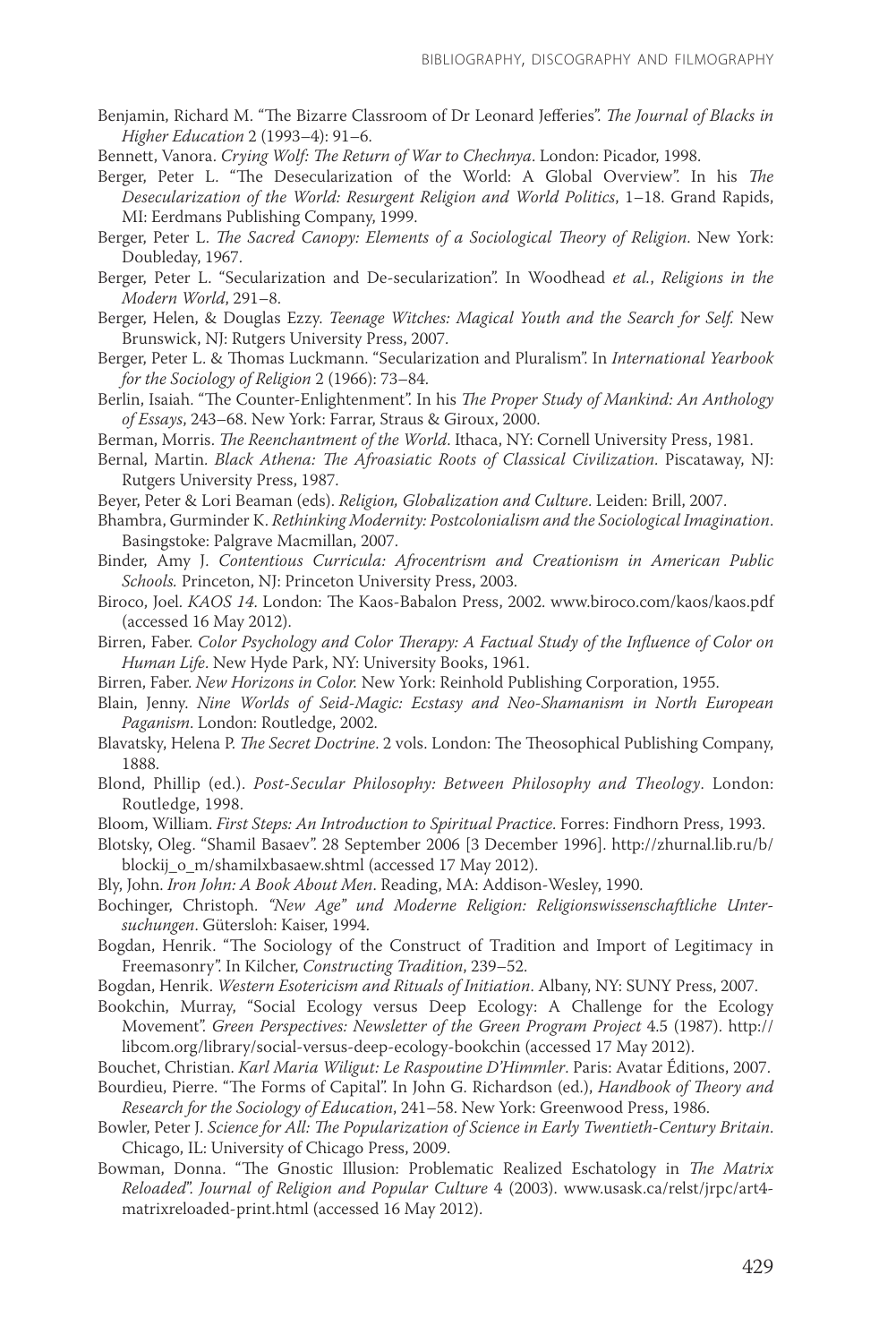- Benjamin, Richard M. "The Bizarre Classroom of Dr Leonard Jefferies". *The Journal of Blacks in Higher Education* 2 (1993–4): 91–6.
- Bennett, Vanora. *Crying Wolf: The Return of War to Chechnya*. London: Picador, 1998.
- Berger, Peter L. "The Desecularization of the World: A Global Overview". In his *The Desecularization of the World: Resurgent Religion and World Politics*, 1–18. Grand Rapids, MI: Eerdmans Publishing Company, 1999.
- Berger, Peter L. *The Sacred Canopy: Elements of a Sociological Theory of Religion*. New York: Doubleday, 1967.
- Berger, Peter L. "Secularization and De-secularization". In Woodhead *et al.*, *Religions in the Modern World*, 291–8.
- Berger, Helen, & Douglas Ezzy. *Teenage Witches: Magical Youth and the Search for Self.* New Brunswick, NJ: Rutgers University Press, 2007.
- Berger, Peter L. & Thomas Luckmann. "Secularization and Pluralism". In *International Yearbook for the Sociology of Religion* 2 (1966): 73–84.
- Berlin, Isaiah. "The Counter-Enlightenment". In his *The Proper Study of Mankind: An Anthology of Essays*, 243–68. New York: Farrar, Straus & Giroux, 2000.
- Berman, Morris. *The Reenchantment of the World*. Ithaca, NY: Cornell University Press, 1981.
- Bernal, Martin. *Black Athena: The Afroasiatic Roots of Classical Civilization*. Piscataway, NJ: Rutgers University Press, 1987.
- Beyer, Peter & Lori Beaman (eds). *Religion, Globalization and Culture*. Leiden: Brill, 2007.
- Bhambra, Gurminder K. *Rethinking Modernity: Postcolonialism and the Sociological Imagination*. Basingstoke: Palgrave Macmillan, 2007.
- Binder, Amy J. *Contentious Curricula: Afrocentrism and Creationism in American Public Schools.* Princeton, NJ: Princeton University Press, 2003.
- Biroco, Joel. *KAOS 14*. London: The Kaos-Babalon Press, 2002. www.biroco.com/kaos/kaos.pdf (accessed 16 May 2012).
- Birren, Faber. *Color Psychology and Color Therapy: A Factual Study of the Influence of Color on Human Life*. New Hyde Park, NY: University Books, 1961.
- Birren, Faber. *New Horizons in Color.* New York: Reinhold Publishing Corporation, 1955.
- Blain, Jenny. *Nine Worlds of Seid-Magic: Ecstasy and Neo-Shamanism in North European Paganism*. London: Routledge, 2002.
- Blavatsky, Helena P. *The Secret Doctrine*. 2 vols. London: The Theosophical Publishing Company, 1888.
- Blond, Phillip (ed.). *Post-Secular Philosophy: Between Philosophy and Theology*. London: Routledge, 1998.
- Bloom, William. *First Steps: An Introduction to Spiritual Practice*. Forres: Findhorn Press, 1993.
- Blotsky, Oleg. "Shamil Basaev". 28 September 2006 [3 December 1996]. http://zhurnal.lib.ru/b/ blockij\_o\_m/shamilxbasaew.shtml (accessed 17 May 2012).
- Bly, John. *Iron John: A Book About Men*. Reading, MA: Addison-Wesley, 1990.
- Bochinger, Christoph. *"New Age" und Moderne Religion: Religionswissenschaftliche Untersuchungen*. Gütersloh: Kaiser, 1994.
- Bogdan, Henrik. "The Sociology of the Construct of Tradition and Import of Legitimacy in Freemasonry". In Kilcher, *Constructing Tradition*, 239–52.
- Bogdan, Henrik. *Western Esotericism and Rituals of Initiation*. Albany, NY: SUNY Press, 2007.
- Bookchin, Murray, "Social Ecology versus Deep Ecology: A Challenge for the Ecology Movement". *Green Perspectives: Newsletter of the Green Program Project* 4.5 (1987). http:// libcom.org/library/social-versus-deep-ecology-bookchin (accessed 17 May 2012).
- Bouchet, Christian. *Karl Maria Wiligut: Le Raspoutine D'Himmler*. Paris: Avatar Éditions, 2007.
- Bourdieu, Pierre. "The Forms of Capital". In John G. Richardson (ed.), *Handbook of Theory and Research for the Sociology of Education*, 241–58. New York: Greenwood Press, 1986.
- Bowler, Peter J. *Science for All: The Popularization of Science in Early Twentieth-Century Britain*. Chicago, IL: University of Chicago Press, 2009.
- Bowman, Donna. "The Gnostic Illusion: Problematic Realized Eschatology in *The Matrix Reloaded*". *Journal of Religion and Popular Culture* 4 (2003). www.usask.ca/relst/jrpc/art4 matrixreloaded-print.html (accessed 16 May 2012).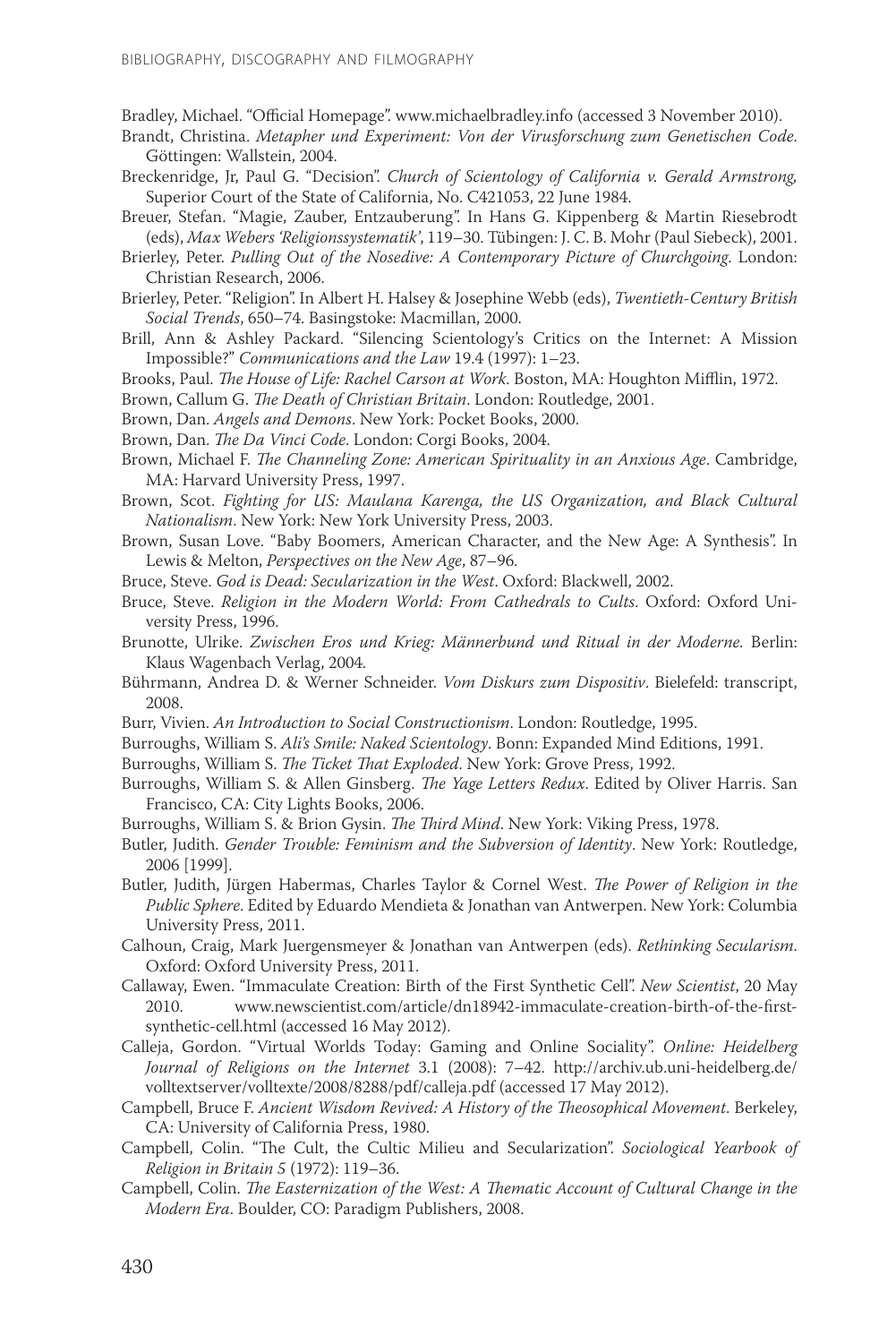Bradley, Michael. "Official Homepage". www.michaelbradley.info (accessed 3 November 2010).

- Brandt, Christina. *Metapher und Experiment: Von der Virusforschung zum Genetischen Code*. Göttingen: Wallstein, 2004.
- Breckenridge, Jr, Paul G. "Decision". *Church of Scientology of California v. Gerald Armstrong,*  Superior Court of the State of California, No. C421053, 22 June 1984.
- Breuer, Stefan. "Magie, Zauber, Entzauberung". In Hans G. Kippenberg & Martin Riesebrodt (eds), *Max Webers 'Religionssystematik'*, 119–30. Tübingen: J. C. B. Mohr (Paul Siebeck), 2001.
- Brierley, Peter. *Pulling Out of the Nosedive: A Contemporary Picture of Churchgoing*. London: Christian Research, 2006.
- Brierley, Peter. "Religion". In Albert H. Halsey & Josephine Webb (eds), *Twentieth-Century British Social Trends*, 650–74. Basingstoke: Macmillan, 2000.
- Brill, Ann & Ashley Packard. "Silencing Scientology's Critics on the Internet: A Mission Impossible?" *Communications and the Law* 19.4 (1997): 1–23.
- Brooks, Paul. *The House of Life: Rachel Carson at Work*. Boston, MA: Houghton Mifflin, 1972.
- Brown, Callum G. *The Death of Christian Britain*. London: Routledge, 2001.
- Brown, Dan. *Angels and Demons*. New York: Pocket Books, 2000.
- Brown, Dan. *The Da Vinci Code*. London: Corgi Books, 2004.
- Brown, Michael F. *The Channeling Zone: American Spirituality in an Anxious Age*. Cambridge, MA: Harvard University Press, 1997.
- Brown, Scot. *Fighting for US: Maulana Karenga, the US Organization, and Black Cultural Nationalism*. New York: New York University Press, 2003.
- Brown, Susan Love. "Baby Boomers, American Character, and the New Age: A Synthesis". In Lewis & Melton, *Perspectives on the New Age*, 87–96.
- Bruce, Steve. *God is Dead: Secularization in the West*. Oxford: Blackwell, 2002.
- Bruce, Steve. *Religion in the Modern World: From Cathedrals to Cults*. Oxford: Oxford University Press, 1996.
- Brunotte, Ulrike. *Zwischen Eros und Krieg: Männerbund und Ritual in der Moderne.* Berlin: Klaus Wagenbach Verlag, 2004.
- Bührmann, Andrea D. & Werner Schneider. *Vom Diskurs zum Dispositiv*. Bielefeld: transcript, 2008.
- Burr, Vivien. *An Introduction to Social Constructionism*. London: Routledge, 1995.
- Burroughs, William S. *Ali's Smile: Naked Scientology*. Bonn: Expanded Mind Editions, 1991.
- Burroughs, William S. *The Ticket That Exploded*. New York: Grove Press, 1992.
- Burroughs, William S. & Allen Ginsberg. *The Yage Letters Redux*. Edited by Oliver Harris. San Francisco, CA: City Lights Books, 2006.
- Burroughs, William S. & Brion Gysin. *The Third Mind*. New York: Viking Press, 1978.
- Butler, Judith. *Gender Trouble: Feminism and the Subversion of Identity*. New York: Routledge, 2006 [1999].
- Butler, Judith, Jürgen Habermas, Charles Taylor & Cornel West. *The Power of Religion in the Public Sphere*. Edited by Eduardo Mendieta & Jonathan van Antwerpen. New York: Columbia University Press, 2011.
- Calhoun, Craig, Mark Juergensmeyer & Jonathan van Antwerpen (eds). *Rethinking Secularism*. Oxford: Oxford University Press, 2011.
- Callaway, Ewen. "Immaculate Creation: Birth of the First Synthetic Cell". *New Scientist*, 20 May 2010. www.newscientist.com/article/dn18942-immaculate-creation-birth-of-the-firstsynthetic-cell.html (accessed 16 May 2012).
- Calleja, Gordon. "Virtual Worlds Today: Gaming and Online Sociality". *Online: Heidelberg Journal of Religions on the Internet* 3.1 (2008): 7–42. http://archiv.ub.uni-heidelberg.de/ volltextserver/volltexte/2008/8288/pdf/calleja.pdf (accessed 17 May 2012).
- Campbell, Bruce F. *Ancient Wisdom Revived: A History of the Theosophical Movement*. Berkeley, CA: University of California Press, 1980.
- Campbell, Colin. "The Cult, the Cultic Milieu and Secularization". *Sociological Yearbook of Religion in Britain 5* (1972): 119–36.
- Campbell, Colin. *The Easternization of the West: A Thematic Account of Cultural Change in the Modern Era*. Boulder, CO: Paradigm Publishers, 2008.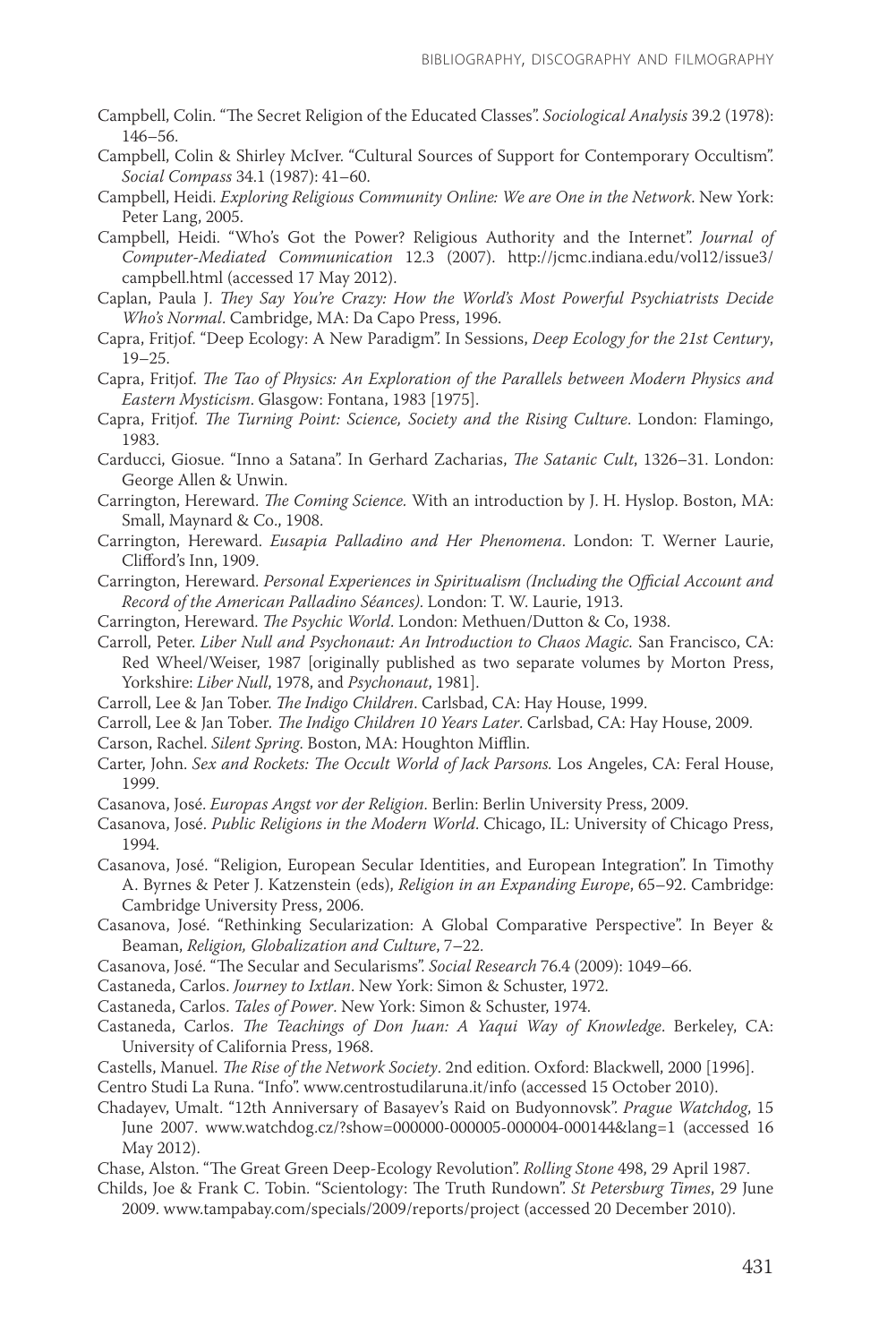- Campbell, Colin. "The Secret Religion of the Educated Classes". *Sociological Analysis* 39.2 (1978): 146–56.
- Campbell, Colin & Shirley McIver. "Cultural Sources of Support for Contemporary Occultism". *Social Compass* 34.1 (1987): 41–60.
- Campbell, Heidi. *Exploring Religious Community Online: We are One in the Network*. New York: Peter Lang, 2005.
- Campbell, Heidi. "Who's Got the Power? Religious Authority and the Internet". *Journal of Computer-Mediated Communication* 12.3 (2007). http://jcmc.indiana.edu/vol12/issue3/ campbell.html (accessed 17 May 2012).
- Caplan, Paula J. *They Say You're Crazy: How the World's Most Powerful Psychiatrists Decide Who's Normal*. Cambridge, MA: Da Capo Press, 1996.
- Capra, Fritjof. "Deep Ecology: A New Paradigm". In Sessions, *Deep Ecology for the 21st Century*, 19–25.
- Capra, Fritjof. *The Tao of Physics: An Exploration of the Parallels between Modern Physics and Eastern Mysticism*. Glasgow: Fontana, 1983 [1975].
- Capra, Fritjof. *The Turning Point: Science, Society and the Rising Culture*. London: Flamingo, 1983.
- Carducci, Giosue. "Inno a Satana". In Gerhard Zacharias, *The Satanic Cult*, 1326–31. London: George Allen & Unwin.
- Carrington, Hereward. *The Coming Science.* With an introduction by J. H. Hyslop. Boston, MA: Small, Maynard & Co., 1908.
- Carrington, Hereward. *Eusapia Palladino and Her Phenomena*. London: T. Werner Laurie, Clifford's Inn, 1909.
- Carrington, Hereward. *Personal Experiences in Spiritualism (Including the Official Account and Record of the American Palladino Séances)*. London: T. W. Laurie, 1913.
- Carrington, Hereward. *The Psychic World*. London: Methuen/Dutton & Co, 1938.

Carroll, Peter. *Liber Null and Psychonaut: An Introduction to Chaos Magic.* San Francisco, CA: Red Wheel/Weiser, 1987 [originally published as two separate volumes by Morton Press, Yorkshire: *Liber Null*, 1978, and *Psychonaut*, 1981].

Carroll, Lee & Jan Tober. *The Indigo Children*. Carlsbad, CA: Hay House, 1999.

Carroll, Lee & Jan Tober*. The Indigo Children 10 Years Later*. Carlsbad, CA: Hay House, 2009.

- Carson, Rachel. *Silent Spring*. Boston, MA: Houghton Mifflin.
- Carter, John. *Sex and Rockets: The Occult World of Jack Parsons.* Los Angeles, CA: Feral House, 1999.
- Casanova, José. *Europas Angst vor der Religion*. Berlin: Berlin University Press, 2009.
- Casanova, José. *Public Religions in the Modern World*. Chicago, IL: University of Chicago Press, 1994.
- Casanova, José. "Religion, European Secular Identities, and European Integration". In Timothy A. Byrnes & Peter J. Katzenstein (eds), *Religion in an Expanding Europe*, 65–92. Cambridge: Cambridge University Press, 2006.
- Casanova, José. "Rethinking Secularization: A Global Comparative Perspective". In Beyer & Beaman, *Religion, Globalization and Culture*, 7–22.
- Casanova, José. "The Secular and Secularisms". *Social Research* 76.4 (2009): 1049–66.
- Castaneda, Carlos. *Journey to Ixtlan*. New York: Simon & Schuster, 1972.

Castaneda, Carlos. *Tales of Power*. New York: Simon & Schuster, 1974.

Castaneda, Carlos. *The Teachings of Don Juan: A Yaqui Way of Knowledge*. Berkeley, CA: University of California Press, 1968.

Castells, Manuel. *The Rise of the Network Society*. 2nd edition. Oxford: Blackwell, 2000 [1996].

Centro Studi La Runa. "Info". www.centrostudilaruna.it/info (accessed 15 October 2010).

Chadayev, Umalt. "12th Anniversary of Basayev's Raid on Budyonnovsk". *Prague Watchdog*, 15 June 2007. www.watchdog.cz/?show=000000-000005-000004-000144&lang=1 (accessed 16 May 2012).

Chase, Alston. "The Great Green Deep-Ecology Revolution". *Rolling Stone* 498, 29 April 1987.

Childs, Joe & Frank C. Tobin. "Scientology: The Truth Rundown". *St Petersburg Times*, 29 June 2009. www.tampabay.com/specials/2009/reports/project (accessed 20 December 2010).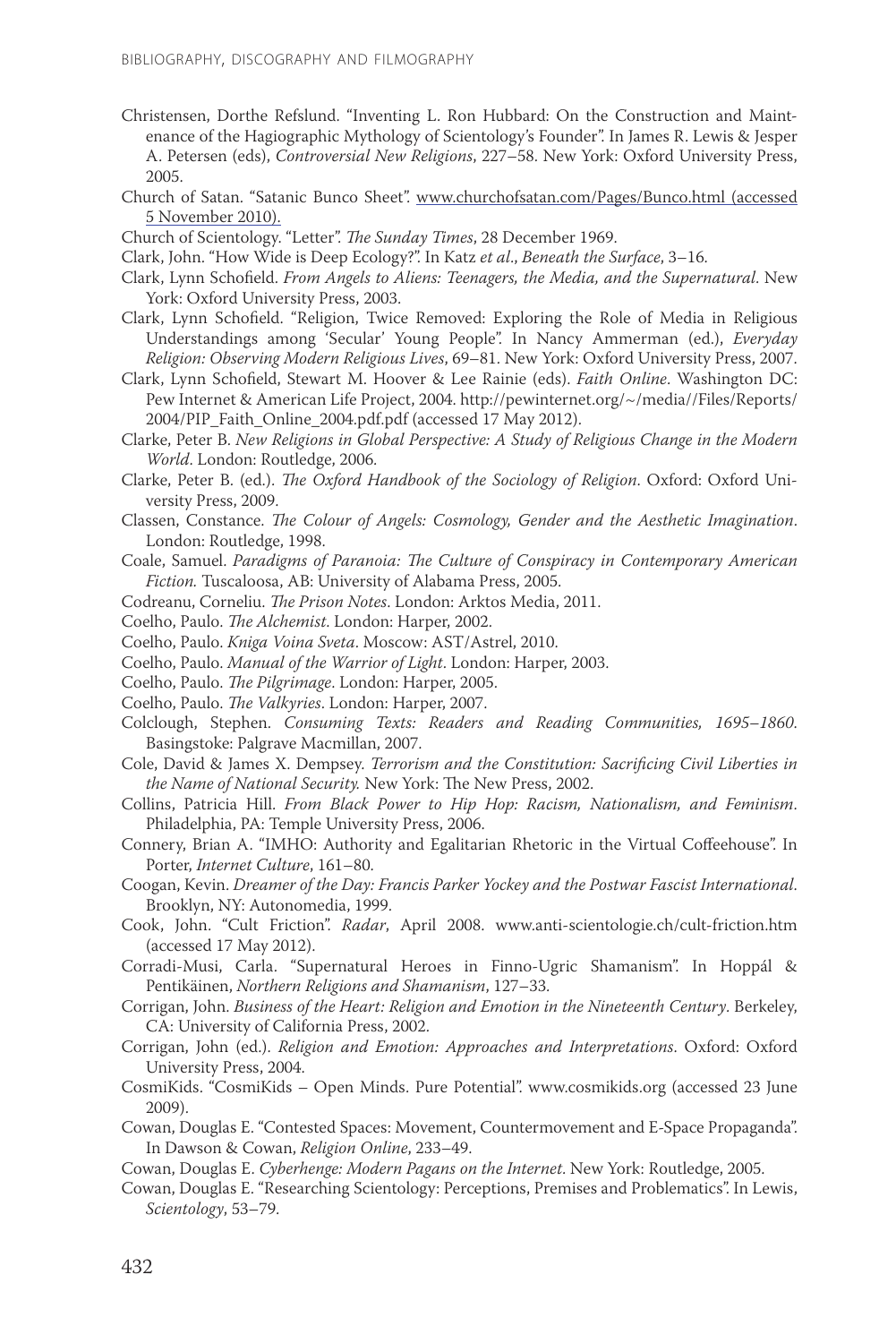- Christensen, Dorthe Refslund. "Inventing L. Ron Hubbard: On the Construction and Maintenance of the Hagiographic Mythology of Scientology's Founder". In James R. Lewis & Jesper A. Petersen (eds), *Controversial New Religions*, 227–58. New York: Oxford University Press, 2005.
- Church of Satan. "Satanic Bunco Sheet". www.churchofsatan.com/Pages/Bunco.html (accessed 5 November 2010).

Church of Scientology. "Letter". *The Sunday Times*, 28 December 1969.

- Clark, John. "How Wide is Deep Ecology?". In Katz *et al*., *Beneath the Surface*, 3–16.
- Clark, Lynn Schofield. *From Angels to Aliens: Teenagers, the Media, and the Supernatural*. New York: Oxford University Press, 2003.
- Clark, Lynn Schofield. "Religion, Twice Removed: Exploring the Role of Media in Religious Understandings among 'Secular' Young People". In Nancy Ammerman (ed.), *Everyday Religion: Observing Modern Religious Lives*, 69–81. New York: Oxford University Press, 2007.
- Clark, Lynn Schofield, Stewart M. Hoover & Lee Rainie (eds). *Faith Online*. Washington DC: Pew Internet & American Life Project, 2004. http://pewinternet.org/~/media//Files/Reports/ 2004/PIP\_Faith\_Online\_2004.pdf.pdf (accessed 17 May 2012).
- Clarke, Peter B. *New Religions in Global Perspective: A Study of Religious Change in the Modern World*. London: Routledge, 2006.
- Clarke, Peter B. (ed.). *The Oxford Handbook of the Sociology of Religion*. Oxford: Oxford University Press, 2009.
- Classen, Constance. *The Colour of Angels: Cosmology, Gender and the Aesthetic Imagination*. London: Routledge, 1998.
- Coale, Samuel. *Paradigms of Paranoia: The Culture of Conspiracy in Contemporary American Fiction.* Tuscaloosa, AB: University of Alabama Press, 2005.
- Codreanu, Corneliu. *The Prison Notes*. London: Arktos Media, 2011.
- Coelho, Paulo. *The Alchemist*. London: Harper, 2002.
- Coelho, Paulo. *Kniga Voina Sveta*. Moscow: AST/Astrel, 2010.
- Coelho, Paulo. *Manual of the Warrior of Light*. London: Harper, 2003.
- Coelho, Paulo. *The Pilgrimage*. London: Harper, 2005.
- Coelho, Paulo. *The Valkyries*. London: Harper, 2007.
- Colclough, Stephen. *Consuming Texts: Readers and Reading Communities, 1695–1860*. Basingstoke: Palgrave Macmillan, 2007.
- Cole, David & James X. Dempsey. *Terrorism and the Constitution: Sacrificing Civil Liberties in the Name of National Security.* New York: The New Press, 2002.
- Collins, Patricia Hill. *From Black Power to Hip Hop: Racism, Nationalism, and Feminism*. Philadelphia, PA: Temple University Press, 2006.
- Connery, Brian A. "IMHO: Authority and Egalitarian Rhetoric in the Virtual Coffeehouse". In Porter, *Internet Culture*, 161–80.
- Coogan, Kevin. *Dreamer of the Day: Francis Parker Yockey and the Postwar Fascist International*. Brooklyn, NY: Autonomedia, 1999.
- Cook, John. "Cult Friction". *Radar*, April 2008. www.anti-scientologie.ch/cult-friction.htm (accessed 17 May 2012).
- Corradi-Musi, Carla. "Supernatural Heroes in Finno-Ugric Shamanism". In Hoppál & Pentikäinen, *Northern Religions and Shamanism*, 127–33.
- Corrigan, John. *Business of the Heart: Religion and Emotion in the Nineteenth Century*. Berkeley, CA: University of California Press, 2002.
- Corrigan, John (ed.). *Religion and Emotion: Approaches and Interpretations*. Oxford: Oxford University Press, 2004.
- CosmiKids. "CosmiKids Open Minds. Pure Potential". www.cosmikids.org (accessed 23 June 2009).
- Cowan, Douglas E. "Contested Spaces: Movement, Countermovement and E-Space Propaganda". In Dawson & Cowan, *Religion Online*, 233–49.
- Cowan, Douglas E. *Cyberhenge: Modern Pagans on the Internet*. New York: Routledge, 2005.
- Cowan, Douglas E. "Researching Scientology: Perceptions, Premises and Problematics". In Lewis, *Scientology*, 53–79.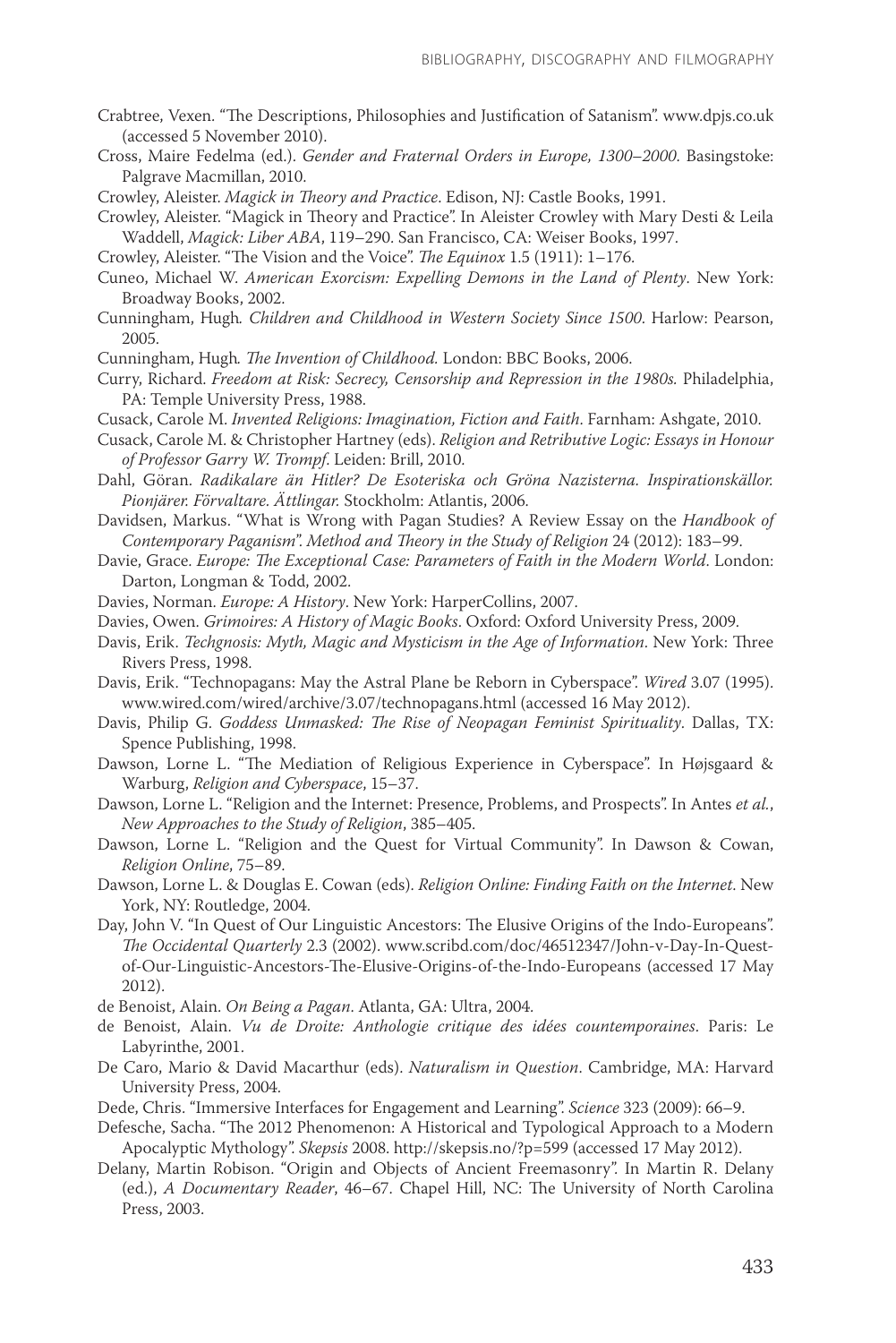- Crabtree, Vexen. "The Descriptions, Philosophies and Justification of Satanism". www.dpjs.co.uk (accessed 5 November 2010).
- Cross, Maire Fedelma (ed.). *Gender and Fraternal Orders in Europe, 1300–2000*. Basingstoke: Palgrave Macmillan, 2010.

Crowley, Aleister. *Magick in Theory and Practice*. Edison, NJ: Castle Books, 1991.

Crowley, Aleister. "Magick in Theory and Practice". In Aleister Crowley with Mary Desti & Leila Waddell, *Magick: Liber ABA*, 119–290. San Francisco, CA: Weiser Books, 1997.

Crowley, Aleister. "The Vision and the Voice". *The Equinox* 1.5 (1911): 1–176.

- Cuneo, Michael W. *American Exorcism: Expelling Demons in the Land of Plenty*. New York: Broadway Books, 2002.
- Cunningham, Hugh*. Children and Childhood in Western Society Since 1500*. Harlow: Pearson, 2005.

Cunningham, Hugh*. The Invention of Childhood.* London: BBC Books, 2006.

- Curry, Richard. *Freedom at Risk: Secrecy, Censorship and Repression in the 1980s.* Philadelphia, PA: Temple University Press, 1988.
- Cusack, Carole M. *Invented Religions: Imagination, Fiction and Faith*. Farnham: Ashgate, 2010.
- Cusack, Carole M. & Christopher Hartney (eds). *Religion and Retributive Logic: Essays in Honour of Professor Garry W. Trompf*. Leiden: Brill, 2010.
- Dahl, Göran. *Radikalare än Hitler? De Esoteriska och Gröna Nazisterna. Inspirationskällor. Pionjärer. Förvaltare. Ättlingar.* Stockholm: Atlantis, 2006.
- Davidsen, Markus. "What is Wrong with Pagan Studies? A Review Essay on the *Handbook of Contemporary Paganism*". *Method and Theory in the Study of Religion* 24 (2012): 183–99.
- Davie, Grace. *Europe: The Exceptional Case: Parameters of Faith in the Modern World*. London: Darton, Longman & Todd, 2002.
- Davies, Norman. *Europe: A History*. New York: HarperCollins, 2007.
- Davies, Owen. *Grimoires: A History of Magic Books*. Oxford: Oxford University Press, 2009.
- Davis, Erik. *Techgnosis: Myth, Magic and Mysticism in the Age of Information*. New York: Three Rivers Press, 1998.
- Davis, Erik. "Technopagans: May the Astral Plane be Reborn in Cyberspace". *Wired* 3.07 (1995). www.wired.com/wired/archive/3.07/technopagans.html (accessed 16 May 2012).
- Davis, Philip G. *Goddess Unmasked: The Rise of Neopagan Feminist Spirituality*. Dallas, TX: Spence Publishing, 1998.
- Dawson, Lorne L. "The Mediation of Religious Experience in Cyberspace". In Højsgaard & Warburg, *Religion and Cyberspace*, 15–37.
- Dawson, Lorne L. "Religion and the Internet: Presence, Problems, and Prospects". In Antes *et al.*, *New Approaches to the Study of Religion*, 385–405.
- Dawson, Lorne L. "Religion and the Quest for Virtual Community". In Dawson & Cowan, *Religion Online*, 75–89.
- Dawson, Lorne L. & Douglas E. Cowan (eds). *Religion Online: Finding Faith on the Internet*. New York, NY: Routledge, 2004.
- Day, John V. "In Quest of Our Linguistic Ancestors: The Elusive Origins of the Indo-Europeans". *The Occidental Quarterly* 2.3 (2002). www.scribd.com/doc/46512347/John-v-Day-In-Questof-Our-Linguistic-Ancestors-The-Elusive-Origins-of-the-Indo-Europeans (accessed 17 May 2012).

de Benoist, Alain. *On Being a Pagan*. Atlanta, GA: Ultra, 2004.

de Benoist, Alain. *Vu de Droite: Anthologie critique des idées countemporaines*. Paris: Le Labyrinthe, 2001.

- De Caro, Mario & David Macarthur (eds). *Naturalism in Question*. Cambridge, MA: Harvard University Press, 2004.
- Dede, Chris. "Immersive Interfaces for Engagement and Learning". *Science* 323 (2009): 66–9.
- Defesche, Sacha. "The 2012 Phenomenon: A Historical and Typological Approach to a Modern Apocalyptic Mythology". *Skepsis* 2008. http://skepsis.no/?p=599 (accessed 17 May 2012).
- Delany, Martin Robison. "Origin and Objects of Ancient Freemasonry". In Martin R. Delany (ed.), *A Documentary Reader*, 46–67. Chapel Hill, NC: The University of North Carolina Press, 2003.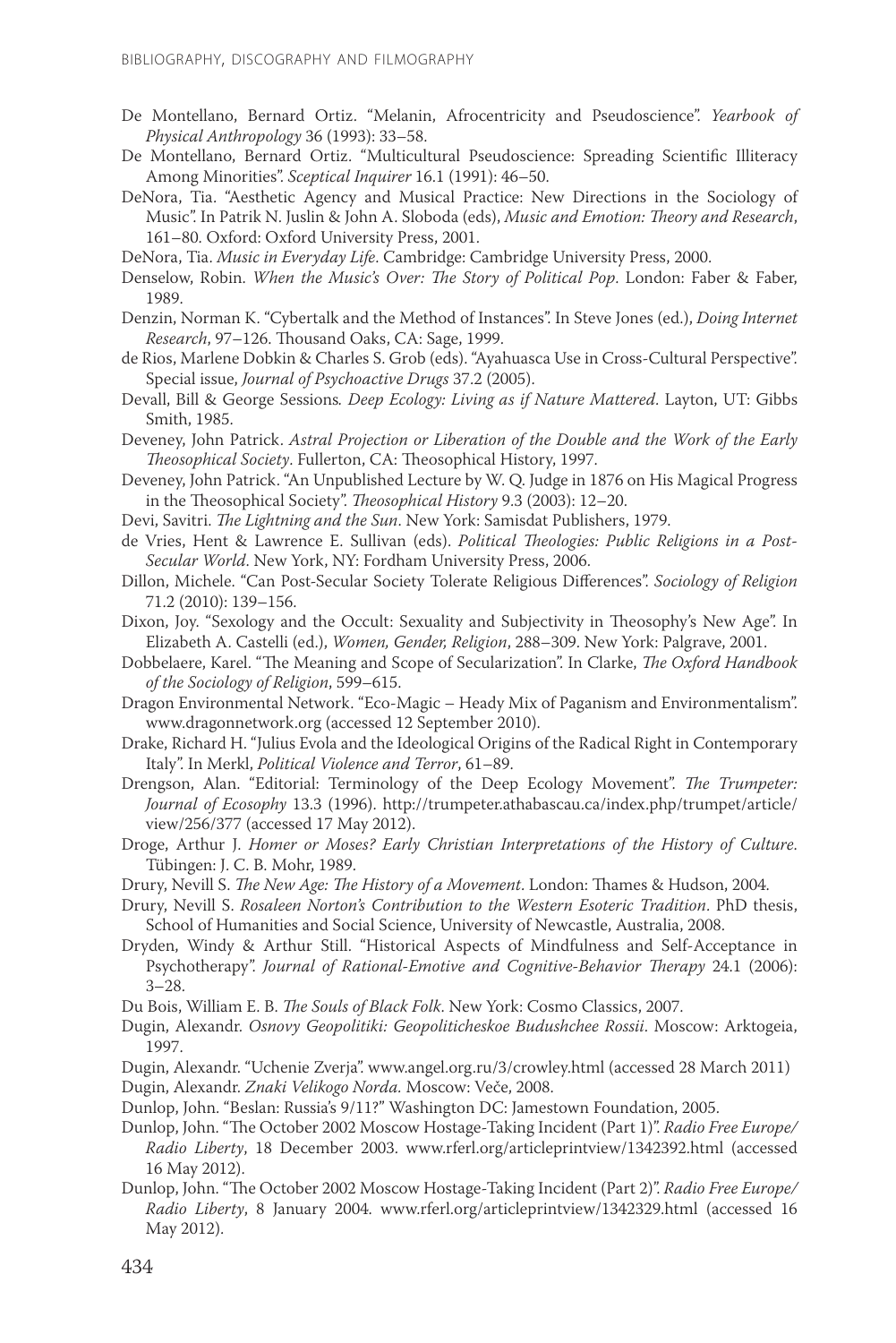- De Montellano, Bernard Ortiz. "Melanin, Afrocentricity and Pseudoscience". *Yearbook of Physical Anthropology* 36 (1993): 33–58.
- De Montellano, Bernard Ortiz. "Multicultural Pseudoscience: Spreading Scientific Illiteracy Among Minorities". *Sceptical Inquirer* 16.1 (1991): 46–50.
- DeNora, Tia. "Aesthetic Agency and Musical Practice: New Directions in the Sociology of Music". In Patrik N. Juslin & John A. Sloboda (eds), *Music and Emotion: Theory and Research*, 161–80. Oxford: Oxford University Press, 2001.

DeNora, Tia. *Music in Everyday Life*. Cambridge: Cambridge University Press, 2000.

- Denselow, Robin. *When the Music's Over: The Story of Political Pop*. London: Faber & Faber, 1989.
- Denzin, Norman K. "Cybertalk and the Method of Instances". In Steve Jones (ed.), *Doing Internet Research*, 97–126. Thousand Oaks, CA: Sage, 1999.
- de Rios, Marlene Dobkin & Charles S. Grob (eds). "Ayahuasca Use in Cross-Cultural Perspective". Special issue, *Journal of Psychoactive Drugs* 37.2 (2005).
- Devall, Bill & George Sessions*. Deep Ecology: Living as if Nature Mattered*. Layton, UT: Gibbs Smith, 1985.
- Deveney, John Patrick. *Astral Projection or Liberation of the Double and the Work of the Early Theosophical Society*. Fullerton, CA: Theosophical History, 1997.
- Deveney, John Patrick. "An Unpublished Lecture by W. Q. Judge in 1876 on His Magical Progress in the Theosophical Society". *Theosophical History* 9.3 (2003): 12–20.
- Devi, Savitri. *The Lightning and the Sun*. New York: Samisdat Publishers, 1979.
- de Vries, Hent & Lawrence E. Sullivan (eds). *Political Theologies: Public Religions in a Post-Secular World*. New York, NY: Fordham University Press, 2006.
- Dillon, Michele. "Can Post-Secular Society Tolerate Religious Differences". *Sociology of Religion*  71.2 (2010): 139–156.
- Dixon, Joy. "Sexology and the Occult: Sexuality and Subjectivity in Theosophy's New Age". In Elizabeth A. Castelli (ed.), *Women, Gender, Religion*, 288–309. New York: Palgrave, 2001.
- Dobbelaere, Karel. "The Meaning and Scope of Secularization". In Clarke, *The Oxford Handbook of the Sociology of Religion*, 599–615.
- Dragon Environmental Network. "Eco-Magic Heady Mix of Paganism and Environmentalism". www.dragonnetwork.org (accessed 12 September 2010).
- Drake, Richard H. "Julius Evola and the Ideological Origins of the Radical Right in Contemporary Italy". In Merkl, *Political Violence and Terror*, 61–89.
- Drengson, Alan. "Editorial: Terminology of the Deep Ecology Movement". *The Trumpeter: Journal of Ecosophy* 13.3 (1996). http://trumpeter.athabascau.ca/index.php/trumpet/article/ view/256/377 (accessed 17 May 2012).
- Droge, Arthur J. *Homer or Moses? Early Christian Interpretations of the History of Culture*. Tübingen: J. C. B. Mohr, 1989.
- Drury, Nevill S. *The New Age: The History of a Movement*. London: Thames & Hudson, 2004.
- Drury, Nevill S. *Rosaleen Norton's Contribution to the Western Esoteric Tradition*. PhD thesis, School of Humanities and Social Science, University of Newcastle, Australia, 2008.
- Dryden, Windy & Arthur Still. "Historical Aspects of Mindfulness and Self-Acceptance in Psychotherapy". *Journal of Rational-Emotive and Cognitive-Behavior Therapy* 24.1 (2006): 3–28.

Du Bois, William E. B. *The Souls of Black Folk*. New York: Cosmo Classics, 2007.

- Dugin, Alexandr. *Osnovy Geopolitiki: Geopoliticheskoe Budushchee Rossii*. Moscow: Arktogeia, 1997.
- Dugin, Alexandr. "Uchenie Zverja". www.angel.org.ru/3/crowley.html (accessed 28 March 2011) Dugin, Alexandr. *Znaki Velikogo Norda.* Moscow: Veče, 2008.
- Dunlop, John. "Beslan: Russia's 9/11?" Washington DC: Jamestown Foundation, 2005.
- Dunlop, John. "The October 2002 Moscow Hostage-Taking Incident (Part 1)". *Radio Free Europe/ Radio Liberty*, 18 December 2003. www.rferl.org/articleprintview/1342392.html (accessed 16 May 2012).
- Dunlop, John. "The October 2002 Moscow Hostage-Taking Incident (Part 2)". *Radio Free Europe/ Radio Liberty*, 8 January 2004. www.rferl.org/articleprintview/1342329.html (accessed 16 May 2012).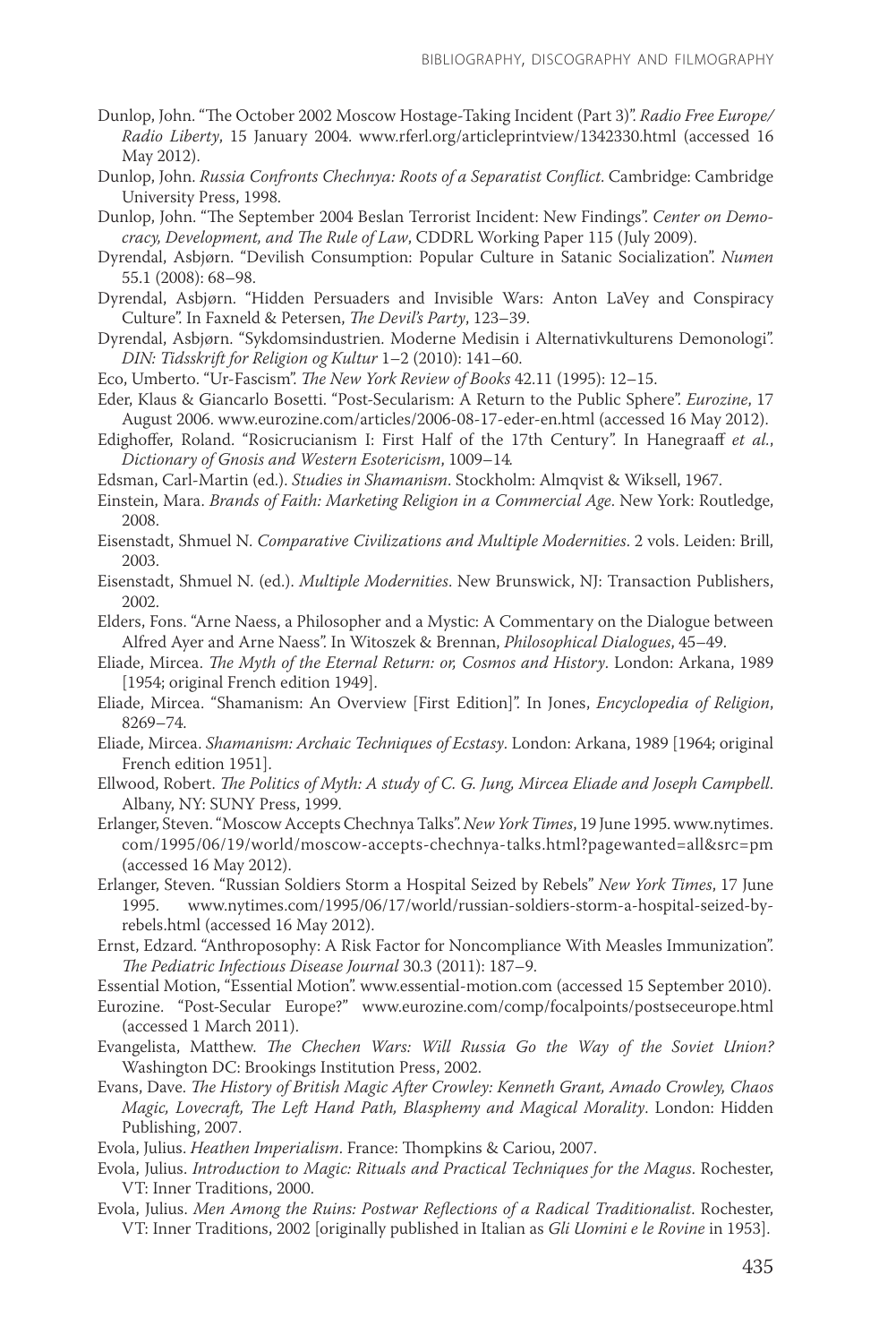- Dunlop, John. "The October 2002 Moscow Hostage-Taking Incident (Part 3)". *Radio Free Europe/ Radio Liberty*, 15 January 2004. www.rferl.org/articleprintview/1342330.html (accessed 16 May 2012).
- Dunlop, John. *Russia Confronts Chechnya: Roots of a Separatist Conflict*. Cambridge: Cambridge University Press, 1998.
- Dunlop, John. "The September 2004 Beslan Terrorist Incident: New Findings". *Center on Democracy, Development, and The Rule of Law*, CDDRL Working Paper 115 (July 2009).
- Dyrendal, Asbjørn. "Devilish Consumption: Popular Culture in Satanic Socialization". *Numen*  55.1 (2008): 68–98.
- Dyrendal, Asbjørn. "Hidden Persuaders and Invisible Wars: Anton LaVey and Conspiracy Culture". In Faxneld & Petersen, *The Devil's Party*, 123–39.
- Dyrendal, Asbjørn. "Sykdomsindustrien. Moderne Medisin i Alternativkulturens Demonologi". *DIN: Tidsskrift for Religion og Kultur* 1–2 (2010): 141–60.
- Eco, Umberto. "Ur-Fascism". *The New York Review of Books* 42.11 (1995): 12–15.
- Eder, Klaus & Giancarlo Bosetti. "Post-Secularism: A Return to the Public Sphere". *Eurozine*, 17 August 2006. www.eurozine.com/articles/2006-08-17-eder-en.html (accessed 16 May 2012).
- Edighoffer, Roland. "Rosicrucianism I: First Half of the 17th Century". In Hanegraaff *et al.*, *Dictionary of Gnosis and Western Esotericism*, 1009–14*.*
- Edsman, Carl-Martin (ed.). *Studies in Shamanism*. Stockholm: Almqvist & Wiksell, 1967.
- Einstein, Mara. *Brands of Faith: Marketing Religion in a Commercial Age*. New York: Routledge, 2008.
- Eisenstadt, Shmuel N. *Comparative Civilizations and Multiple Modernities*. 2 vols. Leiden: Brill, 2003.
- Eisenstadt, Shmuel N. (ed.). *Multiple Modernities*. New Brunswick, NJ: Transaction Publishers, 2002.
- Elders, Fons. "Arne Naess, a Philosopher and a Mystic: A Commentary on the Dialogue between Alfred Ayer and Arne Naess". In Witoszek & Brennan, *Philosophical Dialogues*, 45–49.
- Eliade, Mircea. *The Myth of the Eternal Return: or, Cosmos and History*. London: Arkana, 1989 [1954; original French edition 1949].
- Eliade, Mircea. "Shamanism: An Overview [First Edition]". In Jones, *Encyclopedia of Religion*, 8269–74.
- Eliade, Mircea. *Shamanism: Archaic Techniques of Ecstasy*. London: Arkana, 1989 [1964; original French edition 1951].
- Ellwood, Robert. *The Politics of Myth: A study of C. G. Jung, Mircea Eliade and Joseph Campbell*. Albany, NY: SUNY Press, 1999.
- Erlanger, Steven. "Moscow Accepts Chechnya Talks". *New York Times*, 19 June 1995. www.nytimes. com/1995/06/19/world/moscow-accepts-chechnya-talks.html?pagewanted=all&src=pm (accessed 16 May 2012).
- Erlanger, Steven. "Russian Soldiers Storm a Hospital Seized by Rebels" *New York Times*, 17 June 1995. www.nytimes.com/1995/06/17/world/russian-soldiers-storm-a-hospital-seized-byrebels.html (accessed 16 May 2012).
- Ernst, Edzard. "Anthroposophy: A Risk Factor for Noncompliance With Measles Immunization". *The Pediatric Infectious Disease Journal* 30.3 (2011): 187–9.
- Essential Motion, "Essential Motion". www.essential-motion.com (accessed 15 September 2010).
- Eurozine. "Post-Secular Europe?" www.eurozine.com/comp/focalpoints/postseceurope.html (accessed 1 March 2011).
- Evangelista, Matthew. *The Chechen Wars: Will Russia Go the Way of the Soviet Union?* Washington DC: Brookings Institution Press, 2002.
- Evans, Dave. *The History of British Magic After Crowley: Kenneth Grant, Amado Crowley, Chaos Magic, Lovecraft, The Left Hand Path, Blasphemy and Magical Morality*. London: Hidden Publishing, 2007.
- Evola, Julius. *Heathen Imperialism*. France: Thompkins & Cariou, 2007.
- Evola, Julius. *Introduction to Magic: Rituals and Practical Techniques for the Magus*. Rochester, VT: Inner Traditions, 2000.
- Evola, Julius. *Men Among the Ruins: Postwar Reflections of a Radical Traditionalist*. Rochester, VT: Inner Traditions, 2002 [originally published in Italian as *Gli Uomini e le Rovine* in 1953].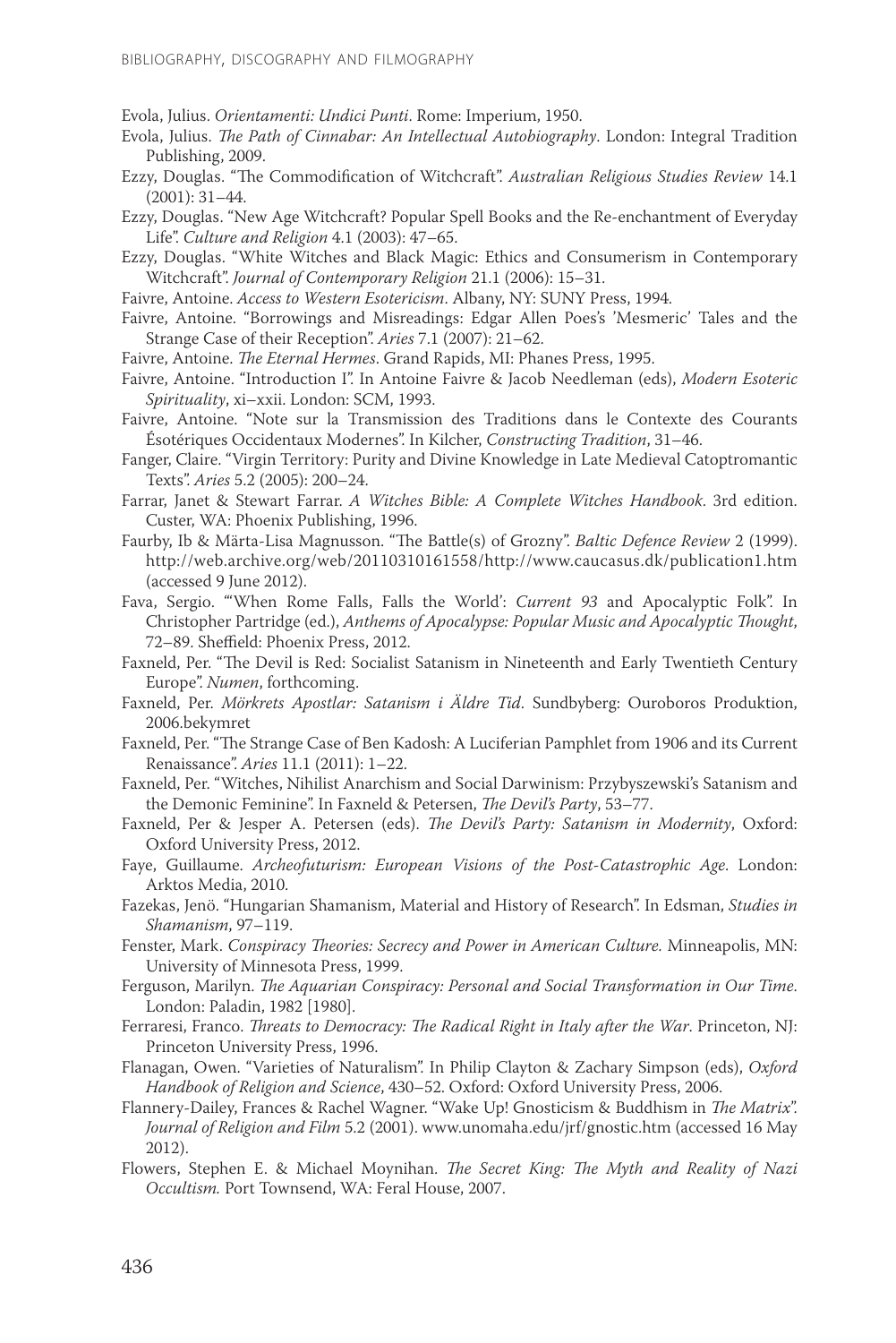Evola, Julius. *Orientamenti: Undici Punti*. Rome: Imperium, 1950.

- Evola, Julius. *The Path of Cinnabar: An Intellectual Autobiography*. London: Integral Tradition Publishing, 2009.
- Ezzy, Douglas. "The Commodification of Witchcraft". *Australian Religious Studies Review* 14.1 (2001): 31–44.
- Ezzy, Douglas. "New Age Witchcraft? Popular Spell Books and the Re-enchantment of Everyday Life". *Culture and Religion* 4.1 (2003): 47–65.
- Ezzy, Douglas. "White Witches and Black Magic: Ethics and Consumerism in Contemporary Witchcraft". *Journal of Contemporary Religion* 21.1 (2006): 15–31.
- Faivre, Antoine. *Access to Western Esotericism*. Albany, NY: SUNY Press, 1994.
- Faivre, Antoine. "Borrowings and Misreadings: Edgar Allen Poes's 'Mesmeric' Tales and the Strange Case of their Reception". *Aries* 7.1 (2007): 21–62.
- Faivre, Antoine. *The Eternal Hermes*. Grand Rapids, MI: Phanes Press, 1995.
- Faivre, Antoine. "Introduction I". In Antoine Faivre & Jacob Needleman (eds), *Modern Esoteric Spirituality*, xi–xxii. London: SCM, 1993.
- Faivre, Antoine. "Note sur la Transmission des Traditions dans le Contexte des Courants Ésotériques Occidentaux Modernes". In Kilcher, *Constructing Tradition*, 31–46.
- Fanger, Claire. "Virgin Territory: Purity and Divine Knowledge in Late Medieval Catoptromantic Texts". *Aries* 5.2 (2005): 200–24.
- Farrar, Janet & Stewart Farrar. *A Witches Bible: A Complete Witches Handbook*. 3rd edition. Custer, WA: Phoenix Publishing, 1996.
- Faurby, Ib & Märta-Lisa Magnusson. "The Battle(s) of Grozny". *Baltic Defence Review* 2 (1999). http://web.archive.org/web/20110310161558/http://www.caucasus.dk/publication1.htm (accessed 9 June 2012).
- Fava, Sergio. "'When Rome Falls, Falls the World': *Current 93* and Apocalyptic Folk". In Christopher Partridge (ed.), *Anthems of Apocalypse: Popular Music and Apocalyptic Thought*, 72–89. Sheffield: Phoenix Press, 2012.
- Faxneld, Per. "The Devil is Red: Socialist Satanism in Nineteenth and Early Twentieth Century Europe". *Numen*, forthcoming.
- Faxneld, Per. *Mörkrets Apostlar: Satanism i Äldre Tid*. Sundbyberg: Ouroboros Produktion, 2006.bekymret
- Faxneld, Per. "The Strange Case of Ben Kadosh: A Luciferian Pamphlet from 1906 and its Current Renaissance". *Aries* 11.1 (2011): 1–22.
- Faxneld, Per. "Witches, Nihilist Anarchism and Social Darwinism: Przybyszewski's Satanism and the Demonic Feminine". In Faxneld & Petersen, *The Devil's Party*, 53–77.
- Faxneld, Per & Jesper A. Petersen (eds). *The Devil's Party: Satanism in Modernity*, Oxford: Oxford University Press, 2012.
- Faye, Guillaume. *Archeofuturism: European Visions of the Post-Catastrophic Age*. London: Arktos Media, 2010.
- Fazekas, Jenö. "Hungarian Shamanism, Material and History of Research". In Edsman, *Studies in Shamanism*, 97–119.
- Fenster, Mark. *Conspiracy Theories: Secrecy and Power in American Culture.* Minneapolis, MN: University of Minnesota Press, 1999.
- Ferguson, Marilyn. *The Aquarian Conspiracy: Personal and Social Transformation in Our Time*. London: Paladin, 1982 [1980].
- Ferraresi, Franco. *Threats to Democracy: The Radical Right in Italy after the War*. Princeton, NJ: Princeton University Press, 1996.
- Flanagan, Owen. "Varieties of Naturalism". In Philip Clayton & Zachary Simpson (eds), *Oxford Handbook of Religion and Science*, 430–52. Oxford: Oxford University Press, 2006.
- Flannery-Dailey, Frances & Rachel Wagner. "Wake Up! Gnosticism & Buddhism in *The Matrix*". *Journal of Religion and Film* 5.2 (2001). www.unomaha.edu/jrf/gnostic.htm (accessed 16 May 2012).
- Flowers, Stephen E. & Michael Moynihan. *The Secret King: The Myth and Reality of Nazi Occultism.* Port Townsend, WA: Feral House, 2007.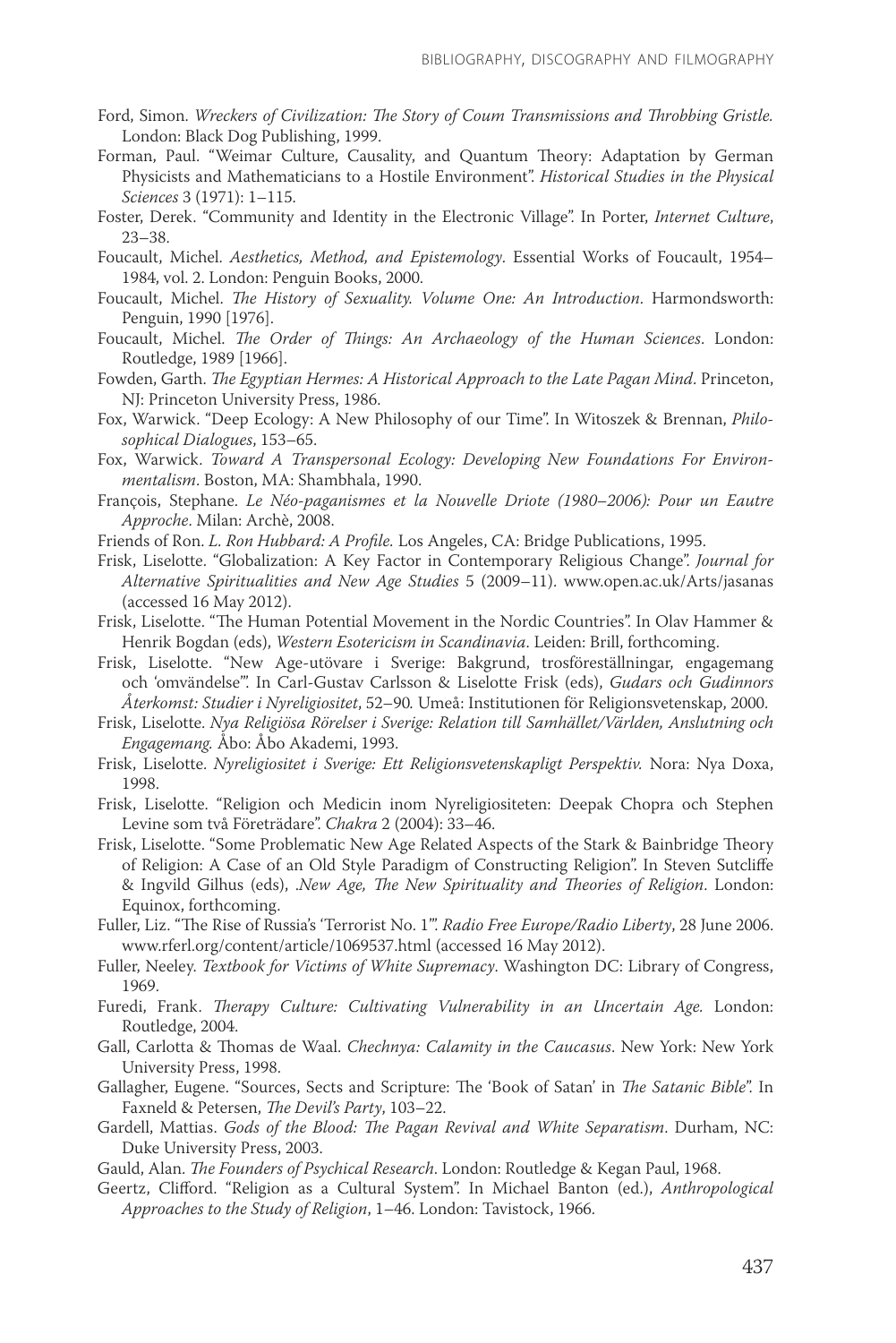- Ford, Simon. *Wreckers of Civilization: The Story of Coum Transmissions and Throbbing Gristle.*  London: Black Dog Publishing, 1999.
- Forman, Paul. "Weimar Culture, Causality, and Quantum Theory: Adaptation by German Physicists and Mathematicians to a Hostile Environment". *Historical Studies in the Physical Sciences* 3 (1971): 1–115.
- Foster, Derek. "Community and Identity in the Electronic Village". In Porter, *Internet Culture*, 23–38.
- Foucault, Michel. *Aesthetics, Method, and Epistemology*. Essential Works of Foucault, 1954– 1984, vol. 2. London: Penguin Books, 2000.
- Foucault, Michel. *The History of Sexuality. Volume One: An Introduction*. Harmondsworth: Penguin, 1990 [1976].
- Foucault, Michel. *The Order of Things: An Archaeology of the Human Sciences*. London: Routledge, 1989 [1966].
- Fowden, Garth. *The Egyptian Hermes: A Historical Approach to the Late Pagan Mind*. Princeton, NJ: Princeton University Press, 1986.
- Fox, Warwick. "Deep Ecology: A New Philosophy of our Time". In Witoszek & Brennan, *Philosophical Dialogues*, 153–65.
- Fox, Warwick. *Toward A Transpersonal Ecology: Developing New Foundations For Environmentalism*. Boston, MA: Shambhala, 1990.
- François, Stephane. *Le Néo-paganismes et la Nouvelle Driote (1980–2006): Pour un Eautre Approche*. Milan: Archè, 2008.
- Friends of Ron. *L. Ron Hubbard: A Profile.* Los Angeles, CA: Bridge Publications, 1995.
- Frisk, Liselotte. "Globalization: A Key Factor in Contemporary Religious Change". *Journal for Alternative Spiritualities and New Age Studies* 5 (2009–11). www.open.ac.uk/Arts/jasanas (accessed 16 May 2012).
- Frisk, Liselotte. "The Human Potential Movement in the Nordic Countries". In Olav Hammer & Henrik Bogdan (eds), *Western Esotericism in Scandinavia*. Leiden: Brill, forthcoming.
- Frisk, Liselotte. "New Age-utövare i Sverige: Bakgrund, trosföreställningar, engagemang och 'omvändelse'". In Carl-Gustav Carlsson & Liselotte Frisk (eds), *Gudars och Gudinnors Återkomst: Studier i Nyreligiositet*, 52–90*.* Umeå: Institutionen för Religionsvetenskap, 2000.
- Frisk, Liselotte. *Nya Religiösa Rörelser i Sverige: Relation till Samhället/Världen, Anslutning och Engagemang.* Åbo: Åbo Akademi, 1993.
- Frisk, Liselotte. *Nyreligiositet i Sverige: Ett Religionsvetenskapligt Perspektiv.* Nora: Nya Doxa, 1998.
- Frisk, Liselotte. "Religion och Medicin inom Nyreligiositeten: Deepak Chopra och Stephen Levine som två Företrädare". *Chakra* 2 (2004): 33–46.
- Frisk, Liselotte. "Some Problematic New Age Related Aspects of the Stark & Bainbridge Theory of Religion: A Case of an Old Style Paradigm of Constructing Religion". In Steven Sutcliffe & Ingvild Gilhus (eds), .*New Age, The New Spirituality and Theories of Religion*. London: Equinox, forthcoming.
- Fuller, Liz. "The Rise of Russia's 'Terrorist No. 1'". *Radio Free Europe/Radio Liberty*, 28 June 2006. www.rferl.org/content/article/1069537.html (accessed 16 May 2012).
- Fuller, Neeley. *Textbook for Victims of White Supremacy*. Washington DC: Library of Congress, 1969.
- Furedi, Frank. *Therapy Culture: Cultivating Vulnerability in an Uncertain Age.* London: Routledge, 2004.
- Gall, Carlotta & Thomas de Waal. *Chechnya: Calamity in the Caucasus*. New York: New York University Press, 1998.
- Gallagher, Eugene. "Sources, Sects and Scripture: The 'Book of Satan' in *The Satanic Bible*". In Faxneld & Petersen, *The Devil's Party*, 103–22.
- Gardell, Mattias. *Gods of the Blood: The Pagan Revival and White Separatism*. Durham, NC: Duke University Press, 2003.
- Gauld, Alan. *The Founders of Psychical Research*. London: Routledge & Kegan Paul, 1968.
- Geertz, Clifford. "Religion as a Cultural System". In Michael Banton (ed.), *Anthropological Approaches to the Study of Religion*, 1–46. London: Tavistock, 1966.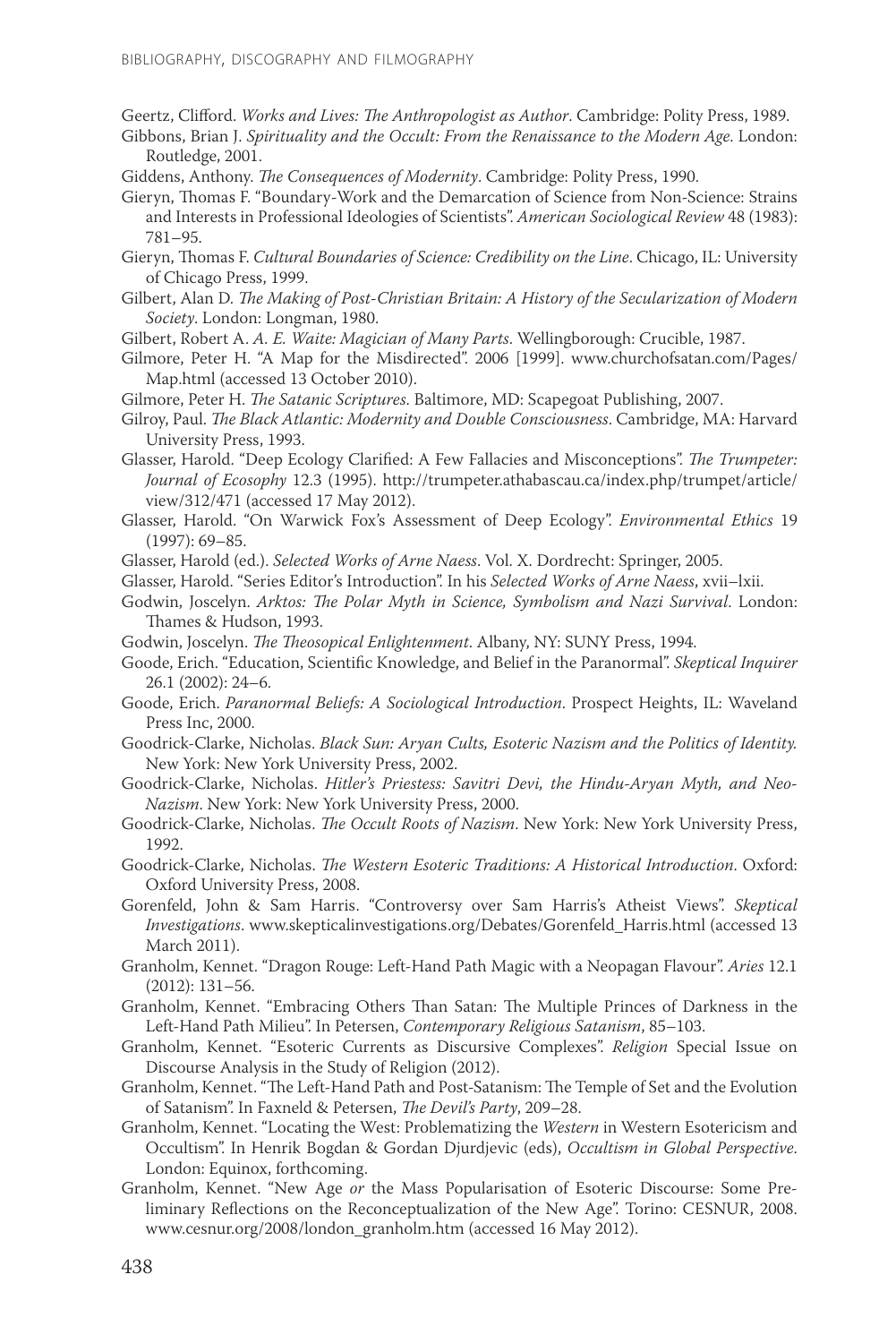Geertz, Clifford. *Works and Lives: The Anthropologist as Author*. Cambridge: Polity Press, 1989.

- Gibbons, Brian J. *Spirituality and the Occult: From the Renaissance to the Modern Age*. London: Routledge, 2001.
- Giddens, Anthony. *The Consequences of Modernity*. Cambridge: Polity Press, 1990.
- Gieryn, Thomas F. "Boundary-Work and the Demarcation of Science from Non-Science: Strains and Interests in Professional Ideologies of Scientists". *American Sociological Review* 48 (1983): 781–95.
- Gieryn, Thomas F. *Cultural Boundaries of Science: Credibility on the Line*. Chicago, IL: University of Chicago Press, 1999.
- Gilbert, Alan D. *The Making of Post-Christian Britain: A History of the Secularization of Modern Society*. London: Longman, 1980.
- Gilbert, Robert A. *A. E. Waite: Magician of Many Parts*. Wellingborough: Crucible, 1987.
- Gilmore, Peter H. "A Map for the Misdirected". 2006 [1999]. www.churchofsatan.com/Pages/ Map.html (accessed 13 October 2010).
- Gilmore, Peter H. *The Satanic Scriptures*. Baltimore, MD: Scapegoat Publishing, 2007.
- Gilroy, Paul. *The Black Atlantic: Modernity and Double Consciousness*. Cambridge, MA: Harvard University Press, 1993.
- Glasser, Harold. "Deep Ecology Clarified: A Few Fallacies and Misconceptions". *The Trumpeter: Journal of Ecosophy* 12.3 (1995). http://trumpeter.athabascau.ca/index.php/trumpet/article/ view/312/471 (accessed 17 May 2012).
- Glasser, Harold. "On Warwick Fox's Assessment of Deep Ecology". *Environmental Ethics* 19 (1997): 69–85.
- Glasser, Harold (ed.). *Selected Works of Arne Naess*. Vol. X. Dordrecht: Springer, 2005.
- Glasser, Harold. "Series Editor's Introduction". In his *Selected Works of Arne Naess*, xvii–lxii.
- Godwin, Joscelyn. *Arktos: The Polar Myth in Science, Symbolism and Nazi Survival*. London: Thames & Hudson, 1993.
- Godwin, Joscelyn. *The Theosopical Enlightenment*. Albany, NY: SUNY Press, 1994.
- Goode, Erich. "Education, Scientific Knowledge, and Belief in the Paranormal". *Skeptical Inquirer*  26.1 (2002): 24–6.
- Goode, Erich. *Paranormal Beliefs: A Sociological Introduction*. Prospect Heights, IL: Waveland Press Inc, 2000.
- Goodrick-Clarke, Nicholas. *Black Sun: Aryan Cults, Esoteric Nazism and the Politics of Identity.* New York: New York University Press, 2002.
- Goodrick-Clarke, Nicholas. *Hitler's Priestess: Savitri Devi, the Hindu-Aryan Myth, and Neo-Nazism*. New York: New York University Press, 2000.
- Goodrick-Clarke, Nicholas. *The Occult Roots of Nazism*. New York: New York University Press, 1992.
- Goodrick-Clarke, Nicholas. *The Western Esoteric Traditions: A Historical Introduction*. Oxford: Oxford University Press, 2008.
- Gorenfeld, John & Sam Harris. "Controversy over Sam Harris's Atheist Views". *Skeptical Investigations*. www.skepticalinvestigations.org/Debates/Gorenfeld\_Harris.html (accessed 13 March 2011).
- Granholm, Kennet. "Dragon Rouge: Left-Hand Path Magic with a Neopagan Flavour". *Aries* 12.1 (2012): 131–56.
- Granholm, Kennet. "Embracing Others Than Satan: The Multiple Princes of Darkness in the Left-Hand Path Milieu". In Petersen, *Contemporary Religious Satanism*, 85–103.
- Granholm, Kennet. "Esoteric Currents as Discursive Complexes". *Religion* Special Issue on Discourse Analysis in the Study of Religion (2012).
- Granholm, Kennet. "The Left-Hand Path and Post-Satanism: The Temple of Set and the Evolution of Satanism". In Faxneld & Petersen, *The Devil's Party*, 209–28.
- Granholm, Kennet. "Locating the West: Problematizing the *Western* in Western Esotericism and Occultism". In Henrik Bogdan & Gordan Djurdjevic (eds), *Occultism in Global Perspective*. London: Equinox, forthcoming.
- Granholm, Kennet. "New Age *or* the Mass Popularisation of Esoteric Discourse: Some Preliminary Reflections on the Reconceptualization of the New Age". Torino: CESNUR, 2008. www.cesnur.org/2008/london\_granholm.htm (accessed 16 May 2012).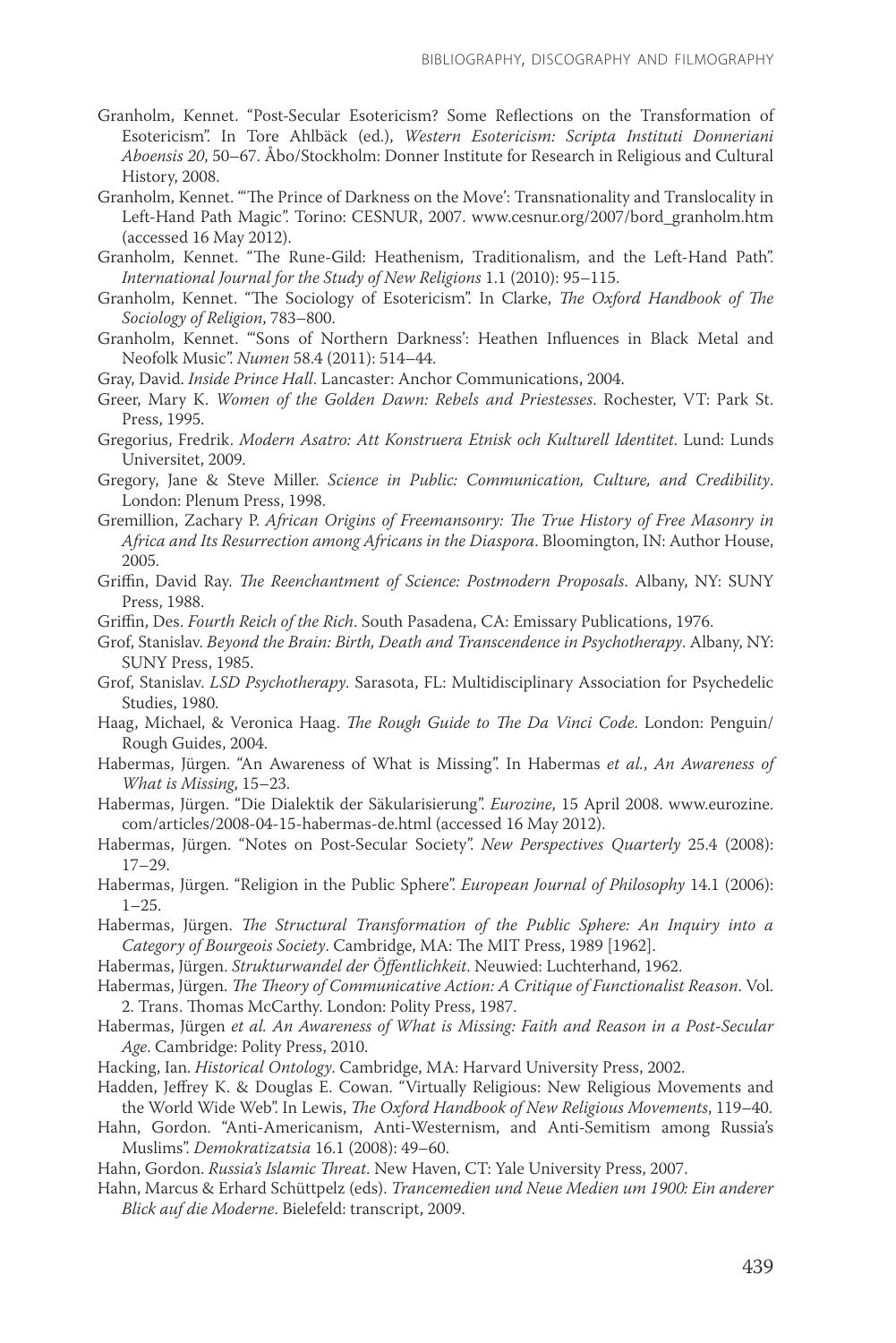- Granholm, Kennet. "Post-Secular Esotericism? Some Reflections on the Transformation of Esotericism". In Tore Ahlbäck (ed.), *Western Esotericism: Scripta Instituti Donneriani Aboensis 20*, 50–67. Åbo/Stockholm: Donner Institute for Research in Religious and Cultural History, 2008.
- Granholm, Kennet. "'The Prince of Darkness on the Move': Transnationality and Translocality in Left-Hand Path Magic". Torino: CESNUR, 2007. www.cesnur.org/2007/bord\_granholm.htm (accessed 16 May 2012).
- Granholm, Kennet. "The Rune-Gild: Heathenism, Traditionalism, and the Left-Hand Path". *International Journal for the Study of New Religions* 1.1 (2010): 95–115.
- Granholm, Kennet. "The Sociology of Esotericism". In Clarke, *The Oxford Handbook of The Sociology of Religion*, 783–800.
- Granholm, Kennet. "'Sons of Northern Darkness': Heathen Influences in Black Metal and Neofolk Music". *Numen* 58.4 (2011): 514–44.

Gray, David. *Inside Prince Hall*. Lancaster: Anchor Communications, 2004.

- Greer, Mary K. *Women of the Golden Dawn: Rebels and Priestesses*. Rochester, VT: Park St. Press, 1995.
- Gregorius, Fredrik. *Modern Asatro: Att Konstruera Etnisk och Kulturell Identitet*. Lund: Lunds Universitet, 2009.
- Gregory, Jane & Steve Miller. *Science in Public: Communication, Culture, and Credibility*. London: Plenum Press, 1998.
- Gremillion, Zachary P. *African Origins of Freemansonry: The True History of Free Masonry in Africa and Its Resurrection among Africans in the Diaspora*. Bloomington, IN: Author House, 2005.
- Griffin, David Ray. *The Reenchantment of Science: Postmodern Proposals*. Albany, NY: SUNY Press, 1988.
- Griffin, Des. *Fourth Reich of the Rich*. South Pasadena, CA: Emissary Publications, 1976.
- Grof, Stanislav. *Beyond the Brain: Birth, Death and Transcendence in Psychotherapy*. Albany, NY: SUNY Press, 1985.
- Grof, Stanislav. *LSD Psychotherapy*. Sarasota, FL: Multidisciplinary Association for Psychedelic Studies, 1980.
- Haag, Michael, & Veronica Haag. *The Rough Guide to The Da Vinci Code*. London: Penguin/ Rough Guides, 2004.
- Habermas, Jürgen. "An Awareness of What is Missing". In Habermas *et al.*, *An Awareness of What is Missing*, 15–23.
- Habermas, Jürgen. "Die Dialektik der Säkularisierung". *Eurozine*, 15 April 2008. www.eurozine. com/articles/2008-04-15-habermas-de.html (accessed 16 May 2012).
- Habermas, Jürgen. "Notes on Post-Secular Society". *New Perspectives Quarterly* 25.4 (2008): 17–29.
- Habermas, Jürgen. "Religion in the Public Sphere". *European Journal of Philosophy* 14.1 (2006): 1–25.
- Habermas, Jürgen. *The Structural Transformation of the Public Sphere: An Inquiry into a Category of Bourgeois Society*. Cambridge, MA: The MIT Press, 1989 [1962].
- Habermas, Jürgen. *Strukturwandel der Öffentlichkeit*. Neuwied: Luchterhand, 1962.
- Habermas, Jürgen. *The Theory of Communicative Action: A Critique of Functionalist Reason*. Vol. 2. Trans. Thomas McCarthy. London: Polity Press, 1987.
- Habermas, Jürgen *et al. An Awareness of What is Missing: Faith and Reason in a Post-Secular Age*. Cambridge: Polity Press, 2010.
- Hacking, Ian. *Historical Ontology*. Cambridge, MA: Harvard University Press, 2002.
- Hadden, Jeffrey K. & Douglas E. Cowan. "Virtually Religious: New Religious Movements and the World Wide Web". In Lewis, *The Oxford Handbook of New Religious Movements*, 119–40.
- Hahn, Gordon. "Anti-Americanism, Anti-Westernism, and Anti-Semitism among Russia's Muslims". *Demokratizatsia* 16.1 (2008): 49–60.
- Hahn, Gordon. *Russia's Islamic Threat*. New Haven, CT: Yale University Press, 2007.
- Hahn, Marcus & Erhard Schüttpelz (eds). *Trancemedien und Neue Medien um 1900: Ein anderer Blick auf die Moderne*. Bielefeld: transcript, 2009.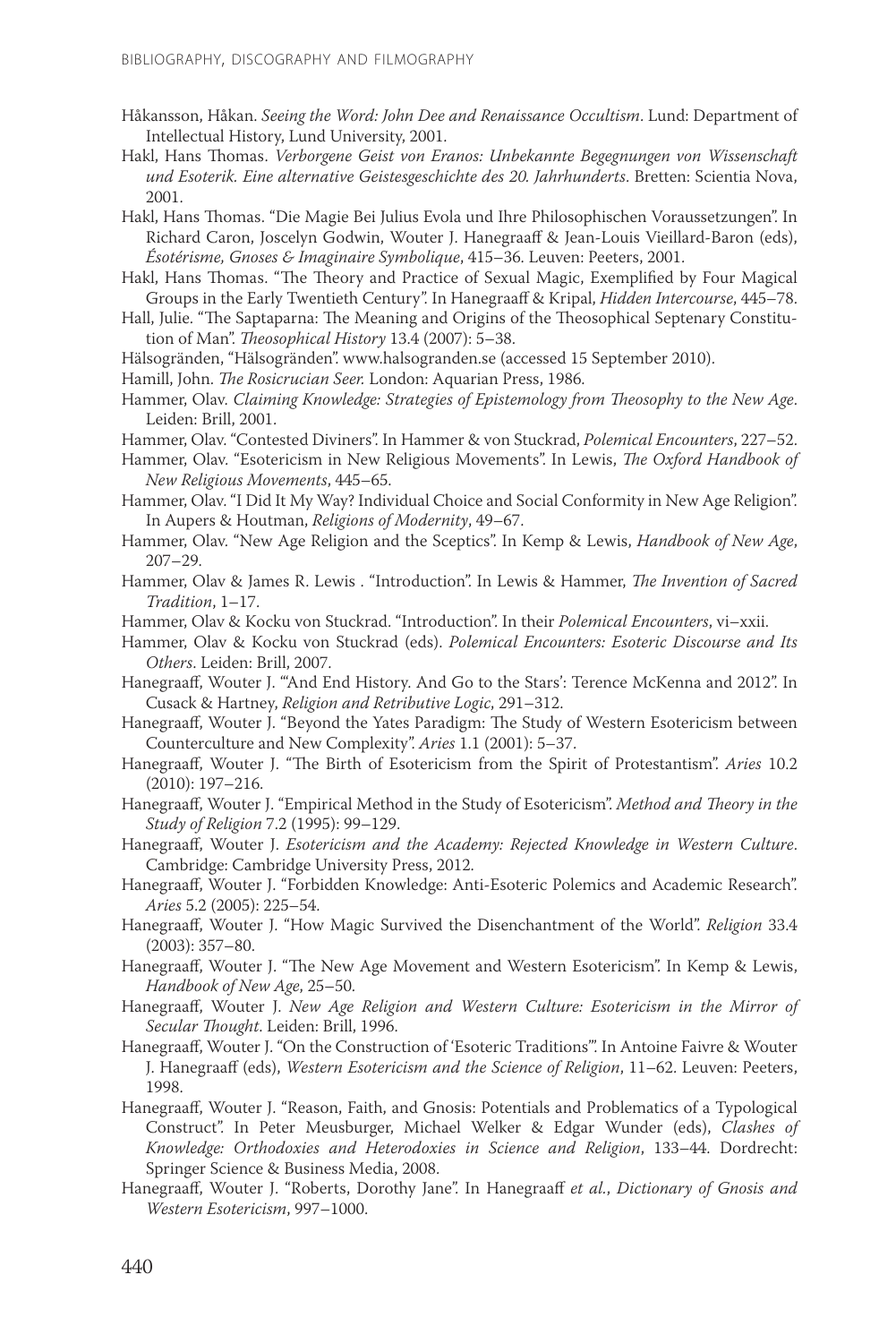- Håkansson, Håkan. *Seeing the Word: John Dee and Renaissance Occultism*. Lund: Department of Intellectual History, Lund University, 2001.
- Hakl, Hans Thomas. *Verborgene Geist von Eranos: Unbekannte Begegnungen von Wissenschaft und Esoterik. Eine alternative Geistesgeschichte des 20. Jahrhunderts*. Bretten: Scientia Nova, 2001.
- Hakl, Hans Thomas. "Die Magie Bei Julius Evola und Ihre Philosophischen Voraussetzungen". In Richard Caron, Joscelyn Godwin, Wouter J. Hanegraaff & Jean-Louis Vieillard-Baron (eds), *Ésotérisme, Gnoses & Imaginaire Symbolique*, 415–36. Leuven: Peeters, 2001.
- Hakl, Hans Thomas. "The Theory and Practice of Sexual Magic, Exemplified by Four Magical Groups in the Early Twentieth Century". In Hanegraaff & Kripal, *Hidden Intercourse*, 445–78.
- Hall, Julie. "The Saptaparna: The Meaning and Origins of the Theosophical Septenary Constitution of Man". *Theosophical History* 13.4 (2007): 5–38.
- Hälsogränden, "Hälsogränden". www.halsogranden.se (accessed 15 September 2010).
- Hamill, John. *The Rosicrucian Seer.* London: Aquarian Press, 1986.
- Hammer, Olav. *Claiming Knowledge: Strategies of Epistemology from Theosophy to the New Age*. Leiden: Brill, 2001.
- Hammer, Olav. "Contested Diviners". In Hammer & von Stuckrad, *Polemical Encounters*, 227–52.
- Hammer, Olav. "Esotericism in New Religious Movements". In Lewis, *The Oxford Handbook of New Religious Movements*, 445–65.
- Hammer, Olav. "I Did It My Way? Individual Choice and Social Conformity in New Age Religion". In Aupers & Houtman, *Religions of Modernity*, 49–67.
- Hammer, Olav. "New Age Religion and the Sceptics". In Kemp & Lewis, *Handbook of New Age*, 207–29.
- Hammer, Olav & James R. Lewis . "Introduction". In Lewis & Hammer, *The Invention of Sacred Tradition*, 1–17.
- Hammer, Olav & Kocku von Stuckrad. "Introduction". In their *Polemical Encounters*, vi–xxii.
- Hammer, Olav & Kocku von Stuckrad (eds). *Polemical Encounters: Esoteric Discourse and Its Others*. Leiden: Brill, 2007.
- Hanegraaff, Wouter J. "'And End History. And Go to the Stars': Terence McKenna and 2012". In Cusack & Hartney, *Religion and Retributive Logic*, 291–312.
- Hanegraaff, Wouter J. "Beyond the Yates Paradigm: The Study of Western Esotericism between Counterculture and New Complexity". *Aries* 1.1 (2001): 5–37.
- Hanegraaff, Wouter J. "The Birth of Esotericism from the Spirit of Protestantism". *Aries* 10.2 (2010): 197–216.
- Hanegraaff, Wouter J. "Empirical Method in the Study of Esotericism". *Method and Theory in the Study of Religion* 7.2 (1995): 99–129.
- Hanegraaff, Wouter J. *Esotericism and the Academy: Rejected Knowledge in Western Culture*. Cambridge: Cambridge University Press, 2012.
- Hanegraaff, Wouter J. "Forbidden Knowledge: Anti-Esoteric Polemics and Academic Research". *Aries* 5.2 (2005): 225–54.
- Hanegraaff, Wouter J. "How Magic Survived the Disenchantment of the World". *Religion* 33.4 (2003): 357–80.
- Hanegraaff, Wouter J. "The New Age Movement and Western Esotericism". In Kemp & Lewis, *Handbook of New Age*, 25–50.
- Hanegraaff, Wouter J. *New Age Religion and Western Culture: Esotericism in the Mirror of Secular Thought*. Leiden: Brill, 1996.
- Hanegraaff, Wouter J. "On the Construction of 'Esoteric Traditions'". In Antoine Faivre & Wouter J. Hanegraaff (eds), *Western Esotericism and the Science of Religion*, 11–62. Leuven: Peeters, 1998.
- Hanegraaff, Wouter J. "Reason, Faith, and Gnosis: Potentials and Problematics of a Typological Construct". In Peter Meusburger, Michael Welker & Edgar Wunder (eds), *Clashes of Knowledge: Orthodoxies and Heterodoxies in Science and Religion*, 133–44. Dordrecht: Springer Science & Business Media, 2008.
- Hanegraaff, Wouter J. "Roberts, Dorothy Jane". In Hanegraaff *et al.*, *Dictionary of Gnosis and Western Esotericism*, 997–1000.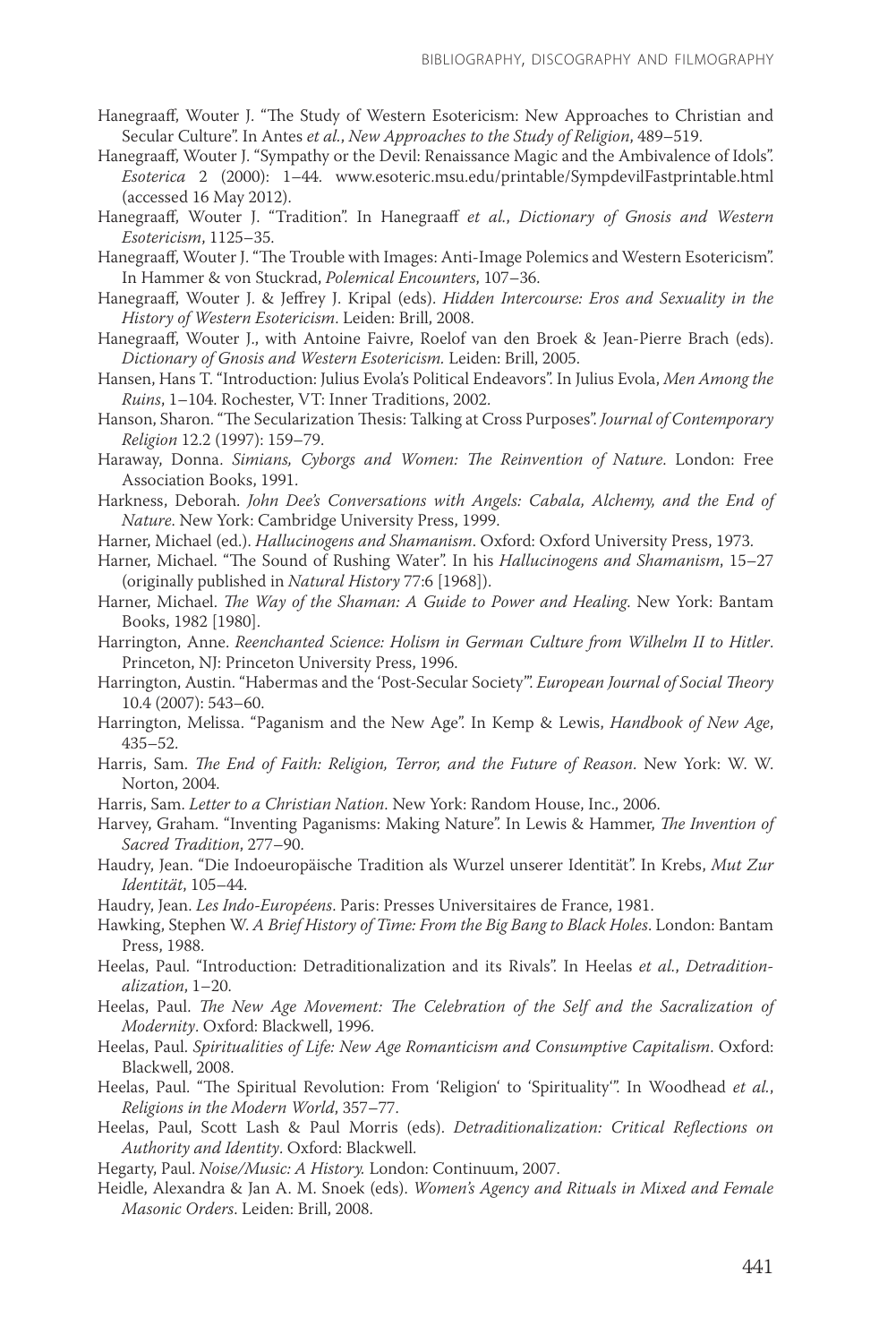- Hanegraaff, Wouter J. "The Study of Western Esotericism: New Approaches to Christian and Secular Culture". In Antes *et al.*, *New Approaches to the Study of Religion*, 489–519.
- Hanegraaff, Wouter J. "Sympathy or the Devil: Renaissance Magic and the Ambivalence of Idols". *Esoterica* 2 (2000): 1–44. www.esoteric.msu.edu/printable/SympdevilFastprintable.html (accessed 16 May 2012).
- Hanegraaff, Wouter J. "Tradition". In Hanegraaff *et al.*, *Dictionary of Gnosis and Western Esotericism*, 1125–35.
- Hanegraaff, Wouter J. "The Trouble with Images: Anti-Image Polemics and Western Esotericism". In Hammer & von Stuckrad, *Polemical Encounters*, 107–36.
- Hanegraaff, Wouter J. & Jeffrey J. Kripal (eds). *Hidden Intercourse: Eros and Sexuality in the History of Western Esotericism*. Leiden: Brill, 2008.
- Hanegraaff, Wouter J., with Antoine Faivre, Roelof van den Broek & Jean-Pierre Brach (eds). *Dictionary of Gnosis and Western Esotericism.* Leiden: Brill, 2005.
- Hansen, Hans T. "Introduction: Julius Evola's Political Endeavors". In Julius Evola, *Men Among the Ruins*, 1–104. Rochester, VT: Inner Traditions, 2002.
- Hanson, Sharon. "The Secularization Thesis: Talking at Cross Purposes". *Journal of Contemporary Religion* 12.2 (1997): 159–79.
- Haraway, Donna. *Simians, Cyborgs and Women: The Reinvention of Nature*. London: Free Association Books, 1991.
- Harkness, Deborah. *John Dee's Conversations with Angels: Cabala, Alchemy, and the End of Nature*. New York: Cambridge University Press, 1999.
- Harner, Michael (ed.). *Hallucinogens and Shamanism*. Oxford: Oxford University Press, 1973.
- Harner, Michael. "The Sound of Rushing Water". In his *Hallucinogens and Shamanism*, 15–27 (originally published in *Natural History* 77:6 [1968]).
- Harner, Michael. *The Way of the Shaman: A Guide to Power and Healing*. New York: Bantam Books, 1982 [1980].
- Harrington, Anne. *Reenchanted Science: Holism in German Culture from Wilhelm II to Hitler*. Princeton, NJ: Princeton University Press, 1996.
- Harrington, Austin. "Habermas and the 'Post-Secular Society'". *European Journal of Social Theory*  10.4 (2007): 543–60.
- Harrington, Melissa. "Paganism and the New Age". In Kemp & Lewis, *Handbook of New Age*, 435–52.
- Harris, Sam. *The End of Faith: Religion, Terror, and the Future of Reason*. New York: W. W. Norton, 2004.
- Harris, Sam. *Letter to a Christian Nation*. New York: Random House, Inc., 2006.
- Harvey, Graham. "Inventing Paganisms: Making Nature". In Lewis & Hammer, *The Invention of Sacred Tradition*, 277–90.
- Haudry, Jean. "Die Indoeuropäische Tradition als Wurzel unserer Identität". In Krebs, *Mut Zur Identität*, 105–44.
- Haudry, Jean. *Les Indo-Européens*. Paris: Presses Universitaires de France, 1981.
- Hawking, Stephen W. *A Brief History of Time: From the Big Bang to Black Holes*. London: Bantam Press, 1988.
- Heelas, Paul. "Introduction: Detraditionalization and its Rivals". In Heelas *et al.*, *Detraditionalization*, 1–20.
- Heelas, Paul. *The New Age Movement: The Celebration of the Self and the Sacralization of Modernity*. Oxford: Blackwell, 1996.
- Heelas, Paul. *Spiritualities of Life: New Age Romanticism and Consumptive Capitalism*. Oxford: Blackwell, 2008.
- Heelas, Paul. "The Spiritual Revolution: From 'Religion' to 'Spirituality'". In Woodhead *et al.*, *Religions in the Modern World*, 357–77.
- Heelas, Paul, Scott Lash & Paul Morris (eds). *Detraditionalization: Critical Reflections on Authority and Identity*. Oxford: Blackwell.
- Hegarty, Paul. *Noise/Music: A History.* London: Continuum, 2007.
- Heidle, Alexandra & Jan A. M. Snoek (eds). *Women's Agency and Rituals in Mixed and Female Masonic Orders*. Leiden: Brill, 2008.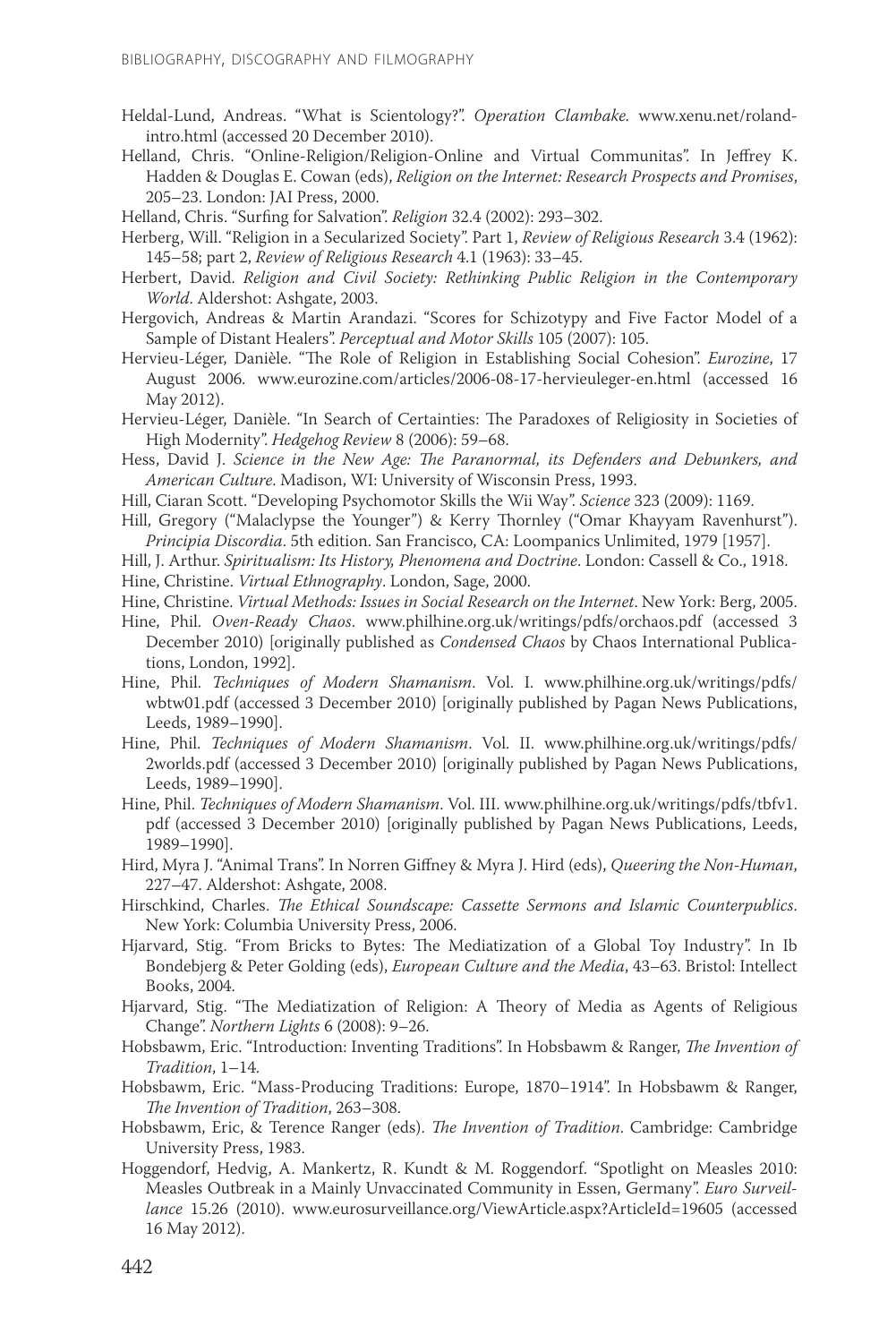- Heldal-Lund, Andreas. "What is Scientology?". *Operation Clambake.* www.xenu.net/rolandintro.html (accessed 20 December 2010).
- Helland, Chris. "Online-Religion/Religion-Online and Virtual Communitas". In Jeffrey K. Hadden & Douglas E. Cowan (eds), *Religion on the Internet: Research Prospects and Promises*, 205–23. London: JAI Press, 2000.
- Helland, Chris. "Surfing for Salvation". *Religion* 32.4 (2002): 293–302.
- Herberg, Will. "Religion in a Secularized Society". Part 1, *Review of Religious Research* 3.4 (1962): 145–58; part 2, *Review of Religious Research* 4.1 (1963): 33–45.
- Herbert, David. *Religion and Civil Society: Rethinking Public Religion in the Contemporary World*. Aldershot: Ashgate, 2003.
- Hergovich, Andreas & Martin Arandazi. "Scores for Schizotypy and Five Factor Model of a Sample of Distant Healers". *Perceptual and Motor Skills* 105 (2007): 105.
- Hervieu-Léger, Danièle. "The Role of Religion in Establishing Social Cohesion". *Eurozine*, 17 August 2006. www.eurozine.com/articles/2006-08-17-hervieuleger-en.html (accessed 16 May 2012).
- Hervieu-Léger, Danièle. "In Search of Certainties: The Paradoxes of Religiosity in Societies of High Modernity". *Hedgehog Review* 8 (2006): 59–68.
- Hess, David J. *Science in the New Age: The Paranormal, its Defenders and Debunkers, and American Culture*. Madison, WI: University of Wisconsin Press, 1993.
- Hill, Ciaran Scott. "Developing Psychomotor Skills the Wii Way". *Science* 323 (2009): 1169.
- Hill, Gregory ("Malaclypse the Younger") & Kerry Thornley ("Omar Khayyam Ravenhurst"). *Principia Discordia*. 5th edition. San Francisco, CA: Loompanics Unlimited, 1979 [1957].
- Hill, J. Arthur. *Spiritualism: Its History, Phenomena and Doctrine*. London: Cassell & Co., 1918.
- Hine, Christine. *Virtual Ethnography*. London, Sage, 2000.
- Hine, Christine. *Virtual Methods: Issues in Social Research on the Internet*. New York: Berg, 2005.
- Hine, Phil. *Oven-Ready Chaos*. www.philhine.org.uk/writings/pdfs/orchaos.pdf (accessed 3 December 2010) [originally published as *Condensed Chaos* by Chaos International Publications, London, 1992].
- Hine, Phil. *Techniques of Modern Shamanism*. Vol. I. www.philhine.org.uk/writings/pdfs/ wbtw01.pdf (accessed 3 December 2010) [originally published by Pagan News Publications, Leeds, 1989–1990].
- Hine, Phil. *Techniques of Modern Shamanism*. Vol. II. www.philhine.org.uk/writings/pdfs/ 2worlds.pdf (accessed 3 December 2010) [originally published by Pagan News Publications, Leeds, 1989–1990].
- Hine, Phil. *Techniques of Modern Shamanism*. Vol. III. www.philhine.org.uk/writings/pdfs/tbfv1. pdf (accessed 3 December 2010) [originally published by Pagan News Publications, Leeds, 1989–1990].
- Hird, Myra J. "Animal Trans". In Norren Giffney & Myra J. Hird (eds), *Queering the Non-Human*, 227–47. Aldershot: Ashgate, 2008.
- Hirschkind, Charles. *The Ethical Soundscape: Cassette Sermons and Islamic Counterpublics*. New York: Columbia University Press, 2006.
- Hjarvard, Stig. "From Bricks to Bytes: The Mediatization of a Global Toy Industry". In Ib Bondebjerg & Peter Golding (eds), *European Culture and the Media*, 43–63. Bristol: Intellect Books, 2004.
- Hjarvard, Stig. "The Mediatization of Religion: A Theory of Media as Agents of Religious Change". *Northern Lights* 6 (2008): 9–26.
- Hobsbawm, Eric. "Introduction: Inventing Traditions". In Hobsbawm & Ranger, *The Invention of Tradition*, 1–14.
- Hobsbawm, Eric. "Mass-Producing Traditions: Europe, 1870–1914". In Hobsbawm & Ranger, *The Invention of Tradition*, 263–308.
- Hobsbawm, Eric, & Terence Ranger (eds). *The Invention of Tradition*. Cambridge: Cambridge University Press, 1983.
- Hoggendorf, Hedvig, A. Mankertz, R. Kundt & M. Roggendorf. "Spotlight on Measles 2010: Measles Outbreak in a Mainly Unvaccinated Community in Essen, Germany". *Euro Surveillance* 15.26 (2010). www.eurosurveillance.org/ViewArticle.aspx?ArticleId=19605 (accessed 16 May 2012).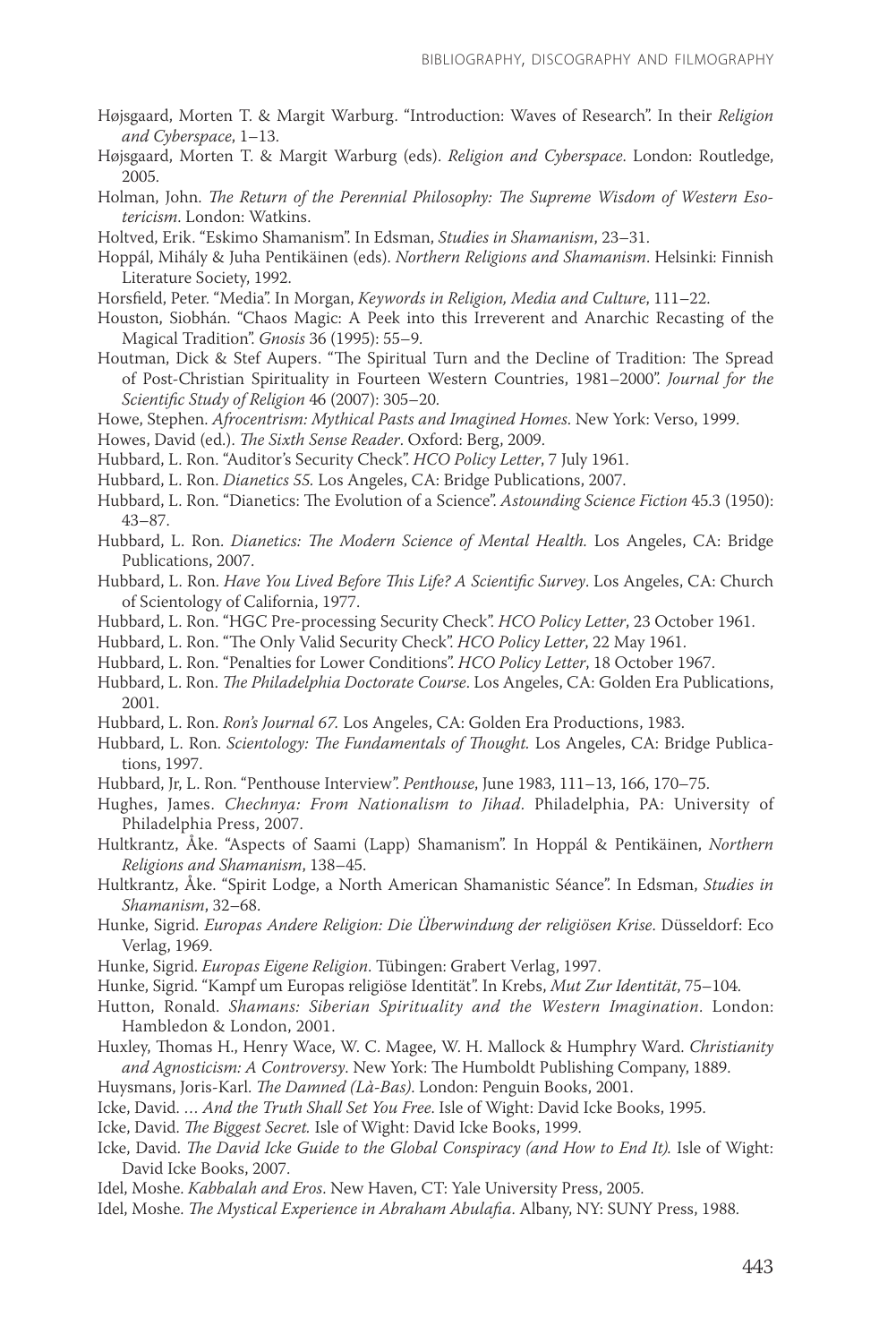- Højsgaard, Morten T. & Margit Warburg. "Introduction: Waves of Research". In their *Religion and Cyberspace*, 1–13.
- Højsgaard, Morten T. & Margit Warburg (eds). *Religion and Cyberspace*. London: Routledge, 2005.
- Holman, John. *The Return of the Perennial Philosophy: The Supreme Wisdom of Western Esotericism*. London: Watkins.
- Holtved, Erik. "Eskimo Shamanism". In Edsman, *Studies in Shamanism*, 23–31.
- Hoppál, Mihály & Juha Pentikäinen (eds). *Northern Religions and Shamanism*. Helsinki: Finnish Literature Society, 1992.
- Horsfield, Peter. "Media". In Morgan, *Keywords in Religion, Media and Culture*, 111–22.
- Houston, Siobhán. "Chaos Magic: A Peek into this Irreverent and Anarchic Recasting of the Magical Tradition". *Gnosis* 36 (1995): 55–9.
- Houtman, Dick & Stef Aupers. "The Spiritual Turn and the Decline of Tradition: The Spread of Post-Christian Spirituality in Fourteen Western Countries, 1981–2000". *Journal for the Scientific Study of Religion* 46 (2007): 305–20.
- Howe, Stephen. *Afrocentrism: Mythical Pasts and Imagined Homes*. New York: Verso, 1999.
- Howes, David (ed.). *The Sixth Sense Reader*. Oxford: Berg, 2009.
- Hubbard, L. Ron. "Auditor's Security Check". *HCO Policy Letter*, 7 July 1961.
- Hubbard, L. Ron. *Dianetics 55.* Los Angeles, CA: Bridge Publications, 2007.
- Hubbard, L. Ron. "Dianetics: The Evolution of a Science". *Astounding Science Fiction* 45.3 (1950): 43–87.
- Hubbard, L. Ron. *Dianetics: The Modern Science of Mental Health.* Los Angeles, CA: Bridge Publications, 2007.
- Hubbard, L. Ron. *Have You Lived Before This Life? A Scientific Survey*. Los Angeles, CA: Church of Scientology of California, 1977.
- Hubbard, L. Ron. "HGC Pre-processing Security Check". *HCO Policy Letter*, 23 October 1961.
- Hubbard, L. Ron. "The Only Valid Security Check". *HCO Policy Letter*, 22 May 1961.
- Hubbard, L. Ron. "Penalties for Lower Conditions". *HCO Policy Letter*, 18 October 1967.
- Hubbard, L. Ron. *The Philadelphia Doctorate Course*. Los Angeles, CA: Golden Era Publications, 2001.
- Hubbard, L. Ron. *Ron's Journal 67.* Los Angeles, CA: Golden Era Productions, 1983.
- Hubbard, L. Ron. *Scientology: The Fundamentals of Thought.* Los Angeles, CA: Bridge Publications, 1997.
- Hubbard, Jr, L. Ron. "Penthouse Interview". *Penthouse*, June 1983, 111–13, 166, 170–75.
- Hughes, James. *Chechnya: From Nationalism to Jihad*. Philadelphia, PA: University of Philadelphia Press, 2007.
- Hultkrantz, Åke. "Aspects of Saami (Lapp) Shamanism". In Hoppál & Pentikäinen, *Northern Religions and Shamanism*, 138–45.
- Hultkrantz, Åke. "Spirit Lodge, a North American Shamanistic Séance". In Edsman, *Studies in Shamanism*, 32–68.
- Hunke, Sigrid. *Europas Andere Religion: Die Überwindung der religiösen Krise*. Düsseldorf: Eco Verlag, 1969.
- Hunke, Sigrid. *Europas Eigene Religion*. Tübingen: Grabert Verlag, 1997.
- Hunke, Sigrid. "Kampf um Europas religiöse Identität". In Krebs, *Mut Zur Identität*, 75–104.
- Hutton, Ronald. *Shamans: Siberian Spirituality and the Western Imagination*. London: Hambledon & London, 2001.
- Huxley, Thomas H., Henry Wace, W. C. Magee, W. H. Mallock & Humphry Ward. *Christianity and Agnosticism: A Controversy*. New York: The Humboldt Publishing Company, 1889.
- Huysmans, Joris-Karl. *The Damned (Là-Bas)*. London: Penguin Books, 2001.
- Icke, David. … *And the Truth Shall Set You Free*. Isle of Wight: David Icke Books, 1995.
- Icke, David. *The Biggest Secret.* Isle of Wight: David Icke Books, 1999.
- Icke, David. *The David Icke Guide to the Global Conspiracy (and How to End It)*. Isle of Wight: David Icke Books, 2007.
- Idel, Moshe. *Kabbalah and Eros*. New Haven, CT: Yale University Press, 2005.
- Idel, Moshe. *The Mystical Experience in Abraham Abulafia*. Albany, NY: SUNY Press, 1988.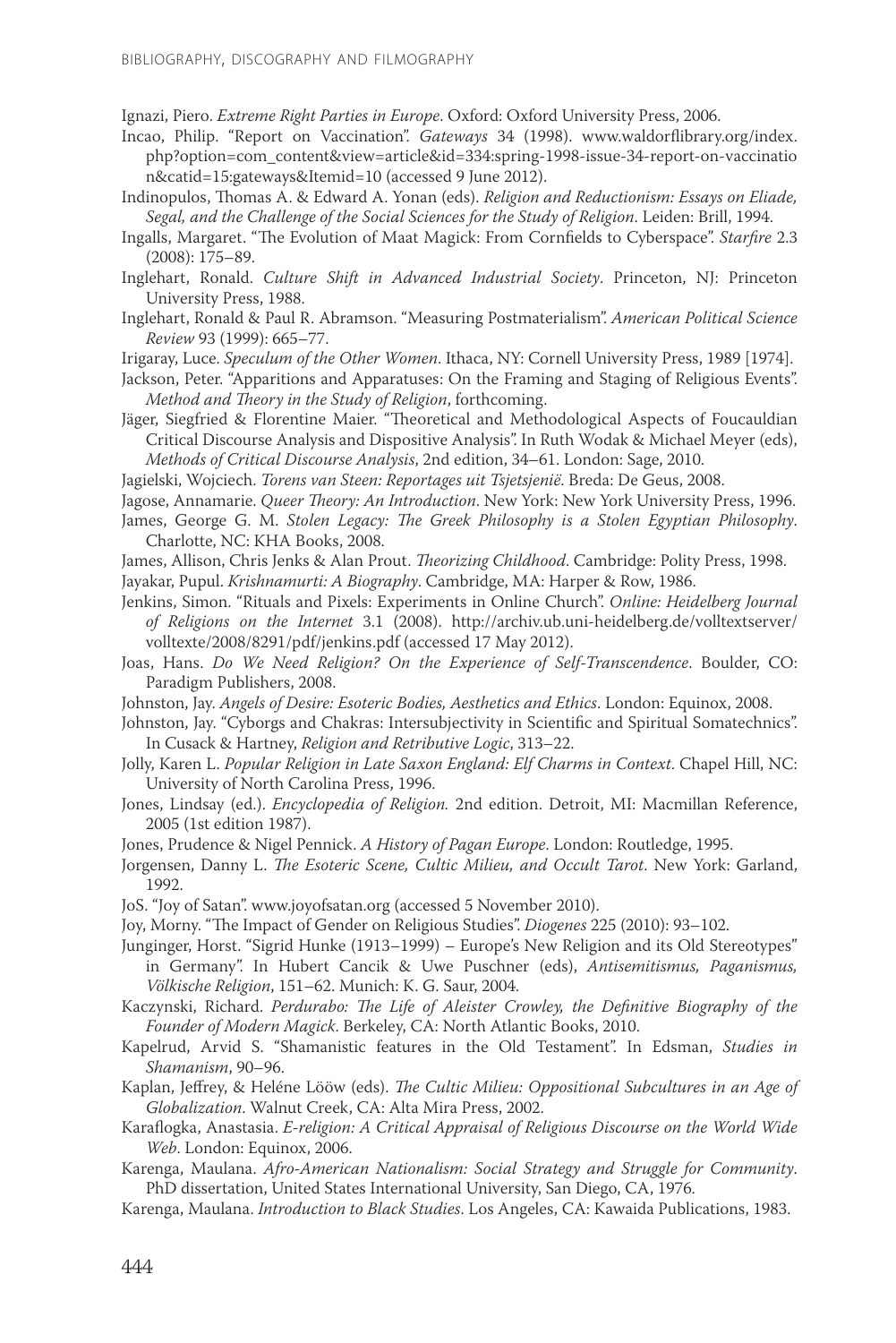Ignazi, Piero. *Extreme Right Parties in Europe*. Oxford: Oxford University Press, 2006.

- Incao, Philip. "Report on Vaccination". *Gateways* 34 (1998). www.waldorflibrary.org/index. php?option=com\_content&view=article&id=334:spring-1998-issue-34-report-on-vaccinatio n&catid=15:gateways&Itemid=10 (accessed 9 June 2012).
- Indinopulos, Thomas A. & Edward A. Yonan (eds). *Religion and Reductionism: Essays on Eliade, Segal, and the Challenge of the Social Sciences for the Study of Religion*. Leiden: Brill, 1994.
- Ingalls, Margaret. "The Evolution of Maat Magick: From Cornfields to Cyberspace". *Starfire* 2.3 (2008): 175–89.
- Inglehart, Ronald. *Culture Shift in Advanced Industrial Society*. Princeton, NJ: Princeton University Press, 1988.
- Inglehart, Ronald & Paul R. Abramson. "Measuring Postmaterialism". *American Political Science Review* 93 (1999): 665–77.
- Irigaray, Luce. *Speculum of the Other Women*. Ithaca, NY: Cornell University Press, 1989 [1974].
- Jackson, Peter. "Apparitions and Apparatuses: On the Framing and Staging of Religious Events". *Method and Theory in the Study of Religion*, forthcoming.
- Jäger, Siegfried & Florentine Maier. "Theoretical and Methodological Aspects of Foucauldian Critical Discourse Analysis and Dispositive Analysis". In Ruth Wodak & Michael Meyer (eds), *Methods of Critical Discourse Analysis*, 2nd edition, 34–61. London: Sage, 2010.

Jagielski, Wojciech. *Torens van Steen: Reportages uit Tsjetsjenië*. Breda: De Geus, 2008.

Jagose, Annamarie. *Queer Theory: An Introduction*. New York: New York University Press, 1996.

- James, George G. M. *Stolen Legacy: The Greek Philosophy is a Stolen Egyptian Philosophy*. Charlotte, NC: KHA Books, 2008.
- James, Allison, Chris Jenks & Alan Prout. *Theorizing Childhood*. Cambridge: Polity Press, 1998.

Jayakar, Pupul. *Krishnamurti: A Biography*. Cambridge, MA: Harper & Row, 1986.

Jenkins, Simon. "Rituals and Pixels: Experiments in Online Church". *Online: Heidelberg Journal of Religions on the Internet* 3.1 (2008). http://archiv.ub.uni-heidelberg.de/volltextserver/ volltexte/2008/8291/pdf/jenkins.pdf (accessed 17 May 2012).

- Joas, Hans. *Do We Need Religion? On the Experience of Self-Transcendence*. Boulder, CO: Paradigm Publishers, 2008.
- Johnston, Jay. *Angels of Desire: Esoteric Bodies, Aesthetics and Ethics*. London: Equinox, 2008.
- Johnston, Jay. "Cyborgs and Chakras: Intersubjectivity in Scientific and Spiritual Somatechnics". In Cusack & Hartney, *Religion and Retributive Logic*, 313–22.
- Jolly, Karen L. *Popular Religion in Late Saxon England: Elf Charms in Context*. Chapel Hill, NC: University of North Carolina Press, 1996.
- Jones, Lindsay (ed.). *Encyclopedia of Religion.* 2nd edition. Detroit, MI: Macmillan Reference, 2005 (1st edition 1987).
- Jones, Prudence & Nigel Pennick. *A History of Pagan Europe*. London: Routledge, 1995.
- Jorgensen, Danny L. *The Esoteric Scene, Cultic Milieu, and Occult Tarot*. New York: Garland, 1992.
- JoS. "Joy of Satan". www.joyofsatan.org (accessed 5 November 2010).
- Joy, Morny. "The Impact of Gender on Religious Studies". *Diogenes* 225 (2010): 93–102.
- Junginger, Horst. "Sigrid Hunke (1913–1999) Europe's New Religion and its Old Stereotypes" in Germany". In Hubert Cancik & Uwe Puschner (eds), *Antisemitismus, Paganismus, Völkische Religion*, 151–62. Munich: K. G. Saur, 2004.
- Kaczynski, Richard. *Perdurabo: The Life of Aleister Crowley, the Definitive Biography of the Founder of Modern Magick*. Berkeley, CA: North Atlantic Books, 2010.
- Kapelrud, Arvid S. "Shamanistic features in the Old Testament". In Edsman, *Studies in Shamanism*, 90–96.
- Kaplan, Jeffrey, & Heléne Lööw (eds). *The Cultic Milieu: Oppositional Subcultures in an Age of Globalization*. Walnut Creek, CA: Alta Mira Press, 2002.
- Karaflogka, Anastasia. *E-religion: A Critical Appraisal of Religious Discourse on the World Wide Web*. London: Equinox, 2006.
- Karenga, Maulana. *Afro-American Nationalism: Social Strategy and Struggle for Community*. PhD dissertation, United States International University, San Diego, CA, 1976.
- Karenga, Maulana. *Introduction to Black Studies*. Los Angeles, CA: Kawaida Publications, 1983.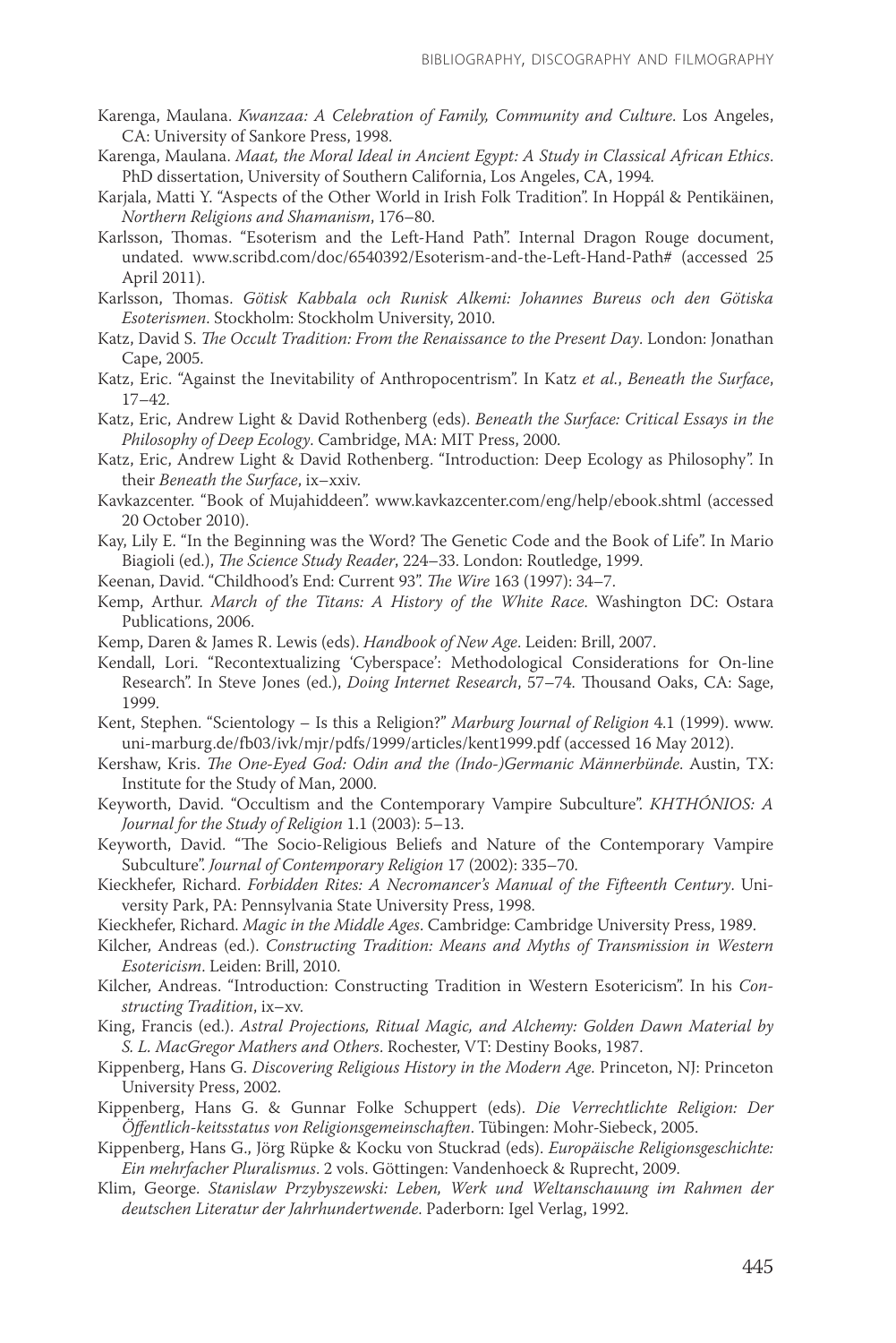- Karenga, Maulana. *Kwanzaa: A Celebration of Family, Community and Culture*. Los Angeles, CA: University of Sankore Press, 1998.
- Karenga, Maulana. *Maat, the Moral Ideal in Ancient Egypt: A Study in Classical African Ethics*. PhD dissertation, University of Southern California, Los Angeles, CA, 1994.
- Karjala, Matti Y. "Aspects of the Other World in Irish Folk Tradition". In Hoppál & Pentikäinen, *Northern Religions and Shamanism*, 176–80.
- Karlsson, Thomas. "Esoterism and the Left-Hand Path". Internal Dragon Rouge document, undated. www.scribd.com/doc/6540392/Esoterism-and-the-Left-Hand-Path# (accessed 25 April 2011).
- Karlsson, Thomas. *Götisk Kabbala och Runisk Alkemi: Johannes Bureus och den Götiska Esoterismen*. Stockholm: Stockholm University, 2010.
- Katz, David S. *The Occult Tradition: From the Renaissance to the Present Day*. London: Jonathan Cape, 2005.
- Katz, Eric. "Against the Inevitability of Anthropocentrism". In Katz *et al.*, *Beneath the Surface*, 17–42.
- Katz, Eric, Andrew Light & David Rothenberg (eds). *Beneath the Surface: Critical Essays in the Philosophy of Deep Ecology*. Cambridge, MA: MIT Press, 2000.
- Katz, Eric, Andrew Light & David Rothenberg. "Introduction: Deep Ecology as Philosophy". In their *Beneath the Surface*, ix–xxiv.
- Kavkazcenter. "Book of Mujahiddeen". www.kavkazcenter.com/eng/help/ebook.shtml (accessed 20 October 2010).
- Kay, Lily E. "In the Beginning was the Word? The Genetic Code and the Book of Life". In Mario Biagioli (ed.), *The Science Study Reader*, 224–33. London: Routledge, 1999.
- Keenan, David. "Childhood's End: Current 93". *The Wire* 163 (1997): 34–7.
- Kemp, Arthur. *March of the Titans: A History of the White Race*. Washington DC: Ostara Publications, 2006.
- Kemp, Daren & James R. Lewis (eds). *Handbook of New Age*. Leiden: Brill, 2007.
- Kendall, Lori. "Recontextualizing 'Cyberspace': Methodological Considerations for On-line Research". In Steve Jones (ed.), *Doing Internet Research*, 57–74. Thousand Oaks, CA: Sage, 1999.
- Kent, Stephen. "Scientology Is this a Religion?" *Marburg Journal of Religion* 4.1 (1999). www. uni-marburg.de/fb03/ivk/mjr/pdfs/1999/articles/kent1999.pdf (accessed 16 May 2012).
- Kershaw, Kris. *The One-Eyed God: Odin and the (Indo-)Germanic Männerbünde*. Austin, TX: Institute for the Study of Man, 2000.
- Keyworth, David. "Occultism and the Contemporary Vampire Subculture". *KHTHÓNIOS: A Journal for the Study of Religion* 1.1 (2003): 5–13.
- Keyworth, David. "The Socio-Religious Beliefs and Nature of the Contemporary Vampire Subculture". *Journal of Contemporary Religion* 17 (2002): 335–70.
- Kieckhefer, Richard. *Forbidden Rites: A Necromancer's Manual of the Fifteenth Century*. University Park, PA: Pennsylvania State University Press, 1998.
- Kieckhefer, Richard. *Magic in the Middle Ages*. Cambridge: Cambridge University Press, 1989.
- Kilcher, Andreas (ed.). *Constructing Tradition: Means and Myths of Transmission in Western Esotericism*. Leiden: Brill, 2010.
- Kilcher, Andreas. "Introduction: Constructing Tradition in Western Esotericism". In his *Constructing Tradition*, ix–xv.
- King, Francis (ed.). *Astral Projections, Ritual Magic, and Alchemy: Golden Dawn Material by S. L. MacGregor Mathers and Others*. Rochester, VT: Destiny Books, 1987.
- Kippenberg, Hans G. *Discovering Religious History in the Modern Age*. Princeton, NJ: Princeton University Press, 2002.
- Kippenberg, Hans G. & Gunnar Folke Schuppert (eds). *Die Verrechtlichte Religion: Der Öffentlich-keitsstatus von Religionsgemeinschaften*. Tübingen: Mohr-Siebeck, 2005.
- Kippenberg, Hans G., Jörg Rüpke & Kocku von Stuckrad (eds). *Europäische Religionsgeschichte: Ein mehrfacher Pluralismus*. 2 vols. Göttingen: Vandenhoeck & Ruprecht, 2009.
- Klim, George. *Stanislaw Przybyszewski: Leben, Werk und Weltanschauung im Rahmen der deutschen Literatur der Jahrhundertwende*. Paderborn: Igel Verlag, 1992.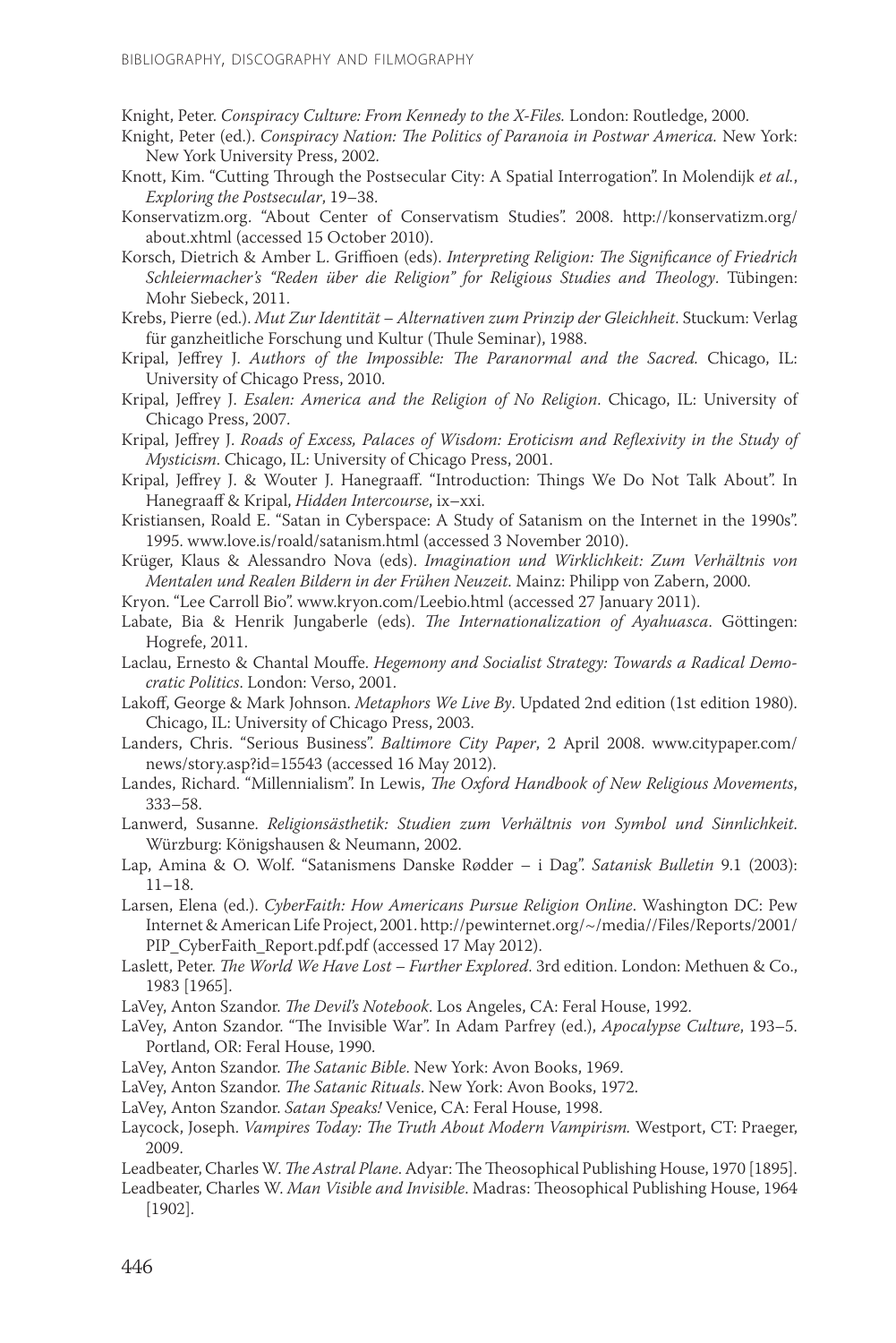Knight, Peter. *Conspiracy Culture: From Kennedy to the X-Files.* London: Routledge, 2000.

- Knight, Peter (ed.). *Conspiracy Nation: The Politics of Paranoia in Postwar America.* New York: New York University Press, 2002.
- Knott, Kim. "Cutting Through the Postsecular City: A Spatial Interrogation". In Molendijk *et al.*, *Exploring the Postsecular*, 19–38.
- Konservatizm.org. "About Center of Conservatism Studies". 2008. http://konservatizm.org/ about.xhtml (accessed 15 October 2010).
- Korsch, Dietrich & Amber L. Griffioen (eds). *Interpreting Religion: The Significance of Friedrich Schleiermacher's "Reden über die Religion" for Religious Studies and Theology*. Tübingen: Mohr Siebeck, 2011.
- Krebs, Pierre (ed.). *Mut Zur Identität Alternativen zum Prinzip der Gleichheit*. Stuckum: Verlag für ganzheitliche Forschung und Kultur (Thule Seminar), 1988.
- Kripal, Jeffrey J. *Authors of the Impossible: The Paranormal and the Sacred.* Chicago, IL: University of Chicago Press, 2010.
- Kripal, Jeffrey J. *Esalen: America and the Religion of No Religion*. Chicago, IL: University of Chicago Press, 2007.
- Kripal, Jeffrey J. *Roads of Excess, Palaces of Wisdom: Eroticism and Reflexivity in the Study of Mysticism*. Chicago, IL: University of Chicago Press, 2001.
- Kripal, Jeffrey J. & Wouter J. Hanegraaff. "Introduction: Things We Do Not Talk About". In Hanegraaff & Kripal, *Hidden Intercourse*, ix–xxi.
- Kristiansen, Roald E. "Satan in Cyberspace: A Study of Satanism on the Internet in the 1990s". 1995. www.love.is/roald/satanism.html (accessed 3 November 2010).
- Krüger, Klaus & Alessandro Nova (eds). *Imagination und Wirklichkeit: Zum Verhältnis von Mentalen und Realen Bildern in der Frühen Neuzeit*. Mainz: Philipp von Zabern, 2000.
- Kryon. "Lee Carroll Bio". www.kryon.com/Leebio.html (accessed 27 January 2011).
- Labate, Bia & Henrik Jungaberle (eds). *The Internationalization of Ayahuasca*. Göttingen: Hogrefe, 2011.
- Laclau, Ernesto & Chantal Mouffe. *Hegemony and Socialist Strategy: Towards a Radical Democratic Politics*. London: Verso, 2001.
- Lakoff, George & Mark Johnson. *Metaphors We Live By*. Updated 2nd edition (1st edition 1980). Chicago, IL: University of Chicago Press, 2003.
- Landers, Chris. "Serious Business". *Baltimore City Paper*, 2 April 2008. www.citypaper.com/ news/story.asp?id=15543 (accessed 16 May 2012).
- Landes, Richard. "Millennialism". In Lewis, *The Oxford Handbook of New Religious Movements*, 333–58.
- Lanwerd, Susanne. *Religionsästhetik: Studien zum Verhältnis von Symbol und Sinnlichkeit*. Würzburg: Königshausen & Neumann, 2002.
- Lap, Amina & O. Wolf. "Satanismens Danske Rødder i Dag". *Satanisk Bulletin* 9.1 (2003): 11–18.
- Larsen, Elena (ed.). *CyberFaith: How Americans Pursue Religion Online*. Washington DC: Pew Internet & American Life Project, 2001. http://pewinternet.org/~/media//Files/Reports/2001/ PIP\_CyberFaith\_Report.pdf.pdf (accessed 17 May 2012).
- Laslett, Peter. *The World We Have Lost Further Explored*. 3rd edition. London: Methuen & Co., 1983 [1965].
- LaVey, Anton Szandor. *The Devil's Notebook*. Los Angeles, CA: Feral House, 1992.
- LaVey, Anton Szandor. "The Invisible War". In Adam Parfrey (ed.), *Apocalypse Culture*, 193–5. Portland, OR: Feral House, 1990.
- LaVey, Anton Szandor. *The Satanic Bible*. New York: Avon Books, 1969.

LaVey, Anton Szandor. *The Satanic Rituals*. New York: Avon Books, 1972.

- LaVey, Anton Szandor. *Satan Speaks!* Venice, CA: Feral House, 1998.
- Laycock, Joseph. *Vampires Today: The Truth About Modern Vampirism.* Westport, CT: Praeger, 2009.
- Leadbeater, Charles W. *The Astral Plane*. Adyar: The Theosophical Publishing House, 1970 [1895].

Leadbeater, Charles W. *Man Visible and Invisible*. Madras: Theosophical Publishing House, 1964 [1902].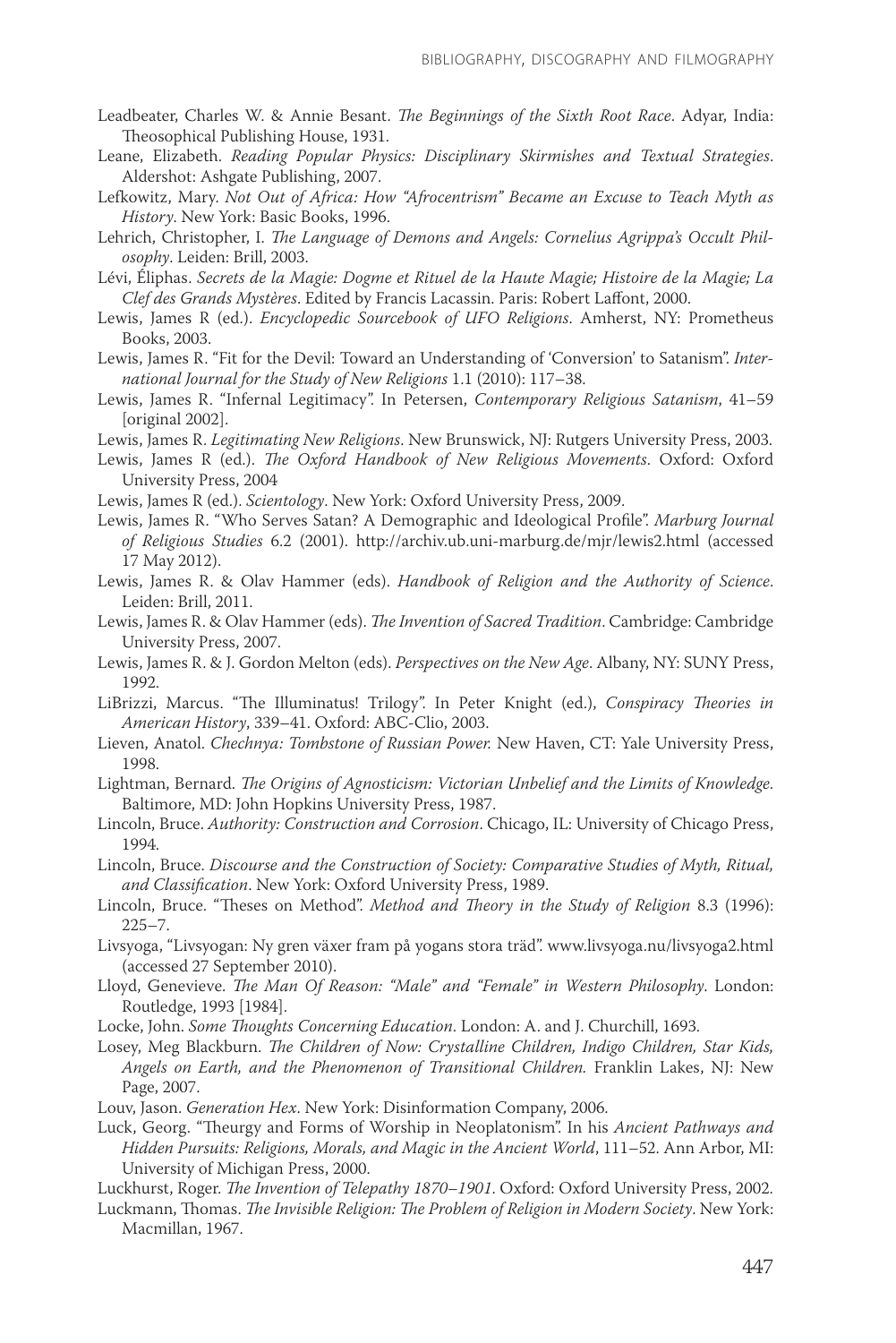- Leadbeater, Charles W. & Annie Besant. *The Beginnings of the Sixth Root Race*. Adyar, India: Theosophical Publishing House, 1931.
- Leane, Elizabeth. *Reading Popular Physics: Disciplinary Skirmishes and Textual Strategies*. Aldershot: Ashgate Publishing, 2007.
- Lefkowitz, Mary. *Not Out of Africa: How "Afrocentrism" Became an Excuse to Teach Myth as History*. New York: Basic Books, 1996.
- Lehrich, Christopher, I. *The Language of Demons and Angels: Cornelius Agrippa's Occult Philosophy*. Leiden: Brill, 2003.
- Lévi, Éliphas. *Secrets de la Magie: Dogme et Rituel de la Haute Magie; Histoire de la Magie; La Clef des Grands Mystères*. Edited by Francis Lacassin. Paris: Robert Laffont, 2000.
- Lewis, James R (ed.). *Encyclopedic Sourcebook of UFO Religions*. Amherst, NY: Prometheus Books, 2003.
- Lewis, James R. "Fit for the Devil: Toward an Understanding of 'Conversion' to Satanism". *International Journal for the Study of New Religions* 1.1 (2010): 117–38.
- Lewis, James R. "Infernal Legitimacy". In Petersen, *Contemporary Religious Satanism*, 41–59 [original 2002].
- Lewis, James R. *Legitimating New Religions*. New Brunswick, NJ: Rutgers University Press, 2003.
- Lewis, James R (ed.). *The Oxford Handbook of New Religious Movements*. Oxford: Oxford University Press, 2004
- Lewis, James R (ed.). *Scientology*. New York: Oxford University Press, 2009.
- Lewis, James R. "Who Serves Satan? A Demographic and Ideological Profile". *Marburg Journal of Religious Studies* 6.2 (2001). http://archiv.ub.uni-marburg.de/mjr/lewis2.html (accessed 17 May 2012).
- Lewis, James R. & Olav Hammer (eds). *Handbook of Religion and the Authority of Science*. Leiden: Brill, 2011.
- Lewis, James R. & Olav Hammer (eds). *The Invention of Sacred Tradition*. Cambridge: Cambridge University Press, 2007.
- Lewis, James R. & J. Gordon Melton (eds). *Perspectives on the New Age*. Albany, NY: SUNY Press, 1992.
- LiBrizzi, Marcus. "The Illuminatus! Trilogy". In Peter Knight (ed.), *Conspiracy Theories in American History*, 339–41. Oxford: ABC-Clio, 2003.
- Lieven, Anatol. *Chechnya: Tombstone of Russian Power.* New Haven, CT: Yale University Press, 1998.
- Lightman, Bernard. *The Origins of Agnosticism: Victorian Unbelief and the Limits of Knowledge*. Baltimore, MD: John Hopkins University Press, 1987.
- Lincoln, Bruce. *Authority: Construction and Corrosion*. Chicago, IL: University of Chicago Press, 1994.
- Lincoln, Bruce. *Discourse and the Construction of Society: Comparative Studies of Myth, Ritual, and Classification*. New York: Oxford University Press, 1989.
- Lincoln, Bruce. "Theses on Method". *Method and Theory in the Study of Religion* 8.3 (1996): 225–7.
- Livsyoga, "Livsyogan: Ny gren växer fram på yogans stora träd". www.livsyoga.nu/livsyoga2.html (accessed 27 September 2010).
- Lloyd, Genevieve. *The Man Of Reason: "Male" and "Female" in Western Philosophy*. London: Routledge, 1993 [1984].
- Locke, John. *Some Thoughts Concerning Education*. London: A. and J. Churchill, 1693.
- Losey, Meg Blackburn. *The Children of Now: Crystalline Children, Indigo Children, Star Kids, Angels on Earth, and the Phenomenon of Transitional Children.* Franklin Lakes, NJ: New Page, 2007.
- Louv, Jason. *Generation Hex*. New York: Disinformation Company, 2006.
- Luck, Georg. "Theurgy and Forms of Worship in Neoplatonism". In his *Ancient Pathways and Hidden Pursuits: Religions, Morals, and Magic in the Ancient World*, 111–52. Ann Arbor, MI: University of Michigan Press, 2000.
- Luckhurst, Roger. *The Invention of Telepathy 1870–1901*. Oxford: Oxford University Press, 2002.
- Luckmann, Thomas. *The Invisible Religion: The Problem of Religion in Modern Society*. New York: Macmillan, 1967.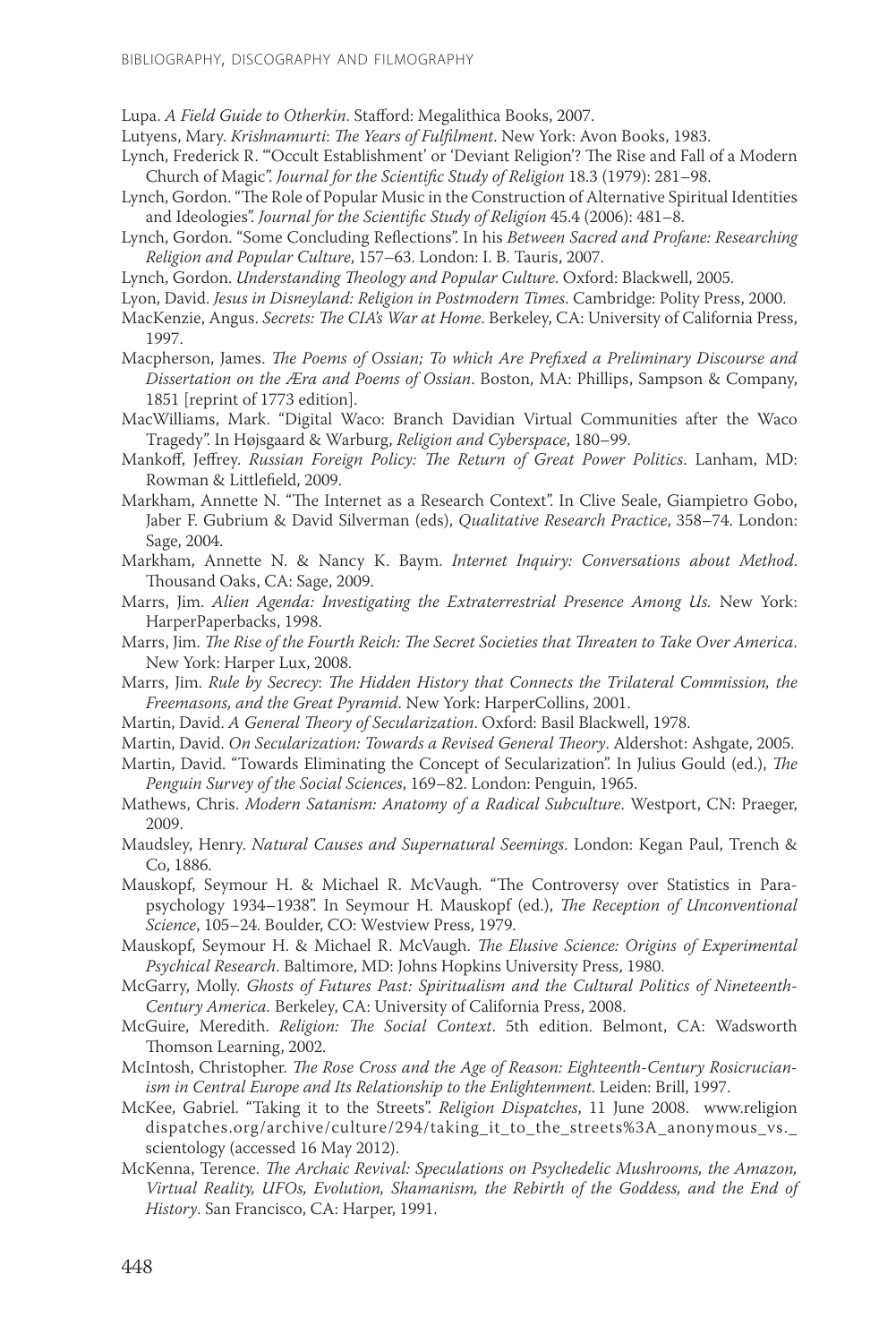Lupa. *A Field Guide to Otherkin*. Stafford: Megalithica Books, 2007.

- Lutyens, Mary. *Krishnamurti*: *The Years of Fulfilment*. New York: Avon Books, 1983.
- Lynch, Frederick R. "'Occult Establishment' or 'Deviant Religion'? The Rise and Fall of a Modern Church of Magic". *Journal for the Scientific Study of Religion* 18.3 (1979): 281–98.
- Lynch, Gordon. "The Role of Popular Music in the Construction of Alternative Spiritual Identities and Ideologies". *Journal for the Scientific Study of Religion* 45.4 (2006): 481–8.
- Lynch, Gordon. "Some Concluding Reflections". In his *Between Sacred and Profane: Researching Religion and Popular Culture*, 157–63. London: I. B. Tauris, 2007.
- Lynch, Gordon. *Understanding Theology and Popular Culture*. Oxford: Blackwell, 2005.
- Lyon, David. *Jesus in Disneyland: Religion in Postmodern Times*. Cambridge: Polity Press, 2000.
- MacKenzie, Angus. *Secrets: The CIA's War at Home*. Berkeley, CA: University of California Press, 1997.
- Macpherson, James. *The Poems of Ossian; To which Are Prefixed a Preliminary Discourse and Dissertation on the Æra and Poems of Ossian*. Boston, MA: Phillips, Sampson & Company, 1851 [reprint of 1773 edition].
- MacWilliams, Mark. "Digital Waco: Branch Davidian Virtual Communities after the Waco Tragedy". In Højsgaard & Warburg, *Religion and Cyberspace*, 180–99.
- Mankoff, Jeffrey. *Russian Foreign Policy: The Return of Great Power Politics*. Lanham, MD: Rowman & Littlefield, 2009.
- Markham, Annette N. "The Internet as a Research Context". In Clive Seale, Giampietro Gobo, Jaber F. Gubrium & David Silverman (eds), *Qualitative Research Practice*, 358–74. London: Sage, 2004.
- Markham, Annette N. & Nancy K. Baym. *Internet Inquiry: Conversations about Method*. Thousand Oaks, CA: Sage, 2009.
- Marrs, Jim. *Alien Agenda: Investigating the Extraterrestrial Presence Among Us.* New York: HarperPaperbacks, 1998.
- Marrs, Jim. *The Rise of the Fourth Reich: The Secret Societies that Threaten to Take Over America*. New York: Harper Lux, 2008.
- Marrs, Jim. *Rule by Secrecy*: *The Hidden History that Connects the Trilateral Commission, the Freemasons, and the Great Pyramid*. New York: HarperCollins, 2001.
- Martin, David. *A General Theory of Secularization*. Oxford: Basil Blackwell, 1978.
- Martin, David. *On Secularization: Towards a Revised General Theory*. Aldershot: Ashgate, 2005.
- Martin, David. "Towards Eliminating the Concept of Secularization". In Julius Gould (ed.), *The Penguin Survey of the Social Sciences*, 169–82. London: Penguin, 1965.
- Mathews, Chris. *Modern Satanism: Anatomy of a Radical Subculture*. Westport, CN: Praeger, 2009.
- Maudsley, Henry. *Natural Causes and Supernatural Seemings*. London: Kegan Paul, Trench & Co, 1886.
- Mauskopf, Seymour H. & Michael R. McVaugh. "The Controversy over Statistics in Parapsychology 1934–1938". In Seymour H. Mauskopf (ed.), *The Reception of Unconventional Science*, 105–24. Boulder, CO: Westview Press, 1979.
- Mauskopf, Seymour H. & Michael R. McVaugh. *The Elusive Science: Origins of Experimental Psychical Research*. Baltimore, MD: Johns Hopkins University Press, 1980.
- McGarry, Molly. *Ghosts of Futures Past: Spiritualism and the Cultural Politics of Nineteenth-Century America.* Berkeley, CA: University of California Press, 2008.
- McGuire, Meredith. *Religion: The Social Context*. 5th edition. Belmont, CA: Wadsworth Thomson Learning, 2002.
- McIntosh, Christopher. *The Rose Cross and the Age of Reason: Eighteenth-Century Rosicrucianism in Central Europe and Its Relationship to the Enlightenment*. Leiden: Brill, 1997.
- McKee, Gabriel. "Taking it to the Streets". *Religion Dispatches*, 11 June 2008. www.religion dispatches.org/archive/culture/294/taking\_it\_to\_the\_streets%3A\_anonymous\_vs.\_ scientology (accessed 16 May 2012).
- McKenna, Terence. *The Archaic Revival: Speculations on Psychedelic Mushrooms, the Amazon, Virtual Reality, UFOs, Evolution, Shamanism, the Rebirth of the Goddess, and the End of History*. San Francisco, CA: Harper, 1991.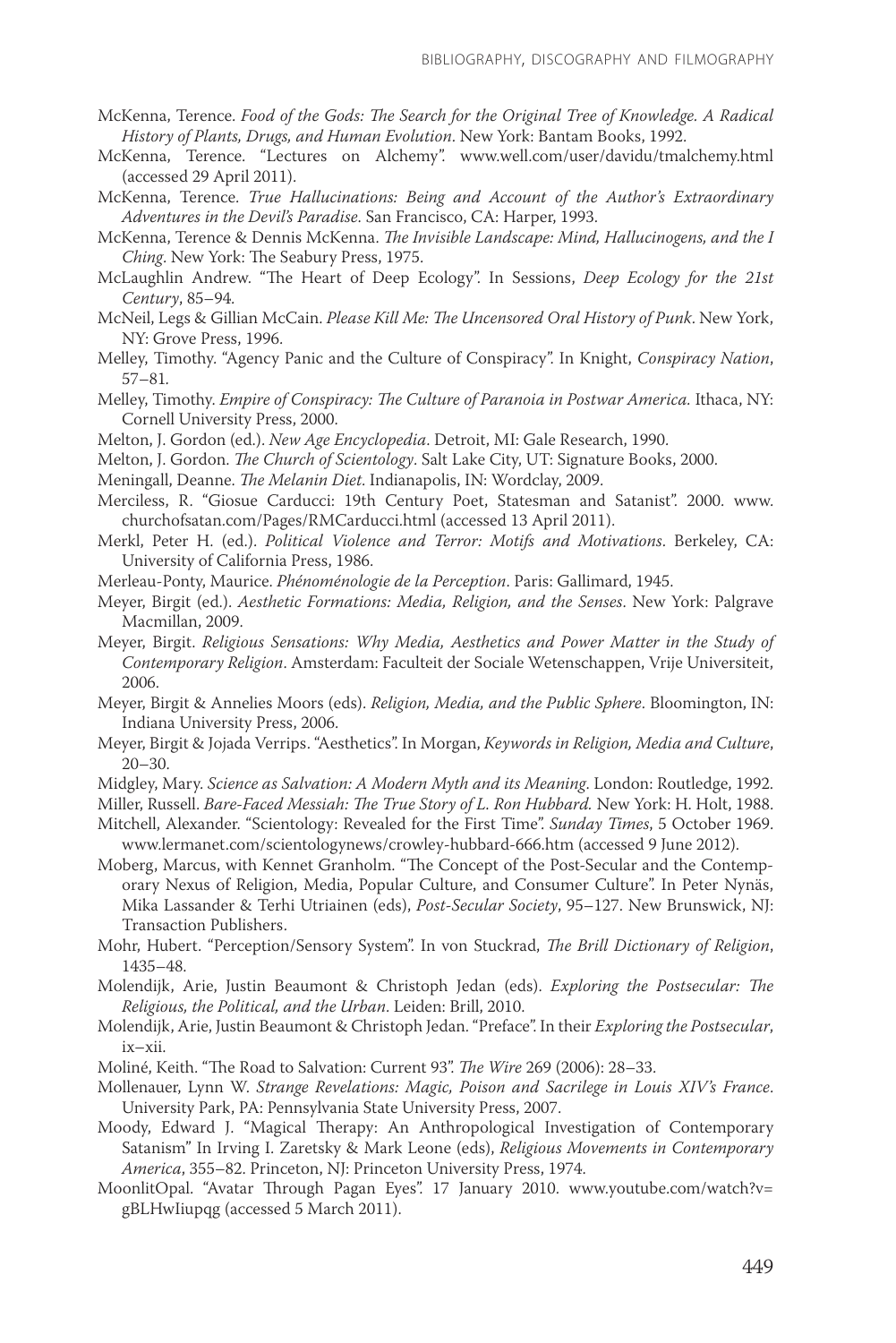- McKenna, Terence. *Food of the Gods: The Search for the Original Tree of Knowledge. A Radical History of Plants, Drugs, and Human Evolution*. New York: Bantam Books, 1992.
- McKenna, Terence. "Lectures on Alchemy". www.well.com/user/davidu/tmalchemy.html (accessed 29 April 2011).
- McKenna, Terence. *True Hallucinations: Being and Account of the Author's Extraordinary Adventures in the Devil's Paradise*. San Francisco, CA: Harper, 1993.
- McKenna, Terence & Dennis McKenna. *The Invisible Landscape: Mind, Hallucinogens, and the I Ching*. New York: The Seabury Press, 1975.
- McLaughlin Andrew. "The Heart of Deep Ecology". In Sessions, *Deep Ecology for the 21st Century*, 85–94.
- McNeil, Legs & Gillian McCain. *Please Kill Me: The Uncensored Oral History of Punk*. New York, NY: Grove Press, 1996.
- Melley, Timothy. "Agency Panic and the Culture of Conspiracy". In Knight, *Conspiracy Nation*, 57–81*.*
- Melley, Timothy. *Empire of Conspiracy: The Culture of Paranoia in Postwar America.* Ithaca, NY: Cornell University Press, 2000.
- Melton, J. Gordon (ed.). *New Age Encyclopedia*. Detroit, MI: Gale Research, 1990.
- Melton, J. Gordon. *The Church of Scientology*. Salt Lake City, UT: Signature Books, 2000.

Meningall, Deanne. *The Melanin Diet*. Indianapolis, IN: Wordclay, 2009.

- Merciless, R. "Giosue Carducci: 19th Century Poet, Statesman and Satanist". 2000. www. churchofsatan.com/Pages/RMCarducci.html (accessed 13 April 2011).
- Merkl, Peter H. (ed.). *Political Violence and Terror: Motifs and Motivations*. Berkeley, CA: University of California Press, 1986.

Merleau-Ponty, Maurice. *Phénoménologie de la Perception*. Paris: Gallimard, 1945.

- Meyer, Birgit (ed.). *Aesthetic Formations: Media, Religion, and the Senses*. New York: Palgrave Macmillan, 2009.
- Meyer, Birgit. *Religious Sensations: Why Media, Aesthetics and Power Matter in the Study of Contemporary Religion*. Amsterdam: Faculteit der Sociale Wetenschappen, Vrije Universiteit, 2006.
- Meyer, Birgit & Annelies Moors (eds). *Religion, Media, and the Public Sphere*. Bloomington, IN: Indiana University Press, 2006.
- Meyer, Birgit & Jojada Verrips. "Aesthetics". In Morgan, *Keywords in Religion, Media and Culture*, 20–30.
- Midgley, Mary. *Science as Salvation: A Modern Myth and its Meaning*. London: Routledge, 1992.

Miller, Russell. *Bare-Faced Messiah: The True Story of L. Ron Hubbard.* New York: H. Holt, 1988.

- Mitchell, Alexander. "Scientology: Revealed for the First Time". *Sunday Times*, 5 October 1969. www.lermanet.com/scientologynews/crowley-hubbard-666.htm (accessed 9 June 2012).
- Moberg, Marcus, with Kennet Granholm. "The Concept of the Post-Secular and the Contemporary Nexus of Religion, Media, Popular Culture, and Consumer Culture". In Peter Nynäs, Mika Lassander & Terhi Utriainen (eds), *Post-Secular Society*, 95–127. New Brunswick, NJ: Transaction Publishers.
- Mohr, Hubert. "Perception/Sensory System". In von Stuckrad, *The Brill Dictionary of Religion*, 1435–48.
- Molendijk, Arie, Justin Beaumont & Christoph Jedan (eds). *Exploring the Postsecular: The Religious, the Political, and the Urban*. Leiden: Brill, 2010.
- Molendijk, Arie, Justin Beaumont & Christoph Jedan. "Preface". In their *Exploring the Postsecular*, ix–xii.
- Moliné, Keith. "The Road to Salvation: Current 93". *The Wire* 269 (2006): 28–33.
- Mollenauer, Lynn W. *Strange Revelations: Magic, Poison and Sacrilege in Louis XIV's France*. University Park, PA: Pennsylvania State University Press, 2007.
- Moody, Edward J. "Magical Therapy: An Anthropological Investigation of Contemporary Satanism" In Irving I. Zaretsky & Mark Leone (eds), *Religious Movements in Contemporary America*, 355–82. Princeton, NJ: Princeton University Press, 1974.
- MoonlitOpal. "Avatar Through Pagan Eyes". 17 January 2010. www.youtube.com/watch?v= gBLHwIiupqg (accessed 5 March 2011).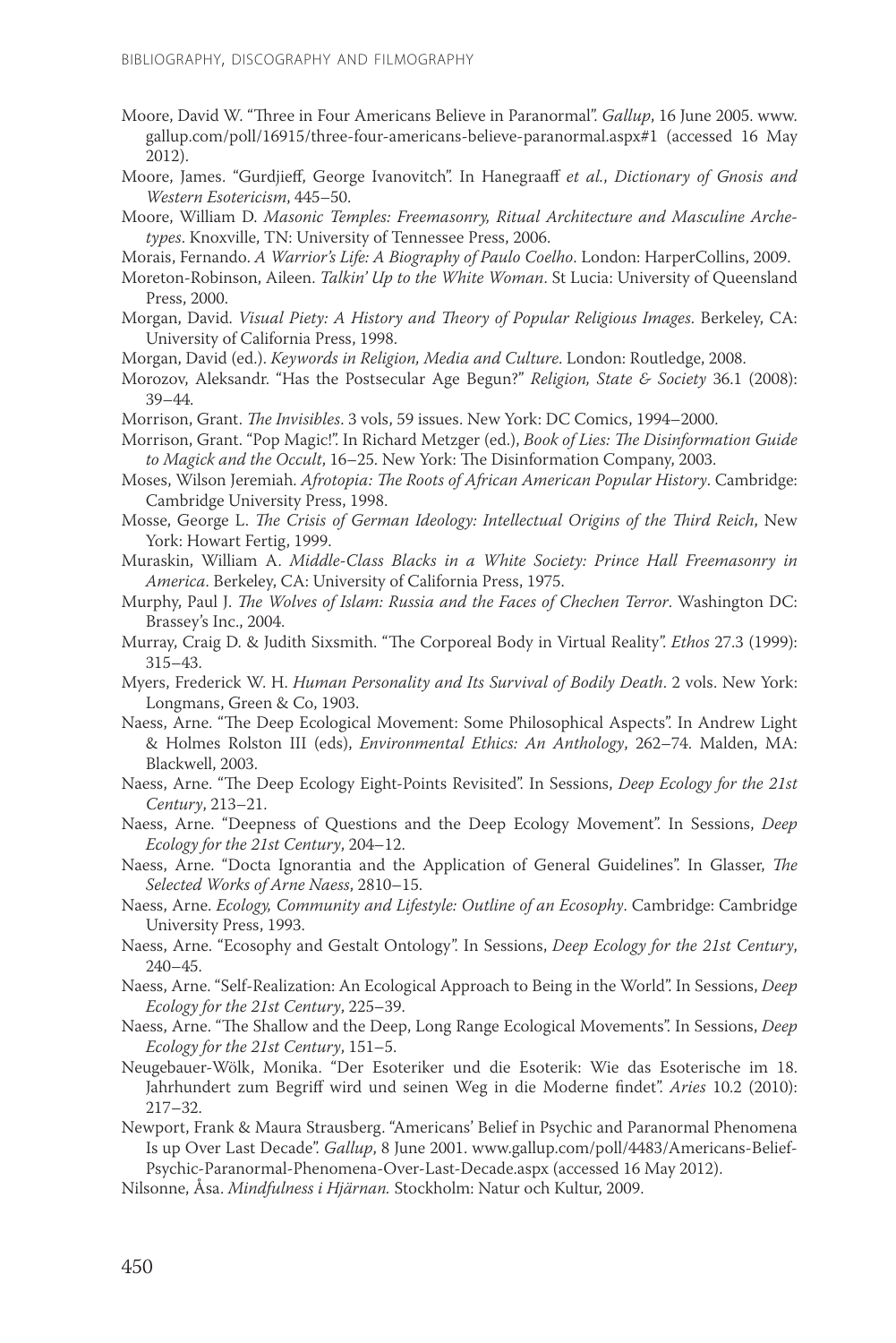- Moore, David W. "Three in Four Americans Believe in Paranormal". *Gallup*, 16 June 2005. www. gallup.com/poll/16915/three-four-americans-believe-paranormal.aspx#1 (accessed 16 May 2012).
- Moore, James. "Gurdjieff, George Ivanovitch". In Hanegraaff *et al.*, *Dictionary of Gnosis and Western Esotericism*, 445–50.
- Moore, William D. *Masonic Temples: Freemasonry, Ritual Architecture and Masculine Archetypes*. Knoxville, TN: University of Tennessee Press, 2006.
- Morais, Fernando. *A Warrior's Life: A Biography of Paulo Coelho*. London: HarperCollins, 2009.
- Moreton-Robinson, Aileen. *Talkin' Up to the White Woman*. St Lucia: University of Queensland Press, 2000.
- Morgan, David. *Visual Piety: A History and Theory of Popular Religious Images*. Berkeley, CA: University of California Press, 1998.
- Morgan, David (ed.). *Keywords in Religion, Media and Culture*. London: Routledge, 2008.
- Morozov, Aleksandr. "Has the Postsecular Age Begun?" *Religion, State & Society* 36.1 (2008): 39–44.
- Morrison, Grant. *The Invisibles*. 3 vols, 59 issues. New York: DC Comics, 1994–2000.
- Morrison, Grant. "Pop Magic!". In Richard Metzger (ed.), *Book of Lies: The Disinformation Guide to Magick and the Occult*, 16–25. New York: The Disinformation Company, 2003.
- Moses, Wilson Jeremiah. *Afrotopia: The Roots of African American Popular History*. Cambridge: Cambridge University Press, 1998.
- Mosse, George L. *The Crisis of German Ideology: Intellectual Origins of the Third Reich*, New York: Howart Fertig, 1999.
- Muraskin, William A. *Middle-Class Blacks in a White Society: Prince Hall Freemasonry in America*. Berkeley, CA: University of California Press, 1975.
- Murphy, Paul J. *The Wolves of Islam: Russia and the Faces of Chechen Terror*. Washington DC: Brassey's Inc., 2004.
- Murray, Craig D. & Judith Sixsmith. "The Corporeal Body in Virtual Reality". *Ethos* 27.3 (1999): 315–43.
- Myers, Frederick W. H. *Human Personality and Its Survival of Bodily Death*. 2 vols. New York: Longmans, Green & Co, 1903.
- Naess, Arne. "The Deep Ecological Movement: Some Philosophical Aspects". In Andrew Light & Holmes Rolston III (eds), *Environmental Ethics: An Anthology*, 262–74. Malden, MA: Blackwell, 2003.
- Naess, Arne. "The Deep Ecology Eight-Points Revisited". In Sessions, *Deep Ecology for the 21st Century*, 213–21.
- Naess, Arne. "Deepness of Questions and the Deep Ecology Movement". In Sessions, *Deep Ecology for the 21st Century*, 204–12.
- Naess, Arne. "Docta Ignorantia and the Application of General Guidelines". In Glasser, *The Selected Works of Arne Naess*, 2810–15.
- Naess, Arne. *Ecology, Community and Lifestyle: Outline of an Ecosophy*. Cambridge: Cambridge University Press, 1993.
- Naess, Arne. "Ecosophy and Gestalt Ontology". In Sessions, *Deep Ecology for the 21st Century*, 240–45.
- Naess, Arne. "Self-Realization: An Ecological Approach to Being in the World". In Sessions, *Deep Ecology for the 21st Century*, 225–39.
- Naess, Arne. "The Shallow and the Deep, Long Range Ecological Movements". In Sessions, *Deep Ecology for the 21st Century*, 151–5.
- Neugebauer-Wölk, Monika. "Der Esoteriker und die Esoterik: Wie das Esoterische im 18. Jahrhundert zum Begriff wird und seinen Weg in die Moderne findet". *Aries* 10.2 (2010): 217–32.
- Newport, Frank & Maura Strausberg. "Americans' Belief in Psychic and Paranormal Phenomena Is up Over Last Decade". *Gallup*, 8 June 2001. www.gallup.com/poll/4483/Americans-Belief-Psychic-Paranormal-Phenomena-Over-Last-Decade.aspx (accessed 16 May 2012).
- Nilsonne, Åsa. *Mindfulness i Hjärnan.* Stockholm: Natur och Kultur, 2009.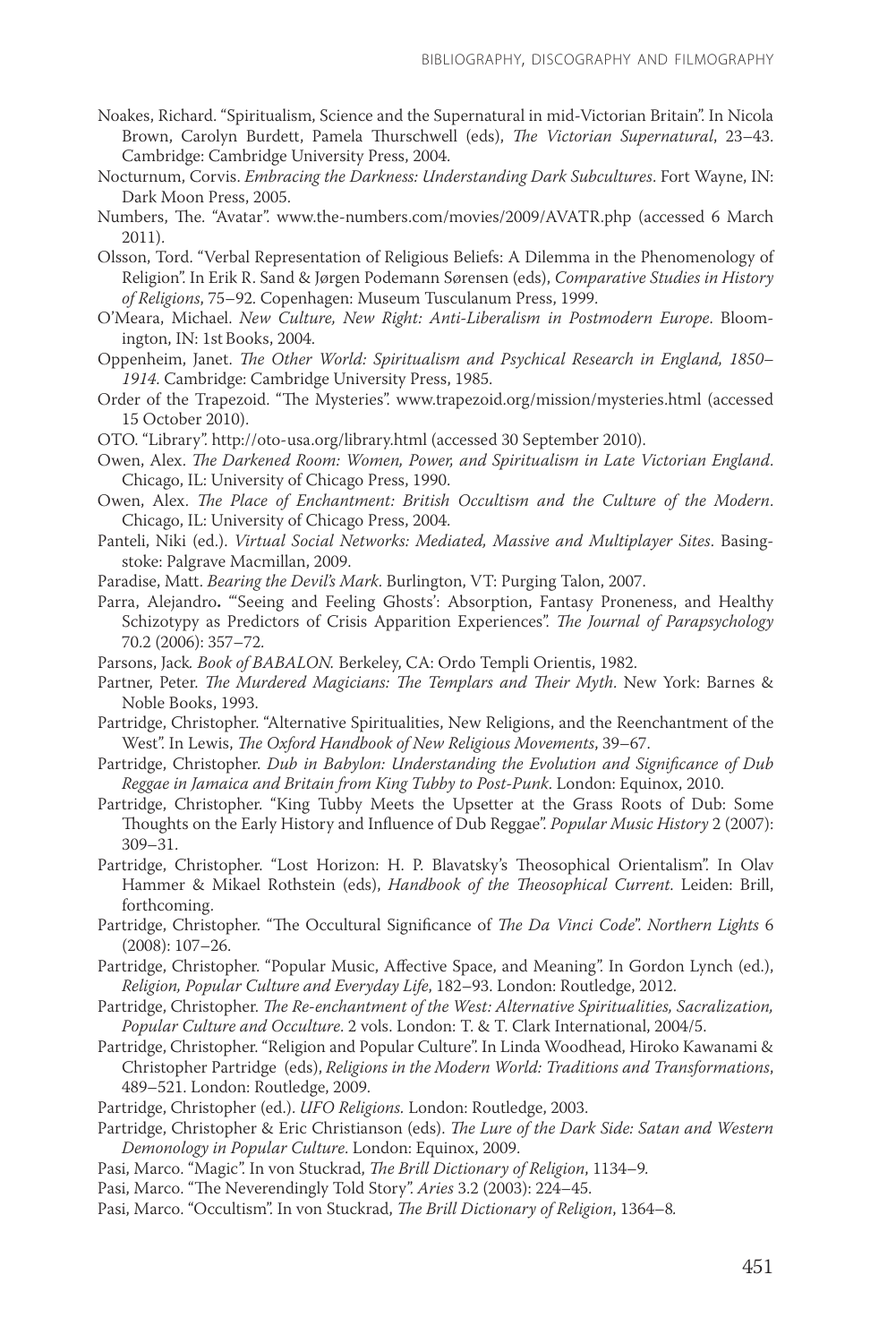- Noakes, Richard. "Spiritualism, Science and the Supernatural in mid-Victorian Britain". In Nicola Brown, Carolyn Burdett, Pamela Thurschwell (eds), *The Victorian Supernatural*, 23–43. Cambridge: Cambridge University Press, 2004.
- Nocturnum, Corvis. *Embracing the Darkness: Understanding Dark Subcultures*. Fort Wayne, IN: Dark Moon Press, 2005.
- Numbers, The. "Avatar". www.the-numbers.com/movies/2009/AVATR.php (accessed 6 March 2011).
- Olsson, Tord. "Verbal Representation of Religious Beliefs: A Dilemma in the Phenomenology of Religion". In Erik R. Sand & Jørgen Podemann Sørensen (eds), *Comparative Studies in History of Religions*, 75–92. Copenhagen: Museum Tusculanum Press, 1999.
- O'Meara, Michael. *New Culture, New Right: Anti-Liberalism in Postmodern Europe*. Bloomington, IN: 1st Books, 2004.
- Oppenheim, Janet. *The Other World: Spiritualism and Psychical Research in England, 1850– 1914*. Cambridge: Cambridge University Press, 1985.
- Order of the Trapezoid. "The Mysteries". www.trapezoid.org/mission/mysteries.html (accessed 15 October 2010).
- OTO. "Library". http://oto-usa.org/library.html (accessed 30 September 2010).
- Owen, Alex. *The Darkened Room: Women, Power, and Spiritualism in Late Victorian England*. Chicago, IL: University of Chicago Press, 1990.
- Owen, Alex. *The Place of Enchantment: British Occultism and the Culture of the Modern*. Chicago, IL: University of Chicago Press, 2004.
- Panteli, Niki (ed.). *Virtual Social Networks: Mediated, Massive and Multiplayer Sites*. Basingstoke: Palgrave Macmillan, 2009.
- Paradise, Matt. *Bearing the Devil's Mark*. Burlington, VT: Purging Talon, 2007.
- Parra, Alejandro**.** "'Seeing and Feeling Ghosts': Absorption, Fantasy Proneness, and Healthy Schizotypy as Predictors of Crisis Apparition Experiences". *The Journal of Parapsychology* 70.2 (2006): 357–72.
- Parsons, Jack*. Book of BABALON.* Berkeley, CA: Ordo Templi Orientis, 1982.
- Partner, Peter. *The Murdered Magicians: The Templars and Their Myth*. New York: Barnes & Noble Books, 1993.
- Partridge, Christopher. "Alternative Spiritualities, New Religions, and the Reenchantment of the West". In Lewis, *The Oxford Handbook of New Religious Movements*, 39–67.
- Partridge, Christopher. *Dub in Babylon: Understanding the Evolution and Significance of Dub Reggae in Jamaica and Britain from King Tubby to Post-Punk*. London: Equinox, 2010.
- Partridge, Christopher. "King Tubby Meets the Upsetter at the Grass Roots of Dub: Some Thoughts on the Early History and Influence of Dub Reggae". *Popular Music History* 2 (2007): 309–31.
- Partridge, Christopher. "Lost Horizon: H. P. Blavatsky's Theosophical Orientalism". In Olav Hammer & Mikael Rothstein (eds), *Handbook of the Theosophical Current*. Leiden: Brill, forthcoming.
- Partridge, Christopher. "The Occultural Significance of *The Da Vinci Code*". *Northern Lights* 6 (2008): 107–26.
- Partridge, Christopher. "Popular Music, Affective Space, and Meaning". In Gordon Lynch (ed.), *Religion, Popular Culture and Everyday Life*, 182–93. London: Routledge, 2012.
- Partridge, Christopher. *The Re-enchantment of the West: Alternative Spiritualities, Sacralization, Popular Culture and Occulture*. 2 vols. London: T. & T. Clark International, 2004/5.
- Partridge, Christopher. "Religion and Popular Culture". In Linda Woodhead, Hiroko Kawanami & Christopher Partridge (eds), *Religions in the Modern World: Traditions and Transformations*, 489–521. London: Routledge, 2009.
- Partridge, Christopher (ed.). *UFO Religions.* London: Routledge, 2003.
- Partridge, Christopher & Eric Christianson (eds). *The Lure of the Dark Side: Satan and Western Demonology in Popular Culture*. London: Equinox, 2009.
- Pasi, Marco. "Magic". In von Stuckrad, *The Brill Dictionary of Religion*, 1134–9*.*
- Pasi, Marco. "The Neverendingly Told Story". *Aries* 3.2 (2003): 224–45.
- Pasi, Marco. "Occultism". In von Stuckrad, *The Brill Dictionary of Religion*, 1364–8*.*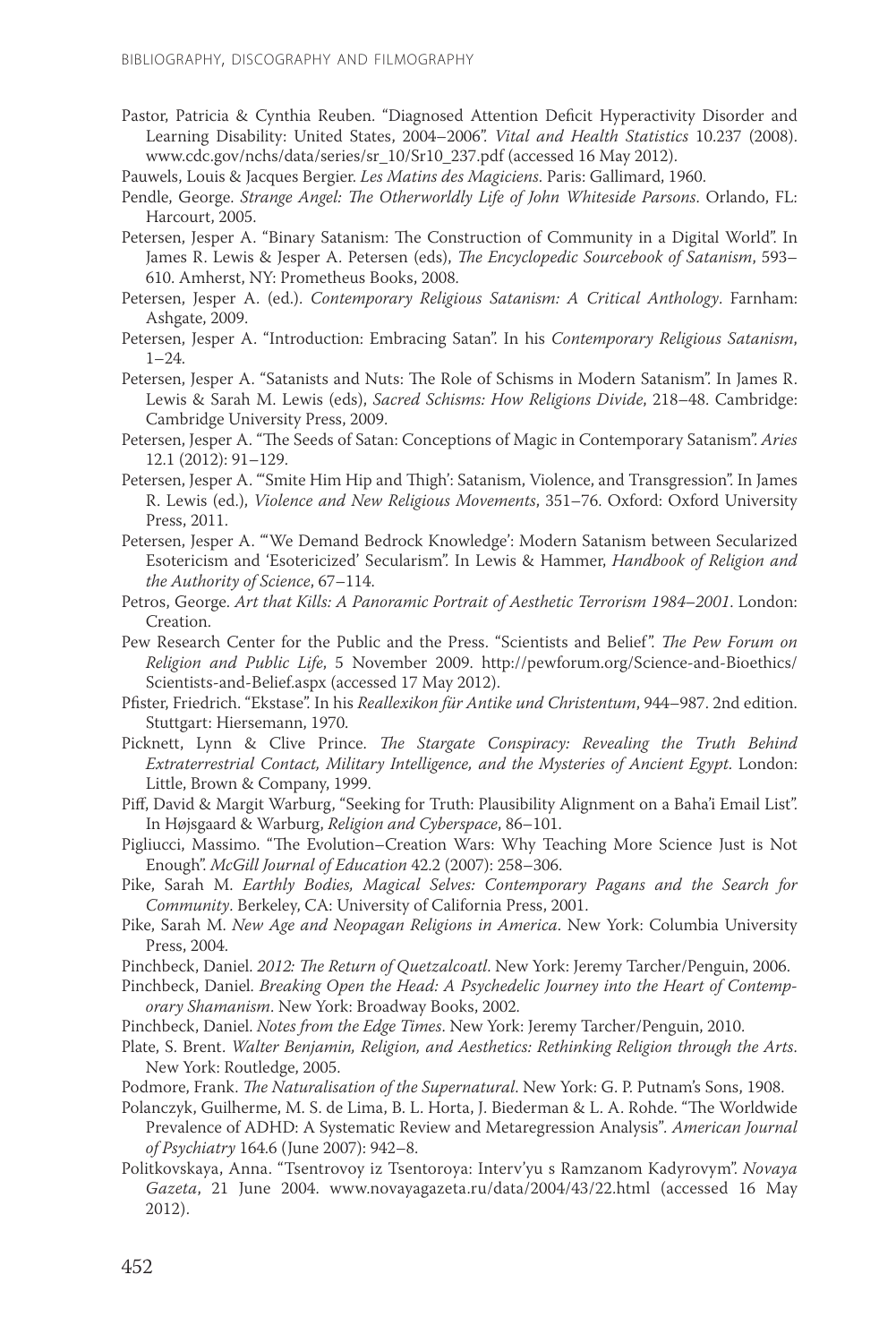- Pastor, Patricia & Cynthia Reuben. "Diagnosed Attention Deficit Hyperactivity Disorder and Learning Disability: United States, 2004–2006". *Vital and Health Statistics* 10.237 (2008). www.cdc.gov/nchs/data/series/sr\_10/Sr10\_237.pdf (accessed 16 May 2012).
- Pauwels, Louis & Jacques Bergier. *Les Matins des Magiciens*. Paris: Gallimard, 1960.
- Pendle, George. *Strange Angel: The Otherworldly Life of John Whiteside Parsons*. Orlando, FL: Harcourt, 2005.
- Petersen, Jesper A. "Binary Satanism: The Construction of Community in a Digital World". In James R. Lewis & Jesper A. Petersen (eds), *The Encyclopedic Sourcebook of Satanism*, 593– 610. Amherst, NY: Prometheus Books, 2008.
- Petersen, Jesper A. (ed.). *Contemporary Religious Satanism: A Critical Anthology*. Farnham: Ashgate, 2009.
- Petersen, Jesper A. "Introduction: Embracing Satan". In his *Contemporary Religious Satanism*, 1–24.
- Petersen, Jesper A. "Satanists and Nuts: The Role of Schisms in Modern Satanism". In James R. Lewis & Sarah M. Lewis (eds), *Sacred Schisms: How Religions Divide*, 218–48. Cambridge: Cambridge University Press, 2009.
- Petersen, Jesper A. "The Seeds of Satan: Conceptions of Magic in Contemporary Satanism". *Aries* 12.1 (2012): 91–129.
- Petersen, Jesper A. "'Smite Him Hip and Thigh': Satanism, Violence, and Transgression". In James R. Lewis (ed.), *Violence and New Religious Movements*, 351–76. Oxford: Oxford University Press, 2011.
- Petersen, Jesper A. "'We Demand Bedrock Knowledge': Modern Satanism between Secularized Esotericism and 'Esotericized' Secularism". In Lewis & Hammer, *Handbook of Religion and the Authority of Science*, 67–114.
- Petros, George. *Art that Kills: A Panoramic Portrait of Aesthetic Terrorism 1984–2001*. London: Creation.
- Pew Research Center for the Public and the Press. "Scientists and Belief". *The Pew Forum on Religion and Public Life*, 5 November 2009. http://pewforum.org/Science-and-Bioethics/ Scientists-and-Belief.aspx (accessed 17 May 2012).
- Pfister, Friedrich. "Ekstase". In his *Reallexikon für Antike und Christentum*, 944–987. 2nd edition. Stuttgart: Hiersemann, 1970.
- Picknett, Lynn & Clive Prince. *The Stargate Conspiracy: Revealing the Truth Behind Extraterrestrial Contact, Military Intelligence, and the Mysteries of Ancient Egypt*. London: Little, Brown & Company, 1999.
- Piff, David & Margit Warburg, "Seeking for Truth: Plausibility Alignment on a Baha'i Email List". In Højsgaard & Warburg, *Religion and Cyberspace*, 86–101.
- Pigliucci, Massimo. "The Evolution–Creation Wars: Why Teaching More Science Just is Not Enough". *McGill Journal of Education* 42.2 (2007): 258–306.
- Pike, Sarah M. *Earthly Bodies, Magical Selves: Contemporary Pagans and the Search for Community*. Berkeley, CA: University of California Press, 2001.
- Pike, Sarah M. *New Age and Neopagan Religions in America*. New York: Columbia University Press, 2004.
- Pinchbeck, Daniel. *2012: The Return of Quetzalcoatl*. New York: Jeremy Tarcher/Penguin, 2006.
- Pinchbeck, Daniel. *Breaking Open the Head: A Psychedelic Journey into the Heart of Contemporary Shamanism*. New York: Broadway Books, 2002.
- Pinchbeck, Daniel. *Notes from the Edge Times*. New York: Jeremy Tarcher/Penguin, 2010.
- Plate, S. Brent. *Walter Benjamin, Religion, and Aesthetics: Rethinking Religion through the Arts*. New York: Routledge, 2005.
- Podmore, Frank. *The Naturalisation of the Supernatural*. New York: G. P. Putnam's Sons, 1908.
- Polanczyk, Guilherme, M. S. de Lima, B. L. Horta, J. Biederman & L. A. Rohde. "The Worldwide Prevalence of ADHD: A Systematic Review and Metaregression Analysis"*. American Journal of Psychiatry* 164.6 (June 2007): 942–8.
- Politkovskaya, Anna. "Tsentrovoy iz Tsentoroya: Interv'yu s Ramzanom Kadyrovym". *Novaya Gazeta*, 21 June 2004. www.novayagazeta.ru/data/2004/43/22.html (accessed 16 May 2012).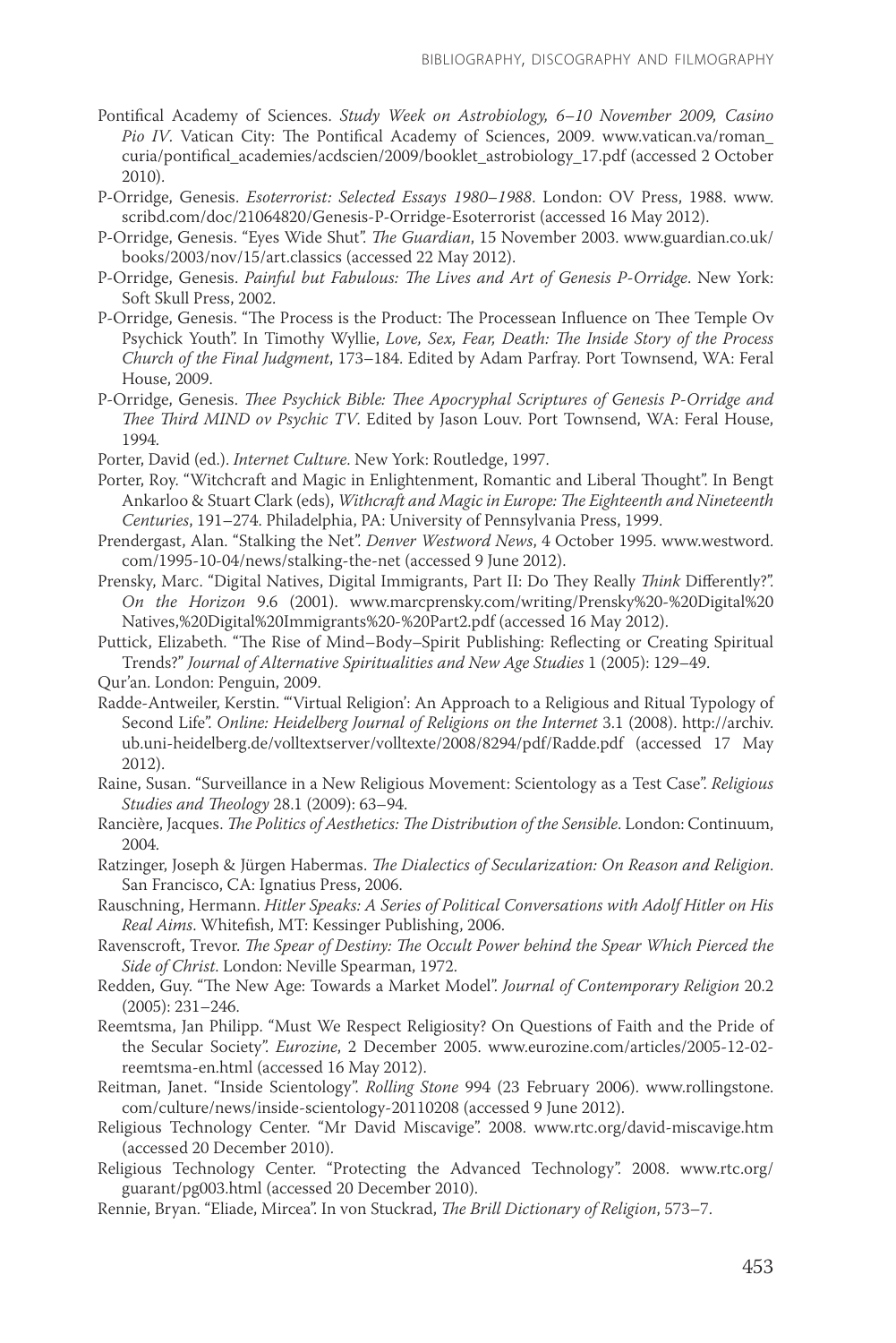- Pontifical Academy of Sciences. *Study Week on Astrobiology, 6–10 November 2009, Casino Pio IV*. Vatican City: The Pontifical Academy of Sciences, 2009. www.vatican.va/roman\_ curia/pontifical\_academies/acdscien/2009/booklet\_astrobiology\_17.pdf (accessed 2 October 2010).
- P-Orridge, Genesis. *Esoterrorist: Selected Essays 1980–1988*. London: OV Press, 1988. www. scribd.com/doc/21064820/Genesis-P-Orridge-Esoterrorist (accessed 16 May 2012).
- P-Orridge, Genesis. "Eyes Wide Shut". *The Guardian*, 15 November 2003. www.guardian.co.uk/ books/2003/nov/15/art.classics (accessed 22 May 2012).
- P-Orridge, Genesis. *Painful but Fabulous: The Lives and Art of Genesis P-Orridge*. New York: Soft Skull Press, 2002.
- P-Orridge, Genesis. "The Process is the Product: The Processean Influence on Thee Temple Ov Psychick Youth". In Timothy Wyllie, *Love, Sex, Fear, Death: The Inside Story of the Process Church of the Final Judgment*, 173–184. Edited by Adam Parfray. Port Townsend, WA: Feral House, 2009.
- P-Orridge, Genesis. *Thee Psychick Bible: Thee Apocryphal Scriptures of Genesis P-Orridge and Thee Third MIND ov Psychic TV*. Edited by Jason Louv. Port Townsend, WA: Feral House, 1994.
- Porter, David (ed.). *Internet Culture*. New York: Routledge, 1997.
- Porter, Roy. "Witchcraft and Magic in Enlightenment, Romantic and Liberal Thought". In Bengt Ankarloo & Stuart Clark (eds), *Withcraft and Magic in Europe: The Eighteenth and Nineteenth Centuries*, 191–274. Philadelphia, PA: University of Pennsylvania Press, 1999.
- Prendergast, Alan. "Stalking the Net". *Denver Westword News*, 4 October 1995. www.westword. com/1995-10-04/news/stalking-the-net (accessed 9 June 2012).
- Prensky, Marc. "Digital Natives, Digital Immigrants, Part II: Do They Really *Think* Differently?". *On the Horizon* 9.6 (2001). www.marcprensky.com/writing/Prensky%20-%20Digital%20 Natives,%20Digital%20Immigrants%20-%20Part2.pdf (accessed 16 May 2012).
- Puttick, Elizabeth. "The Rise of Mind–Body–Spirit Publishing: Reflecting or Creating Spiritual Trends?" *Journal of Alternative Spiritualities and New Age Studies* 1 (2005): 129–49.
- Qur'an. London: Penguin, 2009.
- Radde-Antweiler, Kerstin. "'Virtual Religion': An Approach to a Religious and Ritual Typology of Second Life". *Online: Heidelberg Journal of Religions on the Internet* 3.1 (2008). http://archiv. ub.uni-heidelberg.de/volltextserver/volltexte/2008/8294/pdf/Radde.pdf (accessed 17 May 2012).
- Raine, Susan. "Surveillance in a New Religious Movement: Scientology as a Test Case". *Religious Studies and Theology* 28.1 (2009): 63–94.
- Rancière, Jacques. *The Politics of Aesthetics: The Distribution of the Sensible*. London: Continuum, 2004.
- Ratzinger, Joseph & Jürgen Habermas. *The Dialectics of Secularization: On Reason and Religion*. San Francisco, CA: Ignatius Press, 2006.
- Rauschning, Hermann. *Hitler Speaks: A Series of Political Conversations with Adolf Hitler on His Real Aims*. Whitefish, MT: Kessinger Publishing, 2006.
- Ravenscroft, Trevor. *The Spear of Destiny: The Occult Power behind the Spear Which Pierced the Side of Christ*. London: Neville Spearman, 1972.
- Redden, Guy. "The New Age: Towards a Market Model". *Journal of Contemporary Religion* 20.2 (2005): 231–246.
- Reemtsma, Jan Philipp. "Must We Respect Religiosity? On Questions of Faith and the Pride of the Secular Society". *Eurozine*, 2 December 2005. www.eurozine.com/articles/2005-12-02 reemtsma-en.html (accessed 16 May 2012).
- Reitman, Janet. "Inside Scientology". *Rolling Stone* 994 (23 February 2006). www.rollingstone. com/culture/news/inside-scientology-20110208 (accessed 9 June 2012).
- Religious Technology Center. "Mr David Miscavige". 2008. www.rtc.org/david-miscavige.htm (accessed 20 December 2010).
- Religious Technology Center. "Protecting the Advanced Technology". 2008. www.rtc.org/ guarant/pg003.html (accessed 20 December 2010).
- Rennie, Bryan. "Eliade, Mircea". In von Stuckrad, *The Brill Dictionary of Religion*, 573–7.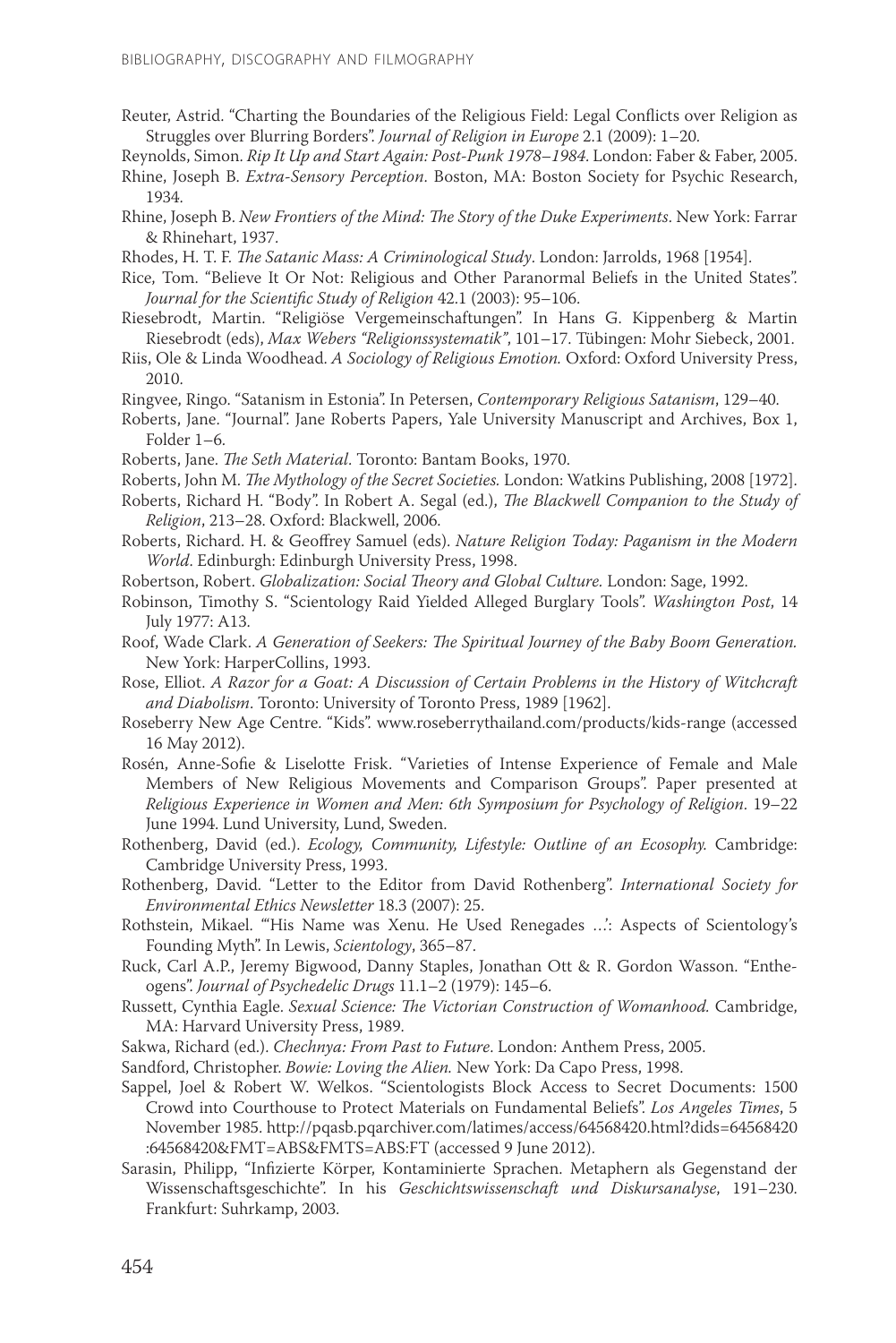Reuter, Astrid. "Charting the Boundaries of the Religious Field: Legal Conflicts over Religion as Struggles over Blurring Borders". *Journal of Religion in Europe* 2.1 (2009): 1–20.

Reynolds, Simon. *Rip It Up and Start Again: Post-Punk 1978–1984*. London: Faber & Faber, 2005.

Rhine, Joseph B. *Extra-Sensory Perception*. Boston, MA: Boston Society for Psychic Research, 1934.

Rhine, Joseph B. *New Frontiers of the Mind: The Story of the Duke Experiments*. New York: Farrar & Rhinehart, 1937.

Rhodes, H. T. F. *The Satanic Mass: A Criminological Study*. London: Jarrolds, 1968 [1954].

- Rice, Tom. "Believe It Or Not: Religious and Other Paranormal Beliefs in the United States". *Journal for the Scientific Study of Religion* 42.1 (2003): 95–106.
- Riesebrodt, Martin. "Religiöse Vergemeinschaftungen". In Hans G. Kippenberg & Martin Riesebrodt (eds), *Max Webers "Religionssystematik"*, 101–17. Tübingen: Mohr Siebeck, 2001.
- Riis, Ole & Linda Woodhead. *A Sociology of Religious Emotion.* Oxford: Oxford University Press, 2010.
- Ringvee, Ringo. "Satanism in Estonia". In Petersen, *Contemporary Religious Satanism*, 129–40.
- Roberts, Jane. "Journal". Jane Roberts Papers, Yale University Manuscript and Archives, Box 1, Folder 1–6.
- Roberts, Jane. *The Seth Material*. Toronto: Bantam Books, 1970.
- Roberts, John M. *The Mythology of the Secret Societies.* London: Watkins Publishing, 2008 [1972].
- Roberts, Richard H. "Body". In Robert A. Segal (ed.), *The Blackwell Companion to the Study of Religion*, 213–28. Oxford: Blackwell, 2006.
- Roberts, Richard. H. & Geoffrey Samuel (eds). *Nature Religion Today: Paganism in the Modern World*. Edinburgh: Edinburgh University Press, 1998.
- Robertson, Robert. *Globalization: Social Theory and Global Culture.* London: Sage, 1992.
- Robinson, Timothy S. "Scientology Raid Yielded Alleged Burglary Tools". *Washington Post*, 14 July 1977: A13.
- Roof, Wade Clark. *A Generation of Seekers: The Spiritual Journey of the Baby Boom Generation.* New York: HarperCollins, 1993.
- Rose, Elliot. *A Razor for a Goat: A Discussion of Certain Problems in the History of Witchcraft and Diabolism*. Toronto: University of Toronto Press, 1989 [1962].
- Roseberry New Age Centre. "Kids". www.roseberrythailand.com/products/kids-range (accessed 16 May 2012).
- Rosén, Anne-Sofie & Liselotte Frisk. "Varieties of Intense Experience of Female and Male Members of New Religious Movements and Comparison Groups". Paper presented at *Religious Experience in Women and Men: 6th Symposium for Psychology of Religion*. 19–22 June 1994. Lund University, Lund, Sweden.
- Rothenberg, David (ed.). *Ecology, Community, Lifestyle: Outline of an Ecosophy.* Cambridge: Cambridge University Press, 1993.
- Rothenberg, David. "Letter to the Editor from David Rothenberg". *International Society for Environmental Ethics Newsletter* 18.3 (2007): 25.
- Rothstein, Mikael. "'His Name was Xenu. He Used Renegades …': Aspects of Scientology's Founding Myth". In Lewis, *Scientology*, 365–87.
- Ruck, Carl A.P., Jeremy Bigwood, Danny Staples, Jonathan Ott & R. Gordon Wasson. "Entheogens". *Journal of Psychedelic Drugs* 11.1–2 (1979): 145–6.
- Russett, Cynthia Eagle. *Sexual Science: The Victorian Construction of Womanhood.* Cambridge, MA: Harvard University Press, 1989.
- Sakwa, Richard (ed.). *Chechnya: From Past to Future*. London: Anthem Press, 2005.
- Sandford, Christopher. *Bowie: Loving the Alien.* New York: Da Capo Press, 1998.
- Sappel, Joel & Robert W. Welkos. "Scientologists Block Access to Secret Documents: 1500 Crowd into Courthouse to Protect Materials on Fundamental Beliefs". *Los Angeles Times*, 5 November 1985. http://pqasb.pqarchiver.com/latimes/access/64568420.html?dids=64568420 :64568420&FMT=ABS&FMTS=ABS:FT (accessed 9 June 2012).
- Sarasin, Philipp, "Infizierte Körper, Kontaminierte Sprachen. Metaphern als Gegenstand der Wissenschaftsgeschichte". In his *Geschichtswissenschaft und Diskursanalyse*, 191–230. Frankfurt: Suhrkamp, 2003.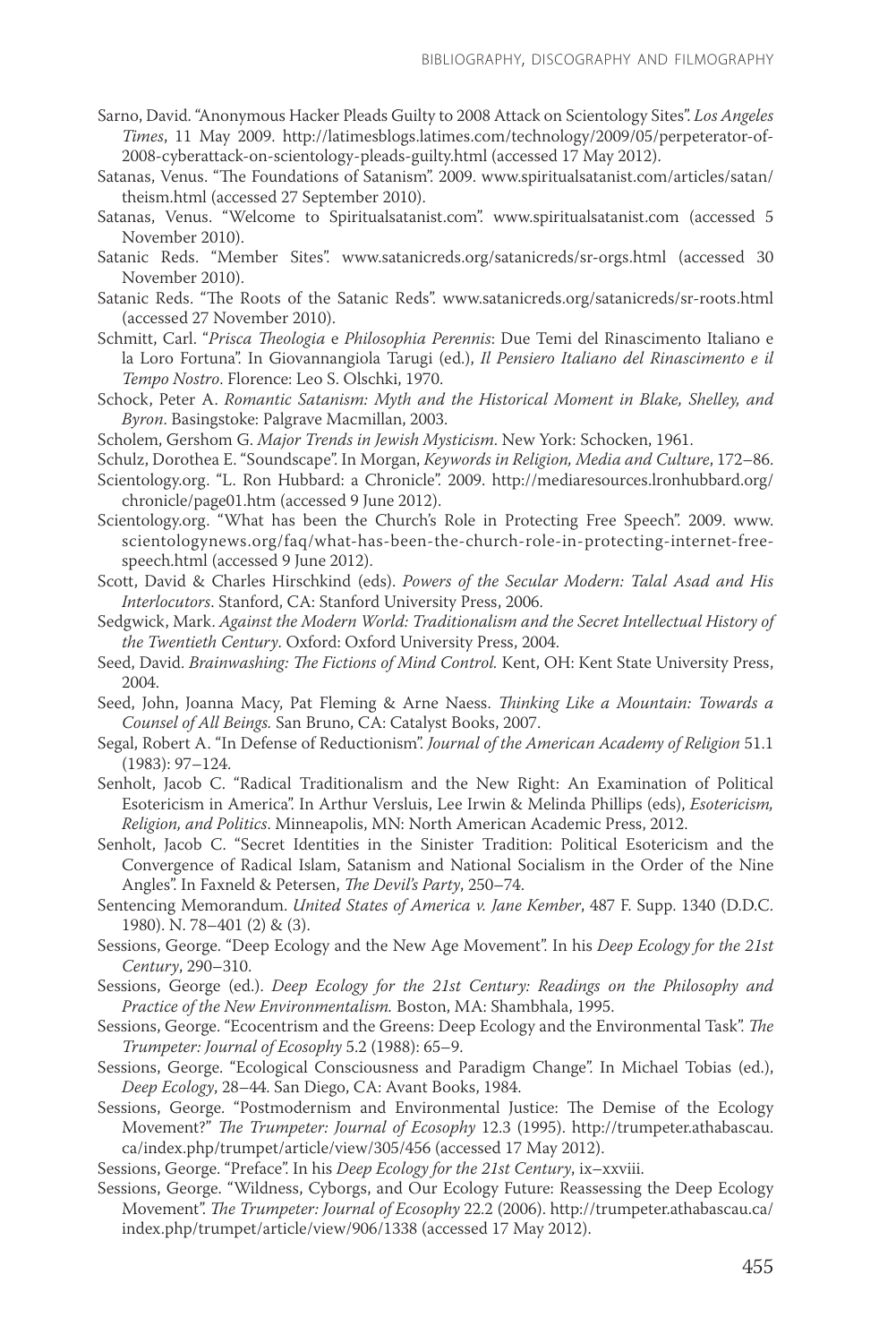- Sarno, David. "Anonymous Hacker Pleads Guilty to 2008 Attack on Scientology Sites". *Los Angeles Times*, 11 May 2009. http://latimesblogs.latimes.com/technology/2009/05/perpeterator-of-2008-cyberattack-on-scientology-pleads-guilty.html (accessed 17 May 2012).
- Satanas, Venus. "The Foundations of Satanism". 2009. www.spiritualsatanist.com/articles/satan/ theism.html (accessed 27 September 2010).
- Satanas, Venus. "Welcome to Spiritualsatanist.com". www.spiritualsatanist.com (accessed 5 November 2010).
- Satanic Reds. "Member Sites". www.satanicreds.org/satanicreds/sr-orgs.html (accessed 30 November 2010).
- Satanic Reds. "The Roots of the Satanic Reds". www.satanicreds.org/satanicreds/sr-roots.html (accessed 27 November 2010).
- Schmitt, Carl. "*Prisca Theologia* e *Philosophia Perennis*: Due Temi del Rinascimento Italiano e la Loro Fortuna". In Giovannangiola Tarugi (ed.), *Il Pensiero Italiano del Rinascimento e il Tempo Nostro*. Florence: Leo S. Olschki, 1970.
- Schock, Peter A. *Romantic Satanism: Myth and the Historical Moment in Blake, Shelley, and Byron*. Basingstoke: Palgrave Macmillan, 2003.
- Scholem, Gershom G. *Major Trends in Jewish Mysticism*. New York: Schocken, 1961.
- Schulz, Dorothea E. "Soundscape". In Morgan, *Keywords in Religion, Media and Culture*, 172–86.
- Scientology.org. "L. Ron Hubbard: a Chronicle". 2009. http://mediaresources.lronhubbard.org/ chronicle/page01.htm (accessed 9 June 2012).
- Scientology.org. "What has been the Church's Role in Protecting Free Speech". 2009. www. scientologynews.org/faq/what-has-been-the-church-role-in-protecting-internet-freespeech.html (accessed 9 June 2012).
- Scott, David & Charles Hirschkind (eds). *Powers of the Secular Modern: Talal Asad and His Interlocutors*. Stanford, CA: Stanford University Press, 2006.
- Sedgwick, Mark. *Against the Modern World: Traditionalism and the Secret Intellectual History of the Twentieth Century*. Oxford: Oxford University Press, 2004.
- Seed, David. *Brainwashing: The Fictions of Mind Control.* Kent, OH: Kent State University Press, 2004.
- Seed, John, Joanna Macy, Pat Fleming & Arne Naess. *Thinking Like a Mountain: Towards a Counsel of All Beings.* San Bruno, CA: Catalyst Books, 2007.
- Segal, Robert A. "In Defense of Reductionism". *Journal of the American Academy of Religion* 51.1 (1983): 97–124.
- Senholt, Jacob C. "Radical Traditionalism and the New Right: An Examination of Political Esotericism in America". In Arthur Versluis, Lee Irwin & Melinda Phillips (eds), *Esotericism, Religion, and Politics*. Minneapolis, MN: North American Academic Press, 2012.
- Senholt, Jacob C. "Secret Identities in the Sinister Tradition: Political Esotericism and the Convergence of Radical Islam, Satanism and National Socialism in the Order of the Nine Angles". In Faxneld & Petersen, *The Devil's Party*, 250–74.
- Sentencing Memorandum. *United States of America v. Jane Kember*, 487 F. Supp. 1340 (D.D.C. 1980). N. 78–401 (2) & (3).
- Sessions, George. "Deep Ecology and the New Age Movement". In his *Deep Ecology for the 21st Century*, 290–310.
- Sessions, George (ed.). *Deep Ecology for the 21st Century: Readings on the Philosophy and Practice of the New Environmentalism.* Boston, MA: Shambhala, 1995.
- Sessions, George. "Ecocentrism and the Greens: Deep Ecology and the Environmental Task". *The Trumpeter: Journal of Ecosophy* 5.2 (1988): 65–9.
- Sessions, George. "Ecological Consciousness and Paradigm Change". In Michael Tobias (ed.), *Deep Ecology*, 28–44. San Diego, CA: Avant Books, 1984.
- Sessions, George. "Postmodernism and Environmental Justice: The Demise of the Ecology Movement?" *The Trumpeter: Journal of Ecosophy* 12.3 (1995). http://trumpeter.athabascau. ca/index.php/trumpet/article/view/305/456 (accessed 17 May 2012).

Sessions, George. "Preface". In his *Deep Ecology for the 21st Century*, ix–xxviii.

Sessions, George. "Wildness, Cyborgs, and Our Ecology Future: Reassessing the Deep Ecology Movement". *The Trumpeter: Journal of Ecosophy* 22.2 (2006). http://trumpeter.athabascau.ca/ index.php/trumpet/article/view/906/1338 (accessed 17 May 2012).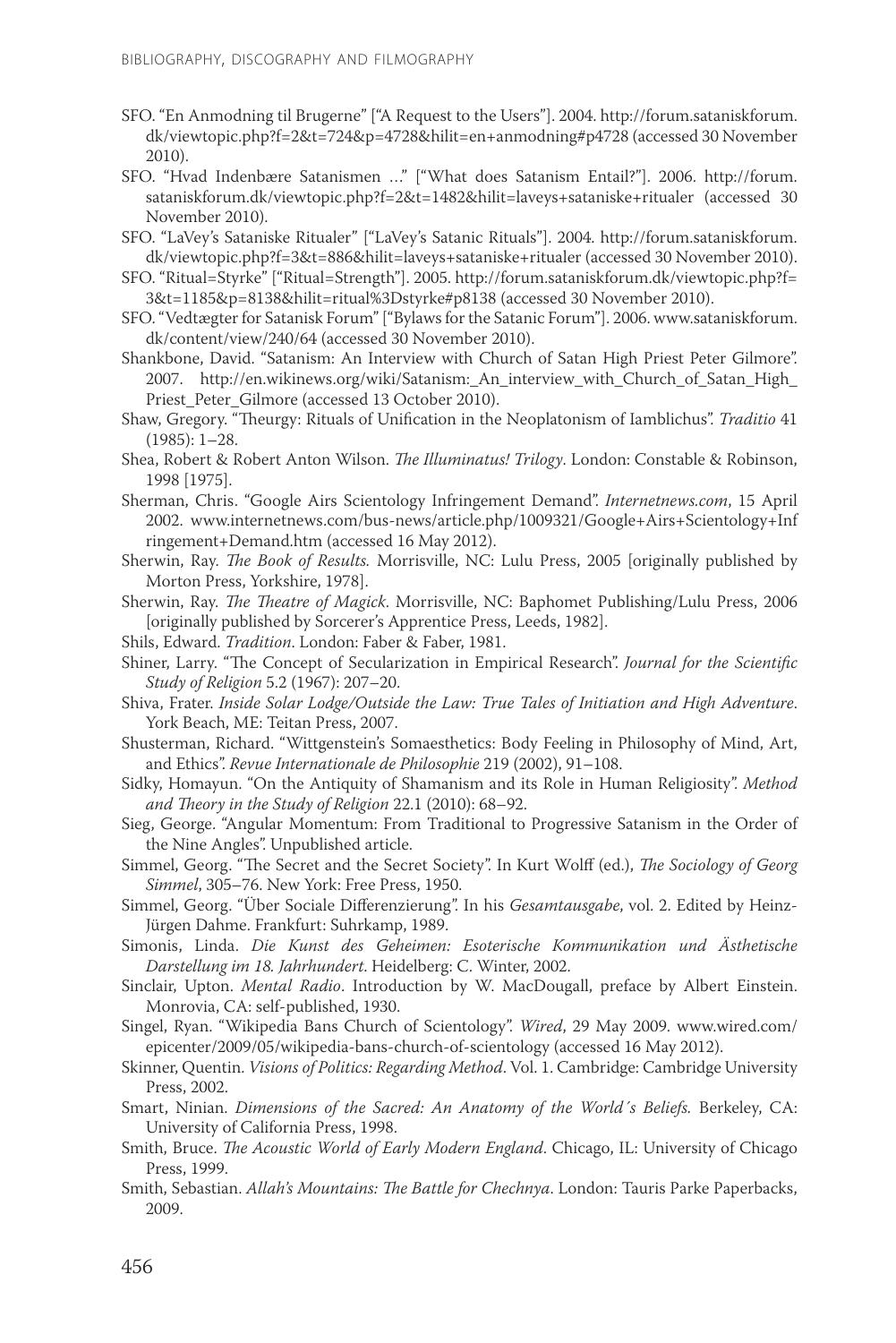- SFO. "En Anmodning til Brugerne" ["A Request to the Users"]. 2004. http://forum.sataniskforum. dk/viewtopic.php?f=2&t=724&p=4728&hilit=en+anmodning#p4728 (accessed 30 November 2010).
- SFO. "Hvad Indenbære Satanismen …" ["What does Satanism Entail?"]. 2006. http://forum. sataniskforum.dk/viewtopic.php?f=2&t=1482&hilit=laveys+sataniske+ritualer (accessed 30 November 2010).
- SFO. "LaVey's Sataniske Ritualer" ["LaVey's Satanic Rituals"]. 2004. http://forum.sataniskforum. dk/viewtopic.php?f=3&t=886&hilit=laveys+sataniske+ritualer (accessed 30 November 2010).
- SFO. "Ritual=Styrke" ["Ritual=Strength"]. 2005. http://forum.sataniskforum.dk/viewtopic.php?f= 3&t=1185&p=8138&hilit=ritual%3Dstyrke#p8138 (accessed 30 November 2010).
- SFO. "Vedtægter for Satanisk Forum" ["Bylaws for the Satanic Forum"]. 2006. www.sataniskforum. dk/content/view/240/64 (accessed 30 November 2010).
- Shankbone, David. "Satanism: An Interview with Church of Satan High Priest Peter Gilmore". 2007. http://en.wikinews.org/wiki/Satanism: An interview with Church of Satan High Priest\_Peter\_Gilmore (accessed 13 October 2010).
- Shaw, Gregory. "Theurgy: Rituals of Unification in the Neoplatonism of Iamblichus". *Traditio* 41 (1985): 1–28.
- Shea, Robert & Robert Anton Wilson. *The Illuminatus! Trilogy*. London: Constable & Robinson, 1998 [1975].
- Sherman, Chris. "Google Airs Scientology Infringement Demand". *Internetnews.com*, 15 April 2002. www.internetnews.com/bus-news/article.php/1009321/Google+Airs+Scientology+Inf ringement+Demand.htm (accessed 16 May 2012).
- Sherwin, Ray. *The Book of Results.* Morrisville, NC: Lulu Press, 2005 [originally published by Morton Press, Yorkshire, 1978].
- Sherwin, Ray. *The Theatre of Magick*. Morrisville, NC: Baphomet Publishing/Lulu Press, 2006 [originally published by Sorcerer's Apprentice Press, Leeds, 1982].
- Shils, Edward. *Tradition*. London: Faber & Faber, 1981.
- Shiner, Larry. "The Concept of Secularization in Empirical Research". *Journal for the Scientific Study of Religion* 5.2 (1967): 207–20.
- Shiva, Frater. *Inside Solar Lodge/Outside the Law: True Tales of Initiation and High Adventure*. York Beach, ME: Teitan Press, 2007.
- Shusterman, Richard. "Wittgenstein's Somaesthetics: Body Feeling in Philosophy of Mind, Art, and Ethics". *Revue Internationale de Philosophie* 219 (2002), 91–108.
- Sidky, Homayun. "On the Antiquity of Shamanism and its Role in Human Religiosity". *Method and Theory in the Study of Religion* 22.1 (2010): 68–92.
- Sieg, George. "Angular Momentum: From Traditional to Progressive Satanism in the Order of the Nine Angles". Unpublished article.
- Simmel, Georg. "The Secret and the Secret Society". In Kurt Wolff (ed.), *The Sociology of Georg Simmel*, 305–76. New York: Free Press, 1950.
- Simmel, Georg. "Über Sociale Differenzierung". In his *Gesamtausgabe*, vol. 2. Edited by Heinz-Jürgen Dahme. Frankfurt: Suhrkamp, 1989.
- Simonis, Linda. *Die Kunst des Geheimen: Esoterische Kommunikation und Ästhetische Darstellung im 18. Jahrhundert*. Heidelberg: C. Winter, 2002.
- Sinclair, Upton. *Mental Radio*. Introduction by W. MacDougall, preface by Albert Einstein. Monrovia, CA: self-published, 1930.
- Singel, Ryan. "Wikipedia Bans Church of Scientology". *Wired*, 29 May 2009. www.wired.com/ epicenter/2009/05/wikipedia-bans-church-of-scientology (accessed 16 May 2012).
- Skinner, Quentin. *Visions of Politics: Regarding Method*. Vol. 1. Cambridge: Cambridge University Press, 2002.
- Smart, Ninian. *Dimensions of the Sacred: An Anatomy of the World´s Beliefs.* Berkeley, CA: University of California Press, 1998.
- Smith, Bruce. *The Acoustic World of Early Modern England*. Chicago, IL: University of Chicago Press, 1999.
- Smith, Sebastian. *Allah's Mountains: The Battle for Chechnya*. London: Tauris Parke Paperbacks, 2009.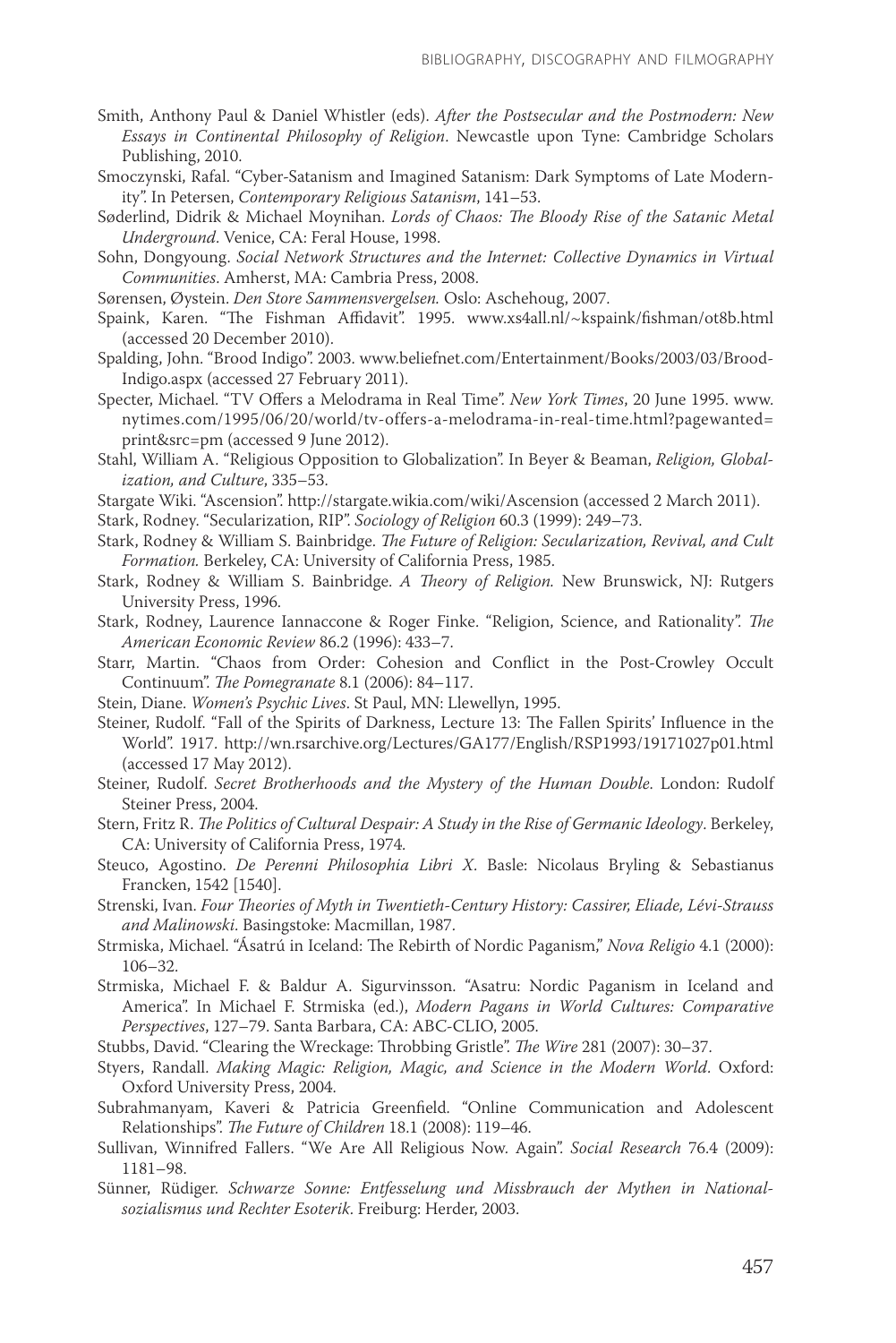- Smith, Anthony Paul & Daniel Whistler (eds). *After the Postsecular and the Postmodern: New Essays in Continental Philosophy of Religion*. Newcastle upon Tyne: Cambridge Scholars Publishing, 2010.
- Smoczynski, Rafal. "Cyber-Satanism and Imagined Satanism: Dark Symptoms of Late Modernity". In Petersen, *Contemporary Religious Satanism*, 141–53.
- Søderlind, Didrik & Michael Moynihan. *Lords of Chaos: The Bloody Rise of the Satanic Metal Underground*. Venice, CA: Feral House, 1998.
- Sohn, Dongyoung. *Social Network Structures and the Internet: Collective Dynamics in Virtual Communities*. Amherst, MA: Cambria Press, 2008.
- Sørensen, Øystein. *Den Store Sammensvergelsen.* Oslo: Aschehoug, 2007.
- Spaink, Karen. "The Fishman Affidavit". 1995. www.xs4all.nl/~kspaink/fishman/ot8b.html (accessed 20 December 2010).
- Spalding, John. "Brood Indigo". 2003. www.beliefnet.com/Entertainment/Books/2003/03/Brood-Indigo.aspx (accessed 27 February 2011).
- Specter, Michael. "TV Offers a Melodrama in Real Time". *New York Times*, 20 June 1995. www. nytimes.com/1995/06/20/world/tv-offers-a-melodrama-in-real-time.html?pagewanted= print&src=pm (accessed 9 June 2012).
- Stahl, William A. "Religious Opposition to Globalization". In Beyer & Beaman, *Religion, Globalization, and Culture*, 335–53.
- Stargate Wiki. "Ascension". http://stargate.wikia.com/wiki/Ascension (accessed 2 March 2011).

Stark, Rodney. "Secularization, RIP". *Sociology of Religion* 60.3 (1999): 249–73.

- Stark, Rodney & William S. Bainbridge. *The Future of Religion: Secularization, Revival, and Cult Formation.* Berkeley, CA: University of California Press, 1985.
- Stark, Rodney & William S. Bainbridge. *A Theory of Religion.* New Brunswick, NJ: Rutgers University Press, 1996.
- Stark, Rodney, Laurence Iannaccone & Roger Finke. "Religion, Science, and Rationality". *The American Economic Review* 86.2 (1996): 433–7.
- Starr, Martin. "Chaos from Order: Cohesion and Conflict in the Post-Crowley Occult Continuum". *The Pomegranate* 8.1 (2006): 84–117.
- Stein, Diane. *Women's Psychic Lives*. St Paul, MN: Llewellyn, 1995.
- Steiner, Rudolf. "Fall of the Spirits of Darkness, Lecture 13: The Fallen Spirits' Influence in the World". 1917. http://wn.rsarchive.org/Lectures/GA177/English/RSP1993/19171027p01.html (accessed 17 May 2012).
- Steiner, Rudolf. *Secret Brotherhoods and the Mystery of the Human Double*. London: Rudolf Steiner Press, 2004.
- Stern, Fritz R. *The Politics of Cultural Despair: A Study in the Rise of Germanic Ideology*. Berkeley, CA: University of California Press, 1974.
- Steuco, Agostino. *De Perenni Philosophia Libri X*. Basle: Nicolaus Bryling & Sebastianus Francken, 1542 [1540].
- Strenski, Ivan. *Four Theories of Myth in Twentieth-Century History: Cassirer, Eliade, Lévi-Strauss and Malinowski*. Basingstoke: Macmillan, 1987.
- Strmiska, Michael. "Ásatrú in Iceland: The Rebirth of Nordic Paganism," *Nova Religio* 4.1 (2000): 106–32.
- Strmiska, Michael F. & Baldur A. Sigurvinsson. "Asatru: Nordic Paganism in Iceland and America". In Michael F. Strmiska (ed.), *Modern Pagans in World Cultures: Comparative Perspectives*, 127–79. Santa Barbara, CA: ABC-CLIO, 2005.
- Stubbs, David. "Clearing the Wreckage: Throbbing Gristle". *The Wire* 281 (2007): 30–37.
- Styers, Randall. *Making Magic: Religion, Magic, and Science in the Modern World*. Oxford: Oxford University Press, 2004.
- Subrahmanyam, Kaveri & Patricia Greenfield. "Online Communication and Adolescent Relationships". *The Future of Children* 18.1 (2008): 119–46.
- Sullivan, Winnifred Fallers. "We Are All Religious Now. Again". *Social Research* 76.4 (2009): 1181–98.
- Sünner, Rüdiger. *Schwarze Sonne: Entfesselung und Missbrauch der Mythen in Nationalsozialismus und Rechter Esoterik*. Freiburg: Herder, 2003.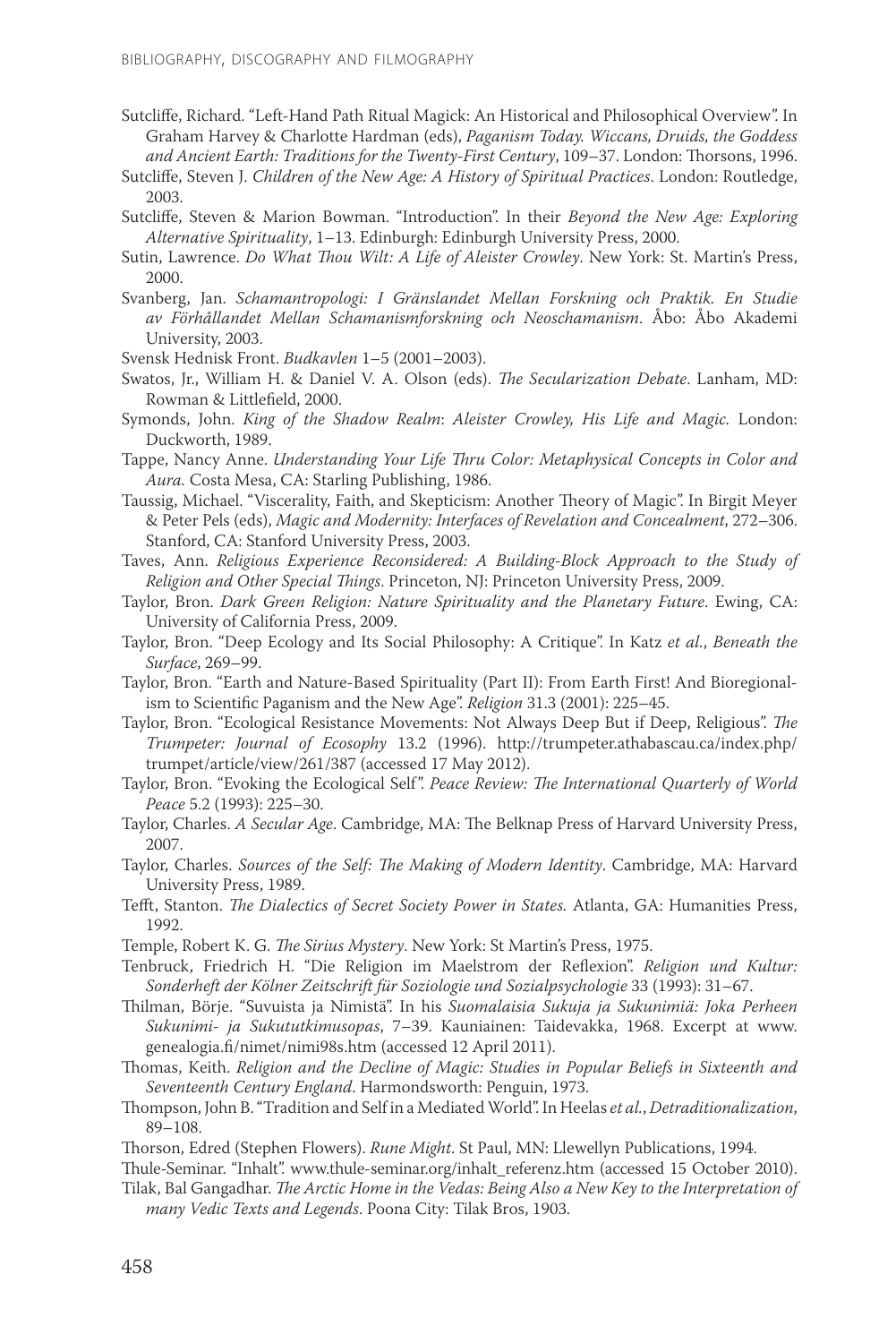- Sutcliffe, Richard. "Left-Hand Path Ritual Magick: An Historical and Philosophical Overview". In Graham Harvey & Charlotte Hardman (eds), *Paganism Today. Wiccans, Druids, the Goddess and Ancient Earth: Traditions for the Twenty-First Century*, 109–37. London: Thorsons, 1996.
- Sutcliffe, Steven J. *Children of the New Age: A History of Spiritual Practices*. London: Routledge, 2003.
- Sutcliffe, Steven & Marion Bowman. "Introduction". In their *Beyond the New Age: Exploring Alternative Spirituality*, 1–13. Edinburgh: Edinburgh University Press, 2000.
- Sutin, Lawrence. *Do What Thou Wilt: A Life of Aleister Crowley*. New York: St. Martin's Press, 2000.
- Svanberg, Jan. *Schamantropologi: I Gränslandet Mellan Forskning och Praktik. En Studie av Förhållandet Mellan Schamanismforskning och Neoschamanism*. Åbo: Åbo Akademi University, 2003.
- Svensk Hednisk Front. *Budkavlen* 1–5 (2001–2003).
- Swatos, Jr., William H. & Daniel V. A. Olson (eds). *The Secularization Debate*. Lanham, MD: Rowman & Littlefield, 2000.
- Symonds, John. *King of the Shadow Realm*: *Aleister Crowley, His Life and Magic.* London: Duckworth, 1989.
- Tappe, Nancy Anne. *Understanding Your Life Thru Color: Metaphysical Concepts in Color and Aura.* Costa Mesa, CA: Starling Publishing, 1986.
- Taussig, Michael. "Viscerality, Faith, and Skepticism: Another Theory of Magic". In Birgit Meyer & Peter Pels (eds), *Magic and Modernity: Interfaces of Revelation and Concealment*, 272–306. Stanford, CA: Stanford University Press, 2003.
- Taves, Ann. *Religious Experience Reconsidered: A Building-Block Approach to the Study of Religion and Other Special Things*. Princeton, NJ: Princeton University Press, 2009.
- Taylor, Bron. *Dark Green Religion: Nature Spirituality and the Planetary Future*. Ewing, CA: University of California Press, 2009.
- Taylor, Bron. "Deep Ecology and Its Social Philosophy: A Critique". In Katz *et al.*, *Beneath the Surface*, 269–99.
- Taylor, Bron. "Earth and Nature-Based Spirituality (Part II): From Earth First! And Bioregionalism to Scientific Paganism and the New Age". *Religion* 31.3 (2001): 225–45.
- Taylor, Bron. "Ecological Resistance Movements: Not Always Deep But if Deep, Religious". *The Trumpeter: Journal of Ecosophy* 13.2 (1996). http://trumpeter.athabascau.ca/index.php/ trumpet/article/view/261/387 (accessed 17 May 2012).
- Taylor, Bron. "Evoking the Ecological Self". *Peace Review: The International Quarterly of World Peace* 5.2 (1993): 225–30.
- Taylor, Charles. *A Secular Age*. Cambridge, MA: The Belknap Press of Harvard University Press, 2007.
- Taylor, Charles. *Sources of the Self: The Making of Modern Identity*. Cambridge, MA: Harvard University Press, 1989.
- Tefft, Stanton. *The Dialectics of Secret Society Power in States.* Atlanta, GA: Humanities Press, 1992.
- Temple, Robert K. G. *The Sirius Mystery*. New York: St Martin's Press, 1975.
- Tenbruck, Friedrich H. "Die Religion im Maelstrom der Reflexion". *Religion und Kultur: Sonderheft der Kölner Zeitschrift für Soziologie und Sozialpsychologie* 33 (1993): 31–67.
- Thilman, Börje. "Suvuista ja Nimistä". In his *Suomalaisia Sukuja ja Sukunimiä: Joka Perheen Sukunimi- ja Sukututkimusopas*, 7–39. Kauniainen: Taidevakka, 1968. Excerpt at www. genealogia.fi/nimet/nimi98s.htm (accessed 12 April 2011).
- Thomas, Keith. *Religion and the Decline of Magic: Studies in Popular Beliefs in Sixteenth and Seventeenth Century England*. Harmondsworth: Penguin, 1973.
- Thompson, John B. "Tradition and Self in a Mediated World". In Heelas *et al.*, *Detraditionalization*, 89–108.
- Thorson, Edred (Stephen Flowers). *Rune Might*. St Paul, MN: Llewellyn Publications, 1994.
- Thule-Seminar. "Inhalt". www.thule-seminar.org/inhalt\_referenz.htm (accessed 15 October 2010).
- Tilak, Bal Gangadhar. *The Arctic Home in the Vedas: Being Also a New Key to the Interpretation of many Vedic Texts and Legends*. Poona City: Tilak Bros, 1903.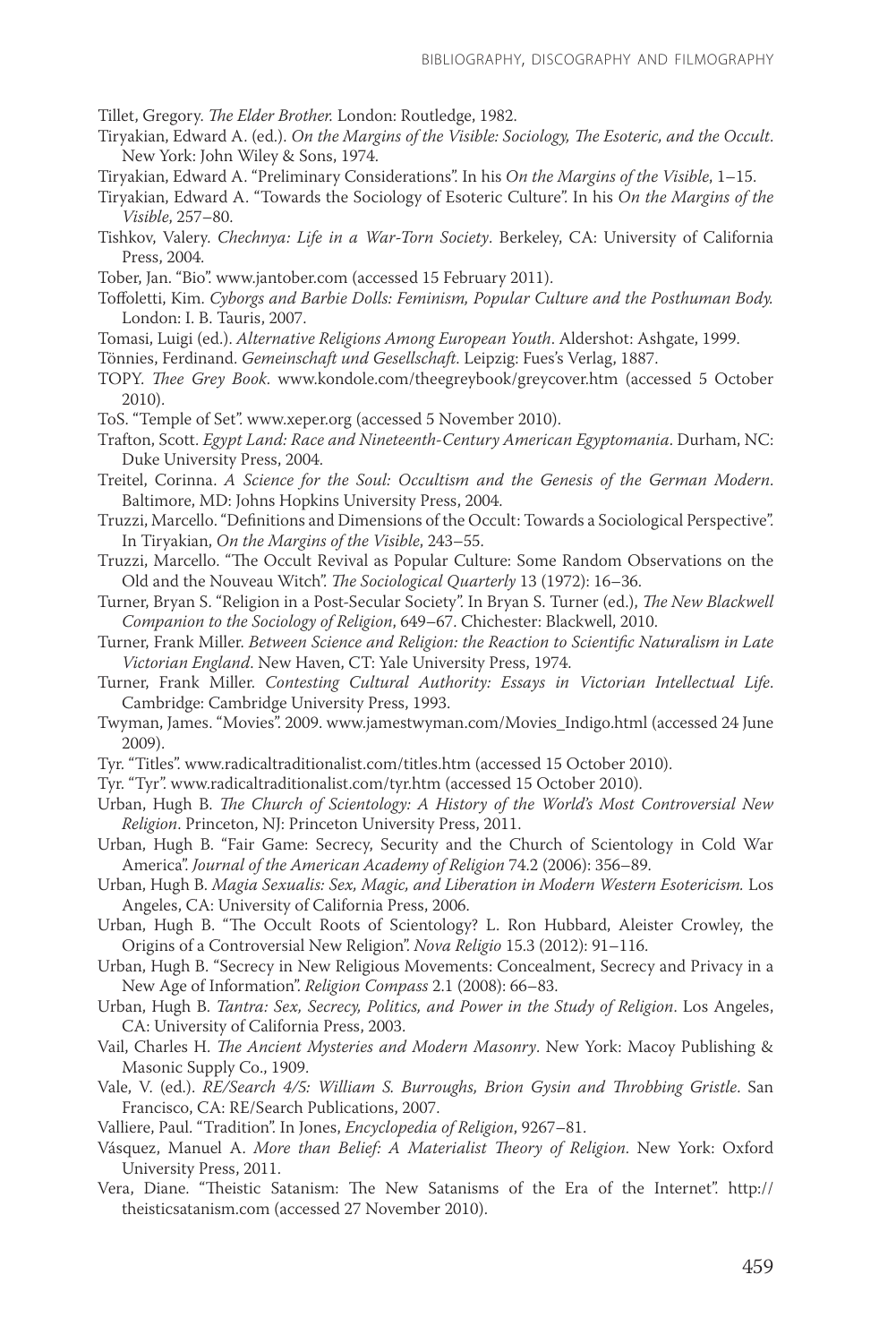Tillet, Gregory. *The Elder Brother.* London: Routledge, 1982.

- Tiryakian, Edward A. (ed.). *On the Margins of the Visible: Sociology, The Esoteric, and the Occult*. New York: John Wiley & Sons, 1974.
- Tiryakian, Edward A. "Preliminary Considerations". In his *On the Margins of the Visible*, 1–15.
- Tiryakian, Edward A. "Towards the Sociology of Esoteric Culture". In his *On the Margins of the Visible*, 257–80.
- Tishkov, Valery. *Chechnya: Life in a War-Torn Society*. Berkeley, CA: University of California Press, 2004.
- Tober, Jan. "Bio". www.jantober.com (accessed 15 February 2011).
- Toffoletti, Kim. *Cyborgs and Barbie Dolls: Feminism, Popular Culture and the Posthuman Body.*  London: I. B. Tauris, 2007.
- Tomasi, Luigi (ed.). *Alternative Religions Among European Youth*. Aldershot: Ashgate, 1999.
- Tönnies, Ferdinand. *Gemeinschaft und Gesellschaft*. Leipzig: Fues's Verlag, 1887.
- TOPY. *Thee Grey Book*. www.kondole.com/theegreybook/greycover.htm (accessed 5 October 2010).
- ToS. "Temple of Set". www.xeper.org (accessed 5 November 2010).
- Trafton, Scott. *Egypt Land: Race and Nineteenth-Century American Egyptomania*. Durham, NC: Duke University Press, 2004.
- Treitel, Corinna. *A Science for the Soul: Occultism and the Genesis of the German Modern*. Baltimore, MD: Johns Hopkins University Press, 2004.
- Truzzi, Marcello. "Definitions and Dimensions of the Occult: Towards a Sociological Perspective". In Tiryakian, *On the Margins of the Visible*, 243–55.
- Truzzi, Marcello. "The Occult Revival as Popular Culture: Some Random Observations on the Old and the Nouveau Witch". *The Sociological Quarterly* 13 (1972): 16–36.
- Turner, Bryan S. "Religion in a Post-Secular Society". In Bryan S. Turner (ed.), *The New Blackwell Companion to the Sociology of Religion*, 649–67. Chichester: Blackwell, 2010.
- Turner, Frank Miller. *Between Science and Religion: the Reaction to Scientific Naturalism in Late Victorian England*. New Haven, CT: Yale University Press, 1974.
- Turner, Frank Miller. *Contesting Cultural Authority: Essays in Victorian Intellectual Life*. Cambridge: Cambridge University Press, 1993.
- Twyman, James. "Movies". 2009. www.jamestwyman.com/Movies\_Indigo.html (accessed 24 June 2009).
- Tyr. "Titles". www.radicaltraditionalist.com/titles.htm (accessed 15 October 2010).
- Tyr. "Tyr". www.radicaltraditionalist.com/tyr.htm (accessed 15 October 2010).
- Urban, Hugh B. *The Church of Scientology: A History of the World's Most Controversial New Religion*. Princeton, NJ: Princeton University Press, 2011.
- Urban, Hugh B. "Fair Game: Secrecy, Security and the Church of Scientology in Cold War America". *Journal of the American Academy of Religion* 74.2 (2006): 356–89.
- Urban, Hugh B. *Magia Sexualis: Sex, Magic, and Liberation in Modern Western Esotericism.* Los Angeles, CA: University of California Press, 2006.
- Urban, Hugh B. "The Occult Roots of Scientology? L. Ron Hubbard, Aleister Crowley, the Origins of a Controversial New Religion". *Nova Religio* 15.3 (2012): 91–116.
- Urban, Hugh B. "Secrecy in New Religious Movements: Concealment, Secrecy and Privacy in a New Age of Information". *Religion Compass* 2.1 (2008): 66–83.
- Urban, Hugh B. *Tantra: Sex, Secrecy, Politics, and Power in the Study of Religion*. Los Angeles, CA: University of California Press, 2003.
- Vail, Charles H. *The Ancient Mysteries and Modern Masonry*. New York: Macoy Publishing & Masonic Supply Co., 1909.
- Vale, V. (ed.). *RE/Search 4/5: William S. Burroughs, Brion Gysin and Throbbing Gristle*. San Francisco, CA: RE/Search Publications, 2007.
- Valliere, Paul. "Tradition". In Jones, *Encyclopedia of Religion*, 9267–81.
- Vásquez, Manuel A. *More than Belief: A Materialist Theory of Religion*. New York: Oxford University Press, 2011.
- Vera, Diane. "Theistic Satanism: The New Satanisms of the Era of the Internet". http:// theisticsatanism.com (accessed 27 November 2010).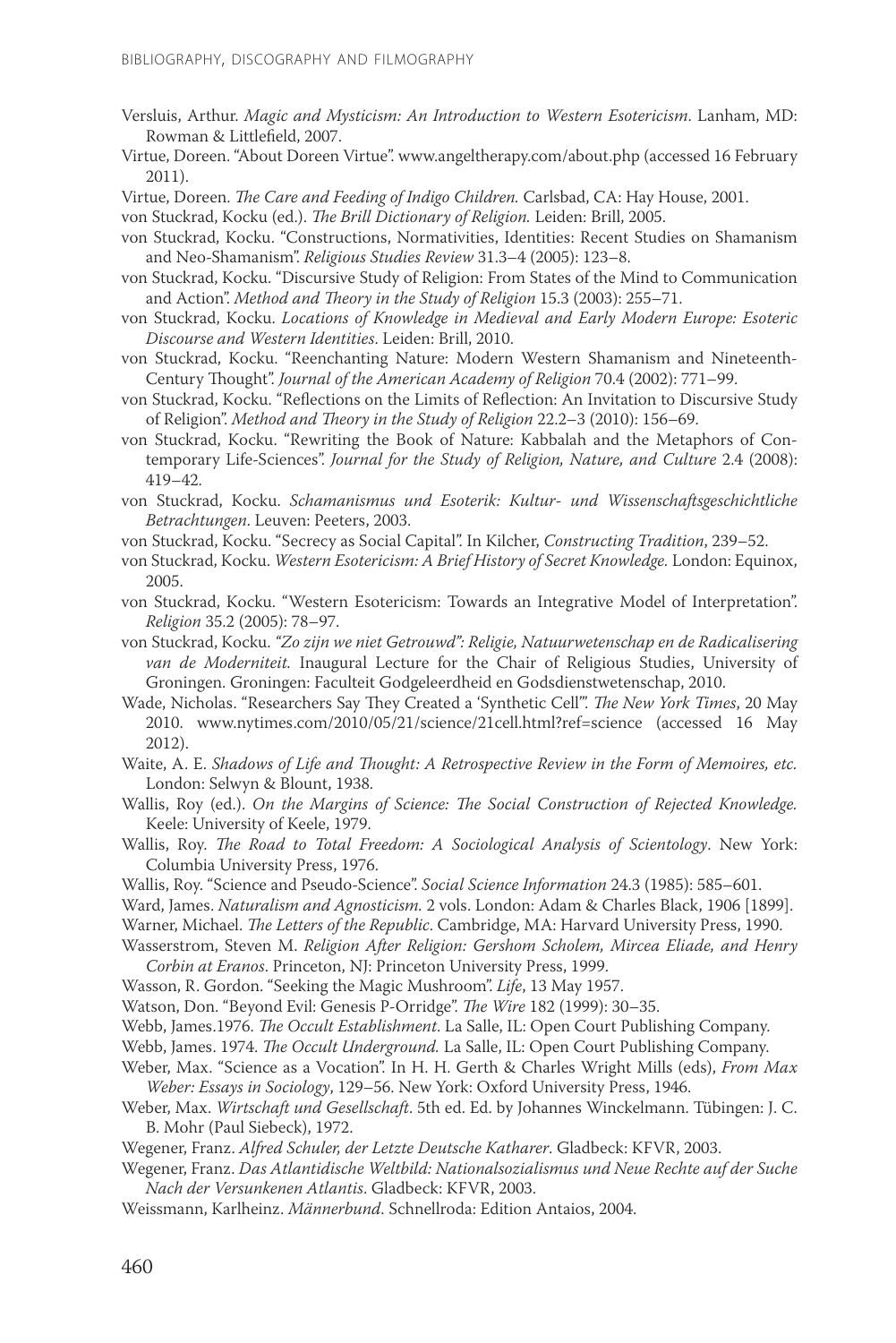Versluis, Arthur. *Magic and Mysticism: An Introduction to Western Esotericism*. Lanham, MD: Rowman & Littlefield, 2007.

Virtue, Doreen. "About Doreen Virtue". www.angeltherapy.com/about.php (accessed 16 February 2011).

Virtue, Doreen. *The Care and Feeding of Indigo Children.* Carlsbad, CA: Hay House, 2001.

von Stuckrad, Kocku (ed.). *The Brill Dictionary of Religion.* Leiden: Brill, 2005.

- von Stuckrad, Kocku. "Constructions, Normativities, Identities: Recent Studies on Shamanism and Neo-Shamanism". *Religious Studies Review* 31.3–4 (2005): 123–8.
- von Stuckrad, Kocku. "Discursive Study of Religion: From States of the Mind to Communication and Action". *Method and Theory in the Study of Religion* 15.3 (2003): 255–71.
- von Stuckrad, Kocku. *Locations of Knowledge in Medieval and Early Modern Europe: Esoteric Discourse and Western Identities*. Leiden: Brill, 2010.
- von Stuckrad, Kocku. "Reenchanting Nature: Modern Western Shamanism and Nineteenth-Century Thought". *Journal of the American Academy of Religion* 70.4 (2002): 771–99.
- von Stuckrad, Kocku. "Reflections on the Limits of Reflection: An Invitation to Discursive Study of Religion". *Method and Theory in the Study of Religion* 22.2–3 (2010): 156–69.
- von Stuckrad, Kocku. "Rewriting the Book of Nature: Kabbalah and the Metaphors of Contemporary Life-Sciences". *Journal for the Study of Religion, Nature, and Culture* 2.4 (2008): 419–42.
- von Stuckrad, Kocku. *Schamanismus und Esoterik: Kultur- und Wissenschaftsgeschichtliche Betrachtungen*. Leuven: Peeters, 2003.
- von Stuckrad, Kocku. "Secrecy as Social Capital". In Kilcher, *Constructing Tradition*, 239–52.
- von Stuckrad, Kocku. *Western Esotericism: A Brief History of Secret Knowledge.* London: Equinox, 2005.
- von Stuckrad, Kocku. "Western Esotericism: Towards an Integrative Model of Interpretation". *Religion* 35.2 (2005): 78–97.
- von Stuckrad, Kocku. *"Zo zijn we niet Getrouwd": Religie, Natuurwetenschap en de Radicalisering van de Moderniteit.* Inaugural Lecture for the Chair of Religious Studies, University of Groningen. Groningen: Faculteit Godgeleerdheid en Godsdienstwetenschap, 2010.
- Wade, Nicholas. "Researchers Say They Created a 'Synthetic Cell'". *The New York Times*, 20 May 2010. www.nytimes.com/2010/05/21/science/21cell.html?ref=science (accessed 16 May 2012).
- Waite, A. E. *Shadows of Life and Thought: A Retrospective Review in the Form of Memoires, etc.* London: Selwyn & Blount, 1938.
- Wallis, Roy (ed.). *On the Margins of Science: The Social Construction of Rejected Knowledge.*  Keele: University of Keele, 1979.
- Wallis, Roy. *The Road to Total Freedom: A Sociological Analysis of Scientology*. New York: Columbia University Press, 1976.
- Wallis, Roy. "Science and Pseudo-Science". *Social Science Information* 24.3 (1985): 585–601.
- Ward, James. *Naturalism and Agnosticism.* 2 vols. London: Adam & Charles Black, 1906 [1899].

Warner, Michael. *The Letters of the Republic*. Cambridge, MA: Harvard University Press, 1990.

- Wasserstrom, Steven M. *Religion After Religion: Gershom Scholem, Mircea Eliade, and Henry Corbin at Eranos*. Princeton, NJ: Princeton University Press, 1999.
- Wasson, R. Gordon. "Seeking the Magic Mushroom". *Life*, 13 May 1957.

Watson, Don. "Beyond Evil: Genesis P-Orridge". *The Wire* 182 (1999): 30–35.

Webb, James.1976. *The Occult Establishment*. La Salle, IL: Open Court Publishing Company.

- Webb, James. 1974. *The Occult Underground.* La Salle, IL: Open Court Publishing Company.
- Weber, Max. "Science as a Vocation". In H. H. Gerth & Charles Wright Mills (eds), *From Max Weber: Essays in Sociology*, 129–56. New York: Oxford University Press, 1946.
- Weber, Max. *Wirtschaft und Gesellschaft*. 5th ed. Ed. by Johannes Winckelmann. Tübingen: J. C. B. Mohr (Paul Siebeck), 1972.

Wegener, Franz. *Alfred Schuler, der Letzte Deutsche Katharer*. Gladbeck: KFVR, 2003.

Wegener, Franz. *Das Atlantidische Weltbild: Nationalsozialismus und Neue Rechte auf der Suche Nach der Versunkenen Atlantis*. Gladbeck: KFVR, 2003.

Weissmann, Karlheinz. *Männerbund*. Schnellroda: Edition Antaios, 2004.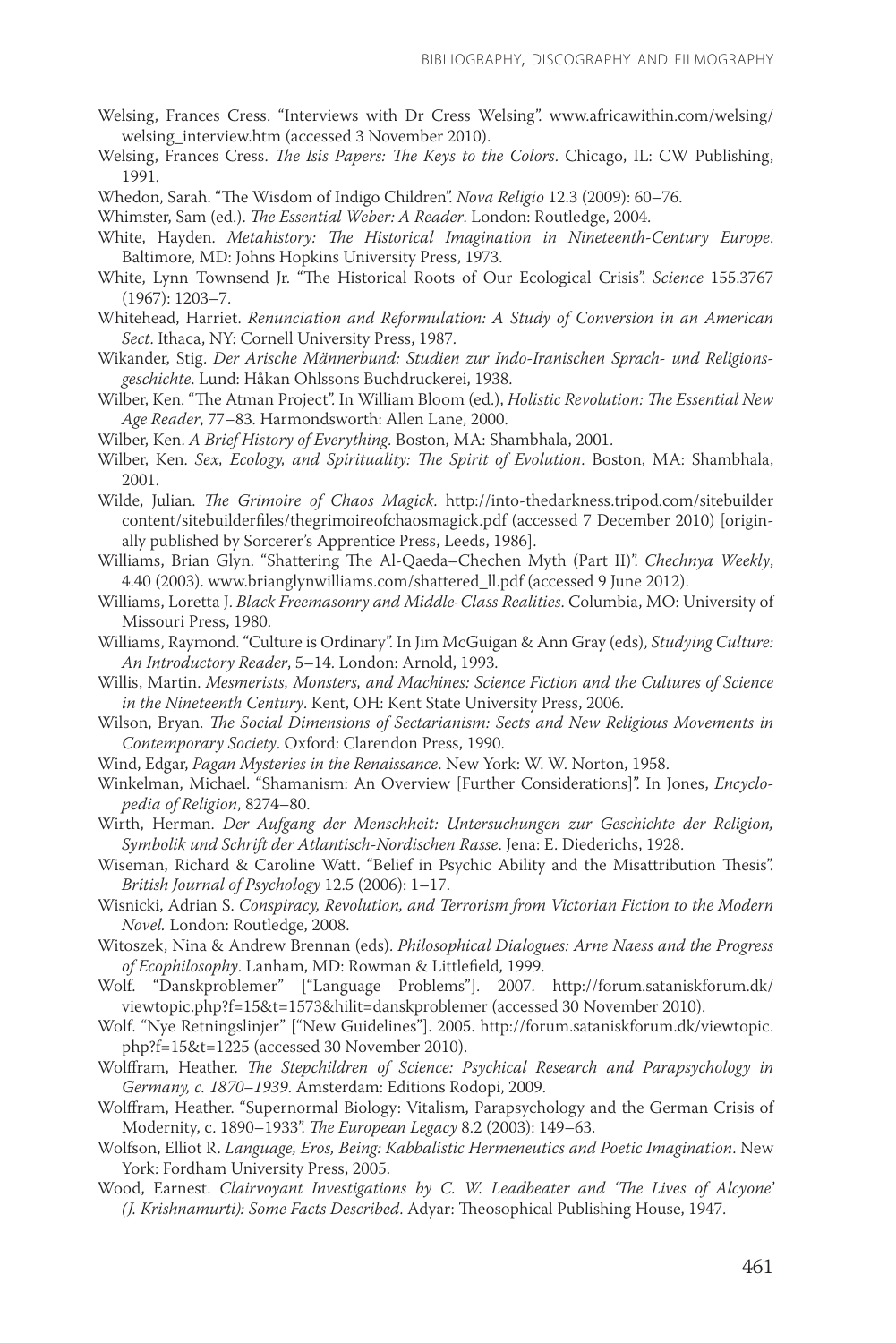- Welsing, Frances Cress. "Interviews with Dr Cress Welsing". www.africawithin.com/welsing/ welsing interview.htm (accessed 3 November 2010).
- Welsing, Frances Cress. *The Isis Papers: The Keys to the Colors*. Chicago, IL: CW Publishing, 1991.
- Whedon, Sarah. "The Wisdom of Indigo Children". *Nova Religio* 12.3 (2009): 60–76.

Whimster, Sam (ed.). *The Essential Weber: A Reader*. London: Routledge, 2004.

- White, Hayden. *Metahistory: The Historical Imagination in Nineteenth-Century Europe*. Baltimore, MD: Johns Hopkins University Press, 1973.
- White, Lynn Townsend Jr. "The Historical Roots of Our Ecological Crisis". *Science* 155.3767 (1967): 1203–7.
- Whitehead, Harriet. *Renunciation and Reformulation: A Study of Conversion in an American Sect*. Ithaca, NY: Cornell University Press, 1987.
- Wikander, Stig. *Der Arische Männerbund: Studien zur Indo-Iranischen Sprach- und Religionsgeschichte*. Lund: Håkan Ohlssons Buchdruckerei, 1938.
- Wilber, Ken. "The Atman Project". In William Bloom (ed.), *Holistic Revolution: The Essential New Age Reader*, 77–83. Harmondsworth: Allen Lane, 2000.
- Wilber, Ken. *A Brief History of Everything*. Boston, MA: Shambhala, 2001.
- Wilber, Ken. *Sex, Ecology, and Spirituality: The Spirit of Evolution*. Boston, MA: Shambhala, 2001.
- Wilde, Julian. *The Grimoire of Chaos Magick*. http://into-thedarkness.tripod.com/sitebuilder content/sitebuilderfiles/thegrimoireofchaosmagick.pdf (accessed 7 December 2010) [originally published by Sorcerer's Apprentice Press, Leeds, 1986].
- Williams, Brian Glyn. "Shattering The Al-Qaeda–Chechen Myth (Part II)". *Chechnya Weekly*, 4.40 (2003). www.brianglynwilliams.com/shattered\_ll.pdf (accessed 9 June 2012).
- Williams, Loretta J. *Black Freemasonry and Middle-Class Realities*. Columbia, MO: University of Missouri Press, 1980.
- Williams, Raymond. "Culture is Ordinary". In Jim McGuigan & Ann Gray (eds), *Studying Culture: An Introductory Reader*, 5–14. London: Arnold, 1993.
- Willis, Martin. *Mesmerists, Monsters, and Machines: Science Fiction and the Cultures of Science in the Nineteenth Century*. Kent, OH: Kent State University Press, 2006.
- Wilson, Bryan. *The Social Dimensions of Sectarianism: Sects and New Religious Movements in Contemporary Society*. Oxford: Clarendon Press, 1990.
- Wind, Edgar, *Pagan Mysteries in the Renaissance*. New York: W. W. Norton, 1958.
- Winkelman, Michael. "Shamanism: An Overview [Further Considerations]". In Jones, *Encyclopedia of Religion*, 8274–80.
- Wirth, Herman. *Der Aufgang der Menschheit: Untersuchungen zur Geschichte der Religion, Symbolik und Schrift der Atlantisch-Nordischen Rasse*. Jena: E. Diederichs, 1928.
- Wiseman, Richard & Caroline Watt. "Belief in Psychic Ability and the Misattribution Thesis". *British Journal of Psychology* 12.5 (2006): 1–17.
- Wisnicki, Adrian S. *Conspiracy, Revolution, and Terrorism from Victorian Fiction to the Modern Novel.* London: Routledge, 2008.
- Witoszek, Nina & Andrew Brennan (eds). *Philosophical Dialogues: Arne Naess and the Progress of Ecophilosophy*. Lanham, MD: Rowman & Littlefield, 1999.
- Wolf. "Danskproblemer" ["Language Problems"]. 2007. http://forum.sataniskforum.dk/ viewtopic.php?f=15&t=1573&hilit=danskproblemer (accessed 30 November 2010).
- Wolf. "Nye Retningslinjer" ["New Guidelines"]. 2005. http://forum.sataniskforum.dk/viewtopic. php?f=15&t=1225 (accessed 30 November 2010).
- Wolffram, Heather. *The Stepchildren of Science: Psychical Research and Parapsychology in Germany, c. 1870–1939*. Amsterdam: Editions Rodopi, 2009.
- Wolffram, Heather. "Supernormal Biology: Vitalism, Parapsychology and the German Crisis of Modernity, c. 1890–1933". *The European Legacy* 8.2 (2003): 149–63.
- Wolfson, Elliot R. *Language, Eros, Being: Kabbalistic Hermeneutics and Poetic Imagination*. New York: Fordham University Press, 2005.
- Wood, Earnest. *Clairvoyant Investigations by C. W. Leadbeater and 'The Lives of Alcyone' (J. Krishnamurti): Some Facts Described*. Adyar: Theosophical Publishing House, 1947.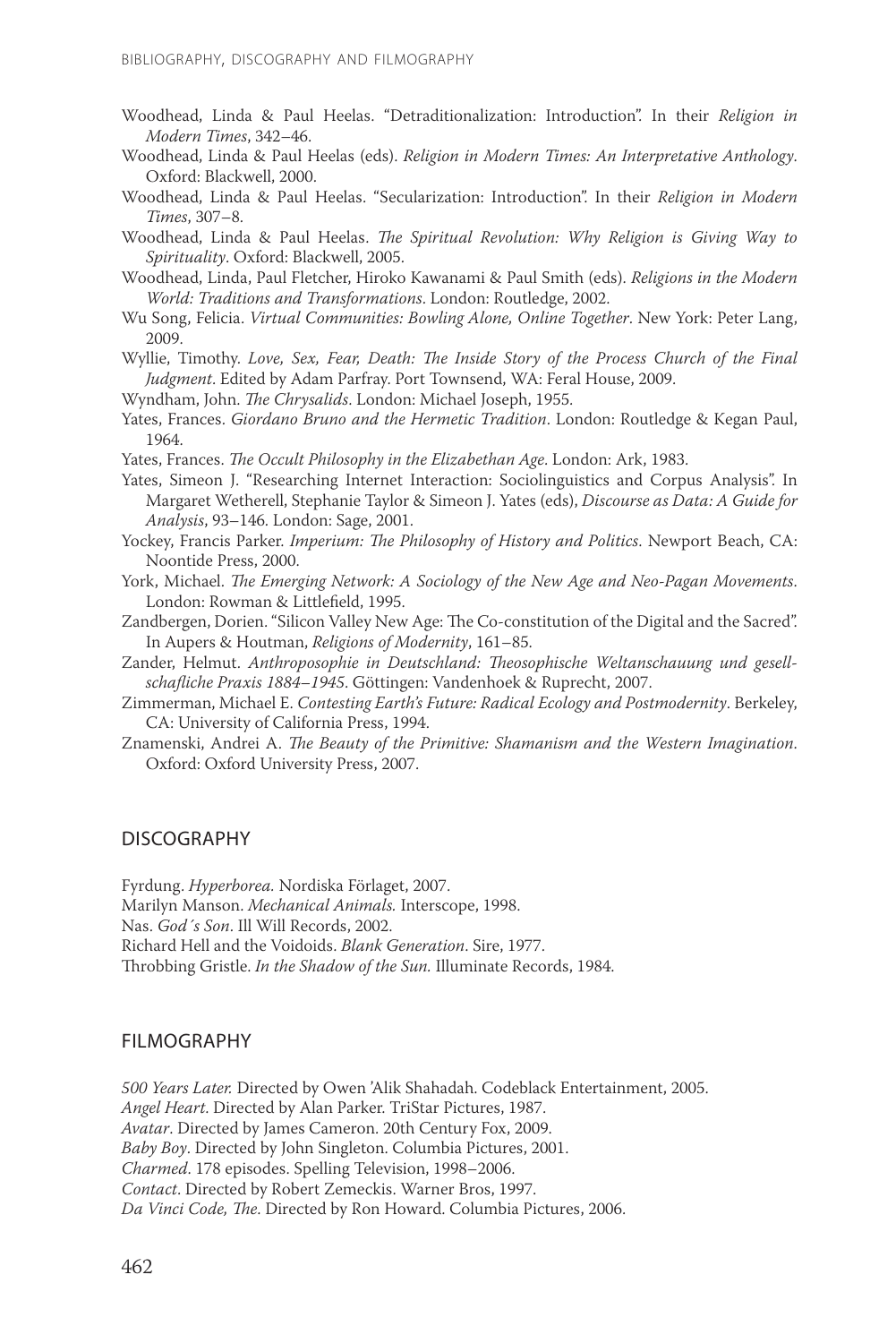- Woodhead, Linda & Paul Heelas. "Detraditionalization: Introduction". In their *Religion in Modern Times*, 342–46.
- Woodhead, Linda & Paul Heelas (eds). *Religion in Modern Times: An Interpretative Anthology*. Oxford: Blackwell, 2000.
- Woodhead, Linda & Paul Heelas. "Secularization: Introduction". In their *Religion in Modern Times*, 307–8.
- Woodhead, Linda & Paul Heelas. *The Spiritual Revolution: Why Religion is Giving Way to Spirituality*. Oxford: Blackwell, 2005.
- Woodhead, Linda, Paul Fletcher, Hiroko Kawanami & Paul Smith (eds). *Religions in the Modern World: Traditions and Transformations*. London: Routledge, 2002.
- Wu Song, Felicia. *Virtual Communities: Bowling Alone, Online Together*. New York: Peter Lang, 2009.
- Wyllie, Timothy. *Love, Sex, Fear, Death: The Inside Story of the Process Church of the Final Judgment*. Edited by Adam Parfray. Port Townsend, WA: Feral House, 2009.
- Wyndham, John. *The Chrysalids*. London: Michael Joseph, 1955.
- Yates, Frances. *Giordano Bruno and the Hermetic Tradition*. London: Routledge & Kegan Paul, 1964.
- Yates, Frances. *The Occult Philosophy in the Elizabethan Age*. London: Ark, 1983.
- Yates, Simeon J. "Researching Internet Interaction: Sociolinguistics and Corpus Analysis". In Margaret Wetherell, Stephanie Taylor & Simeon J. Yates (eds), *Discourse as Data: A Guide for Analysis*, 93–146. London: Sage, 2001.
- Yockey, Francis Parker. *Imperium: The Philosophy of History and Politics*. Newport Beach, CA: Noontide Press, 2000.
- York, Michael. *The Emerging Network: A Sociology of the New Age and Neo-Pagan Movements*. London: Rowman & Littlefield, 1995.
- Zandbergen, Dorien. "Silicon Valley New Age: The Co-constitution of the Digital and the Sacred". In Aupers & Houtman, *Religions of Modernity*, 161–85.
- Zander, Helmut. *Anthroposophie in Deutschland: Theosophische Weltanschauung und gesellschafliche Praxis 1884–1945*. Göttingen: Vandenhoek & Ruprecht, 2007.
- Zimmerman, Michael E. *Contesting Earth's Future: Radical Ecology and Postmodernity*. Berkeley, CA: University of California Press, 1994.
- Znamenski, Andrei A. *The Beauty of the Primitive: Shamanism and the Western Imagination*. Oxford: Oxford University Press, 2007.

## DISCOGRAPHY

Fyrdung. *Hyperborea.* Nordiska Förlaget, 2007. Marilyn Manson. *Mechanical Animals.* Interscope, 1998.

Nas. *God´s Son*. Ill Will Records, 2002.

Richard Hell and the Voidoids. *Blank Generation*. Sire, 1977.

Throbbing Gristle. *In the Shadow of the Sun.* Illuminate Records, 1984.

## FILMOGRAPHY

*500 Years Later.* Directed by Owen 'Alik Shahadah. Codeblack Entertainment, 2005. *Angel Heart*. Directed by Alan Parker. TriStar Pictures, 1987. *Avatar*. Directed by James Cameron. 20th Century Fox, 2009. *Baby Boy*. Directed by John Singleton. Columbia Pictures, 2001. *Charmed*. 178 episodes. Spelling Television, 1998–2006. *Contact*. Directed by Robert Zemeckis. Warner Bros, 1997. *Da Vinci Code, The*. Directed by Ron Howard. Columbia Pictures, 2006.